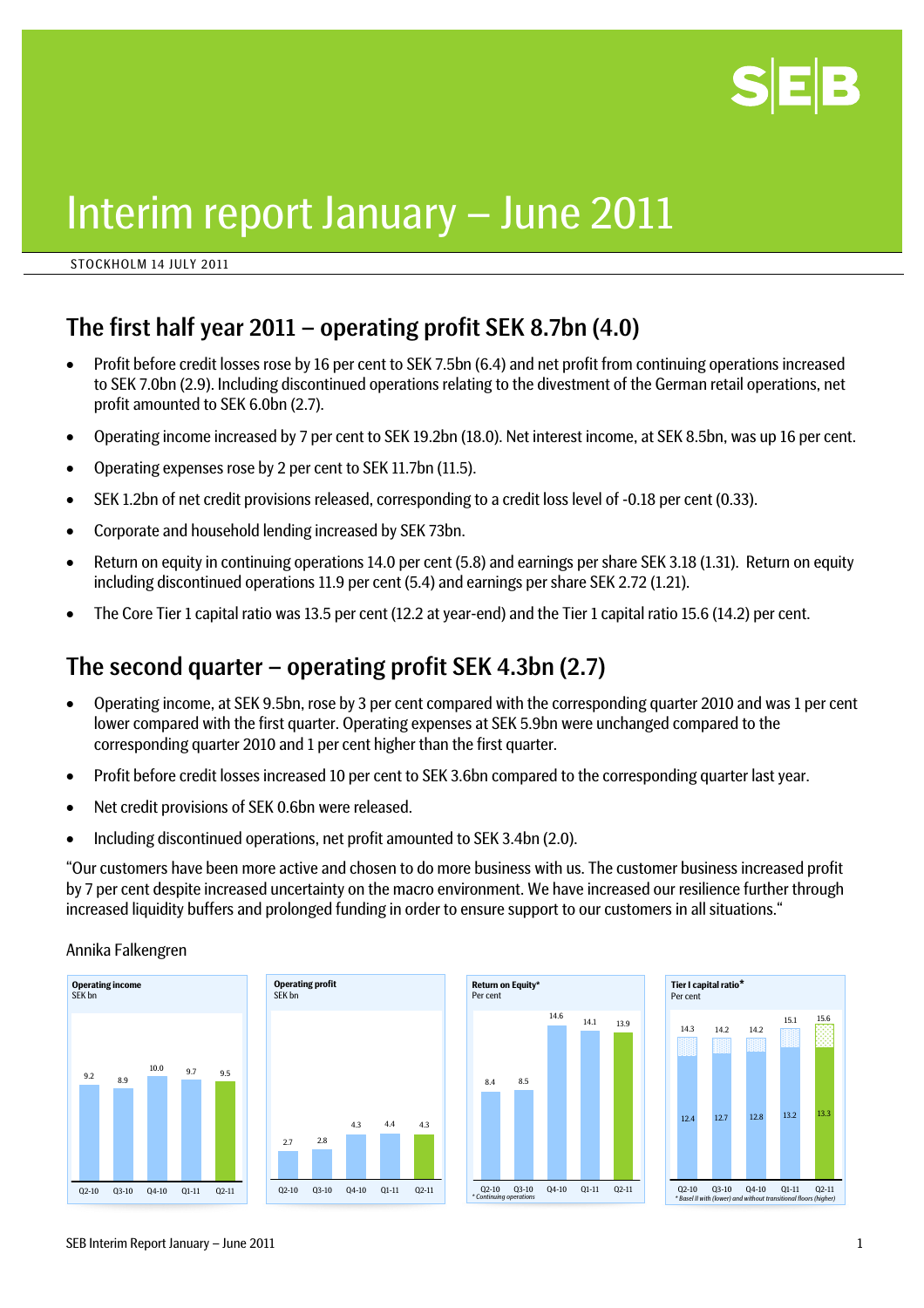

# Interim report January – June 2011

STOCKHOLM 14 JULY 2011

### The first half year 2011 – operating profit SEK 8.7bn (4.0)

- Profit before credit losses rose by 16 per cent to SEK 7.5bn (6.4) and net profit from continuing operations increased to SEK 7.0bn (2.9). Including discontinued operations relating to the divestment of the German retail operations, net profit amounted to SEK 6.0bn (2.7).
- Operating income increased by 7 per cent to SEK 19.2bn (18.0). Net interest income, at SEK 8.5bn, was up 16 per cent.
- Operating expenses rose by 2 per cent to SEK 11.7bn (11.5).
- SEK 1.2bn of net credit provisions released, corresponding to a credit loss level of -0.18 per cent (0.33).
- Corporate and household lending increased by SEK 73bn.
- Return on equity in continuing operations 14.0 per cent (5.8) and earnings per share SEK 3.18 (1.31). Return on equity including discontinued operations 11.9 per cent (5.4) and earnings per share SEK 2.72 (1.21).
- The Core Tier 1 capital ratio was 13.5 per cent (12.2 at year-end) and the Tier 1 capital ratio 15.6 (14.2) per cent.

### The second quarter – operating profit SEK 4.3bn (2.7)

- Operating income, at SEK 9.5bn, rose by 3 per cent compared with the corresponding quarter 2010 and was 1 per cent lower compared with the first quarter. Operating expenses at SEK 5.9bn were unchanged compared to the corresponding quarter 2010 and 1 per cent higher than the first quarter.
- Profit before credit losses increased 10 per cent to SEK 3.6bn compared to the corresponding quarter last year.
- Net credit provisions of SEK 0.6bn were released.
- Including discontinued operations, net profit amounted to SEK 3.4bn (2.0).

"Our customers have been more active and chosen to do more business with us. The customer business increased profit by 7 per cent despite increased uncertainty on the macro environment. We have increased our resilience further through increased liquidity buffers and prolonged funding in order to ensure support to our customers in all situations."

Annika Falkengren







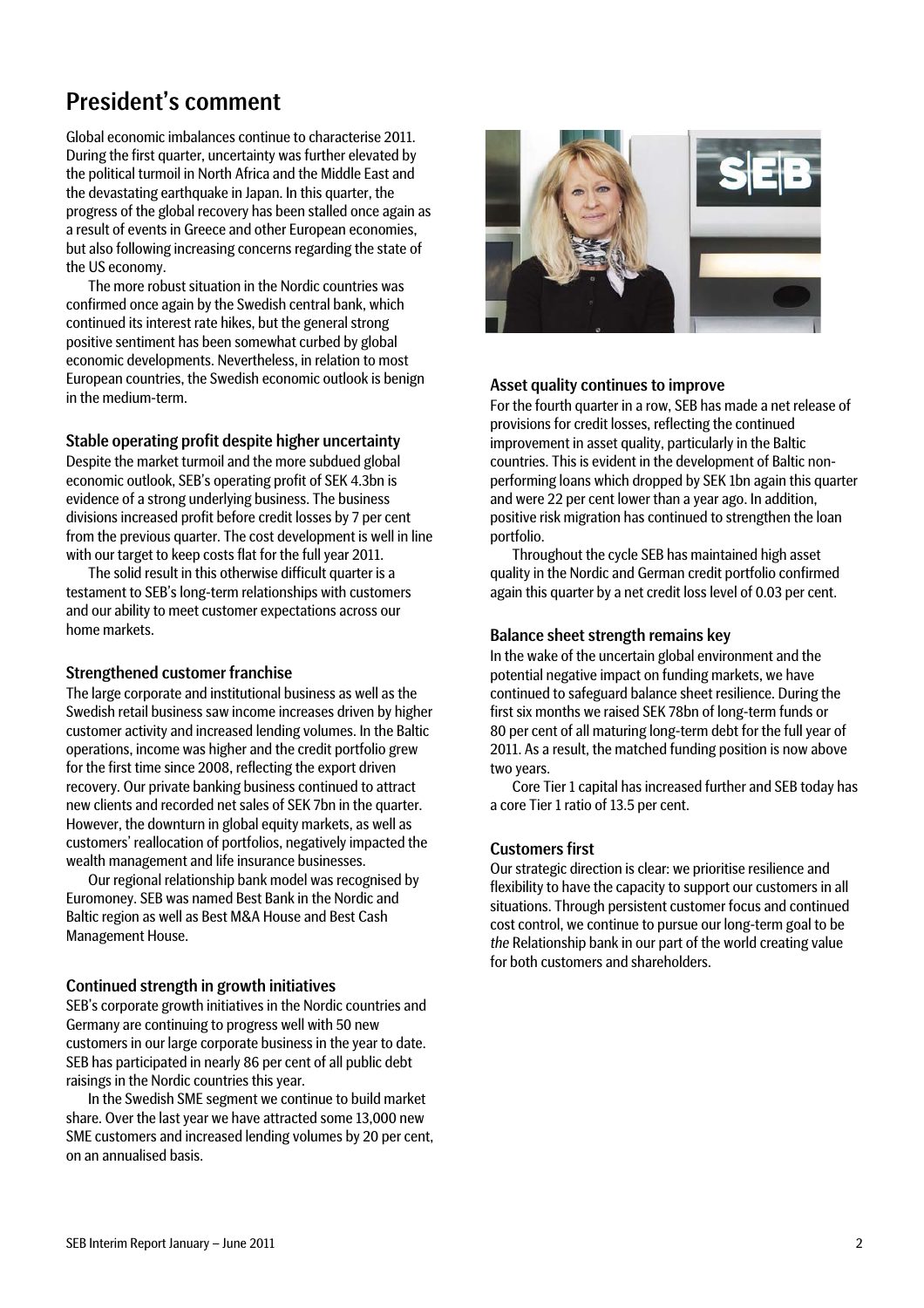### President's comment

Global economic imbalances continue to characterise 2011. During the first quarter, uncertainty was further elevated by the political turmoil in North Africa and the Middle East and the devastating earthquake in Japan. In this quarter, the progress of the global recovery has been stalled once again as a result of events in Greece and other European economies, but also following increasing concerns regarding the state of the US economy.

The more robust situation in the Nordic countries was confirmed once again by the Swedish central bank, which continued its interest rate hikes, but the general strong positive sentiment has been somewhat curbed by global economic developments. Nevertheless, in relation to most European countries, the Swedish economic outlook is benign European countries, the Swedish economic outlook is benigh and all asset quality continues to improve<br>in the medium-term.

#### Stable operating profit despite higher uncertainty

Despite the market turmoil and the more subdued global economic outlook, SEB's operating profit of SEK 4.3bn is evidence of a strong underlying business. The business divisions increased profit before credit losses by 7 per cent from the previous quarter. The cost development is well in line with our target to keep costs flat for the full year 2011. Throughout the cycle SEB has maintained high asset

The solid result in this otherwise difficult quarter is a testament to SEB's long-term relationships with customers and our ability to meet customer expectations across our home markets. The matrice sheet strength remains key

#### Strengthened customer franchise

The large corporate and institutional business as well as the Swedish retail business saw income increases driven by higher customer activity and increased lending volumes. In the Baltic operations, income was higher and the credit portfolio grew for the first time since 2008, reflecting the export driven recovery. Our private banking business continued to attract new clients and recorded net sales of SEK 7bn in the quarter. However, the downturn in global equity markets, as well as customers' reallocation of portfolios, negatively impacted the wealth management and life insurance businesses.

Our regional relationship bank model was recognised by Euromoney. SEB was named Best Bank in the Nordic and Baltic region as well as Best M&A House and Best Cash Management House.

#### Continued strength in growth initiatives

SEB's corporate growth initiatives in the Nordic countries and Germany are continuing to progress well with 50 new customers in our large corporate business in the year to date. SEB has participated in nearly 86 per cent of all public debt raisings in the Nordic countries this year.

In the Swedish SME segment we continue to build market share. Over the last year we have attracted some 13,000 new SME customers and increased lending volumes by 20 per cent, on an annualised basis.



For the fourth quarter in a row, SEB has made a net release of provisions for credit losses, reflecting the continued improvement in asset quality, particularly in the Baltic countries. This is evident in the development of Baltic nonperforming loans which dropped by SEK 1bn again this quarter and were 22 per cent lower than a year ago. In addition, positive risk migration has continued to strengthen the loan portfolio.

quality in the Nordic and German credit portfolio confirmed again this quarter by a net credit loss level of 0.03 per cent.

In the wake of the uncertain global environment and the potential negative impact on funding markets, we have continued to safeguard balance sheet resilience. During the first six months we raised SEK 78bn of long-term funds or 80 per cent of all maturing long-term debt for the full year of 2011. As a result, the matched funding position is now above two years.

Core Tier 1 capital has increased further and SEB today has a core Tier 1 ratio of 13.5 per cent.

#### Customers first

Our strategic direction is clear: we prioritise resilience and flexibility to have the capacity to support our customers in all situations. Through persistent customer focus and continued cost control, we continue to pursue our long-term goal to be *the* Relationship bank in our part of the world creating value for both customers and shareholders.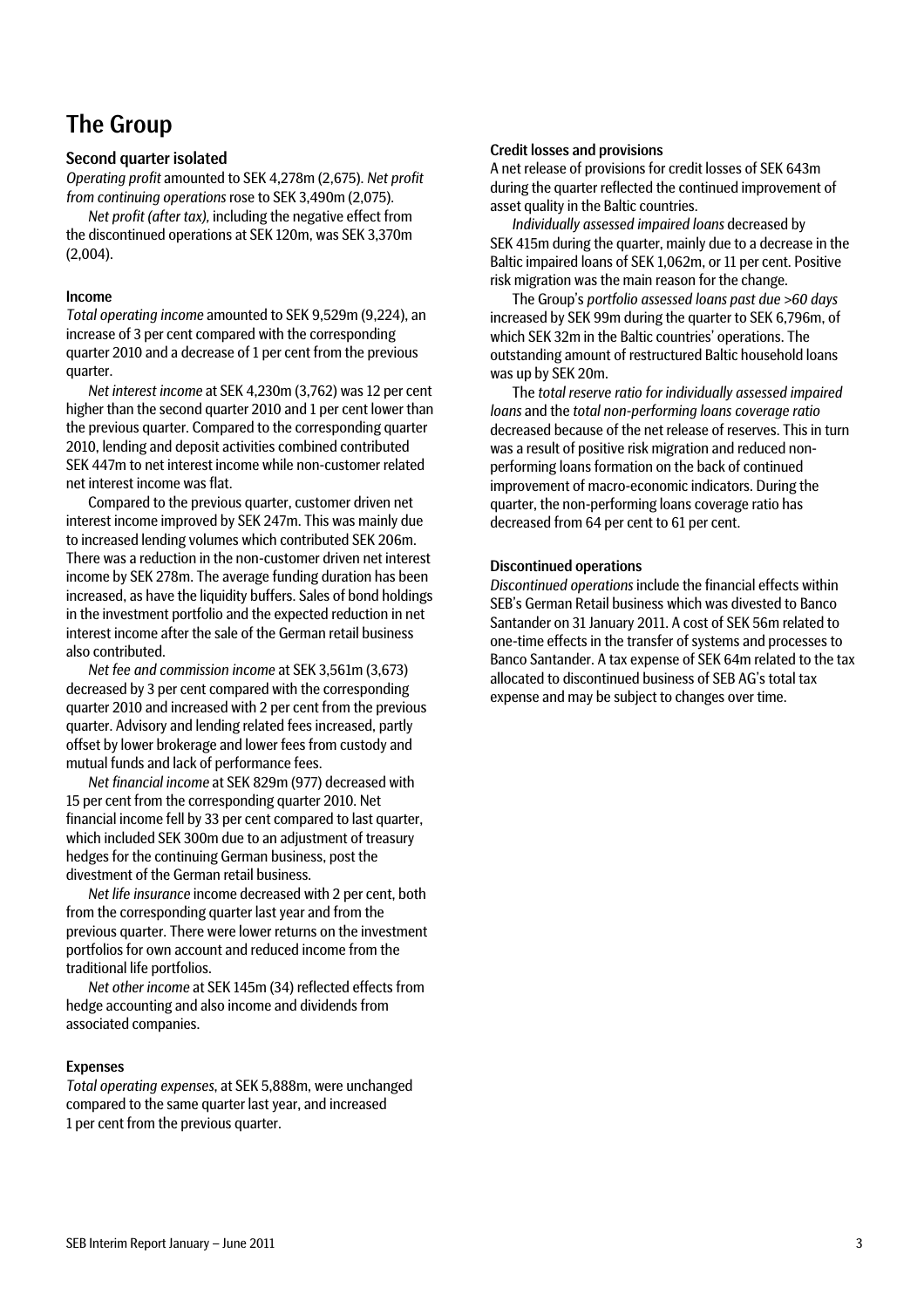### The Group

#### Second quarter isolated

*Operating profit* amounted to SEK 4,278m (2,675). *Net profit from continuing operations* rose to SEK 3,490m (2,075).

*Net profit (after tax),* including the negative effect from the discontinued operations at SEK 120m, was SEK 3,370m (2,004).

#### Income

*Total operating income* amounted to SEK 9,529m (9,224), an increase of 3 per cent compared with the corresponding quarter 2010 and a decrease of 1 per cent from the previous quarter.

*Net interest income* at SEK 4,230m (3,762) was 12 per cent higher than the second quarter 2010 and 1 per cent lower than the previous quarter. Compared to the corresponding quarter 2010, lending and deposit activities combined contributed SEK 447m to net interest income while non-customer related net interest income was flat.

Compared to the previous quarter, customer driven net interest income improved by SEK 247m. This was mainly due to increased lending volumes which contributed SEK 206m. There was a reduction in the non-customer driven net interest income by SEK 278m. The average funding duration has been increased, as have the liquidity buffers. Sales of bond holdings in the investment portfolio and the expected reduction in net interest income after the sale of the German retail business also contributed.

*Net fee and commission income* at SEK 3,561m (3,673) decreased by 3 per cent compared with the corresponding quarter 2010 and increased with 2 per cent from the previous quarter. Advisory and lending related fees increased, partly offset by lower brokerage and lower fees from custody and mutual funds and lack of performance fees.

*Net financial income* at SEK 829m (977) decreased with 15 per cent from the corresponding quarter 2010. Net financial income fell by 33 per cent compared to last quarter, which included SEK 300m due to an adjustment of treasury hedges for the continuing German business, post the divestment of the German retail business.

*Net life insurance* income decreased with 2 per cent, both from the corresponding quarter last year and from the previous quarter. There were lower returns on the investment portfolios for own account and reduced income from the traditional life portfolios.

*Net other income* at SEK 145m (34) reflected effects from hedge accounting and also income and dividends from associated companies.

#### Expenses

*Total operating expenses*, at SEK 5,888m, were unchanged compared to the same quarter last year, and increased 1 per cent from the previous quarter.

#### Credit losses and provisions

A net release of provisions for credit losses of SEK 643m during the quarter reflected the continued improvement of asset quality in the Baltic countries.

*Individually assessed impaired loans* decreased by SEK 415m during the quarter, mainly due to a decrease in the Baltic impaired loans of SEK 1,062m, or 11 per cent. Positive risk migration was the main reason for the change.

The Group's *portfolio assessed loans past due >60 days*  increased by SEK 99m during the quarter to SEK 6,796m, of which SEK 32m in the Baltic countries' operations. The outstanding amount of restructured Baltic household loans was up by SEK 20m.

The *total reserve ratio for individually assessed impaired loans* and the *total non-performing loans coverage ratio* decreased because of the net release of reserves. This in turn was a result of positive risk migration and reduced nonperforming loans formation on the back of continued improvement of macro-economic indicators. During the quarter, the non-performing loans coverage ratio has decreased from 64 per cent to 61 per cent.

#### Discontinued operations

*Discontinued operations* include the financial effects within SEB's German Retail business which was divested to Banco Santander on 31 January 2011. A cost of SEK 56m related to one-time effects in the transfer of systems and processes to Banco Santander. A tax expense of SEK 64m related to the tax allocated to discontinued business of SEB AG's total tax expense and may be subject to changes over time.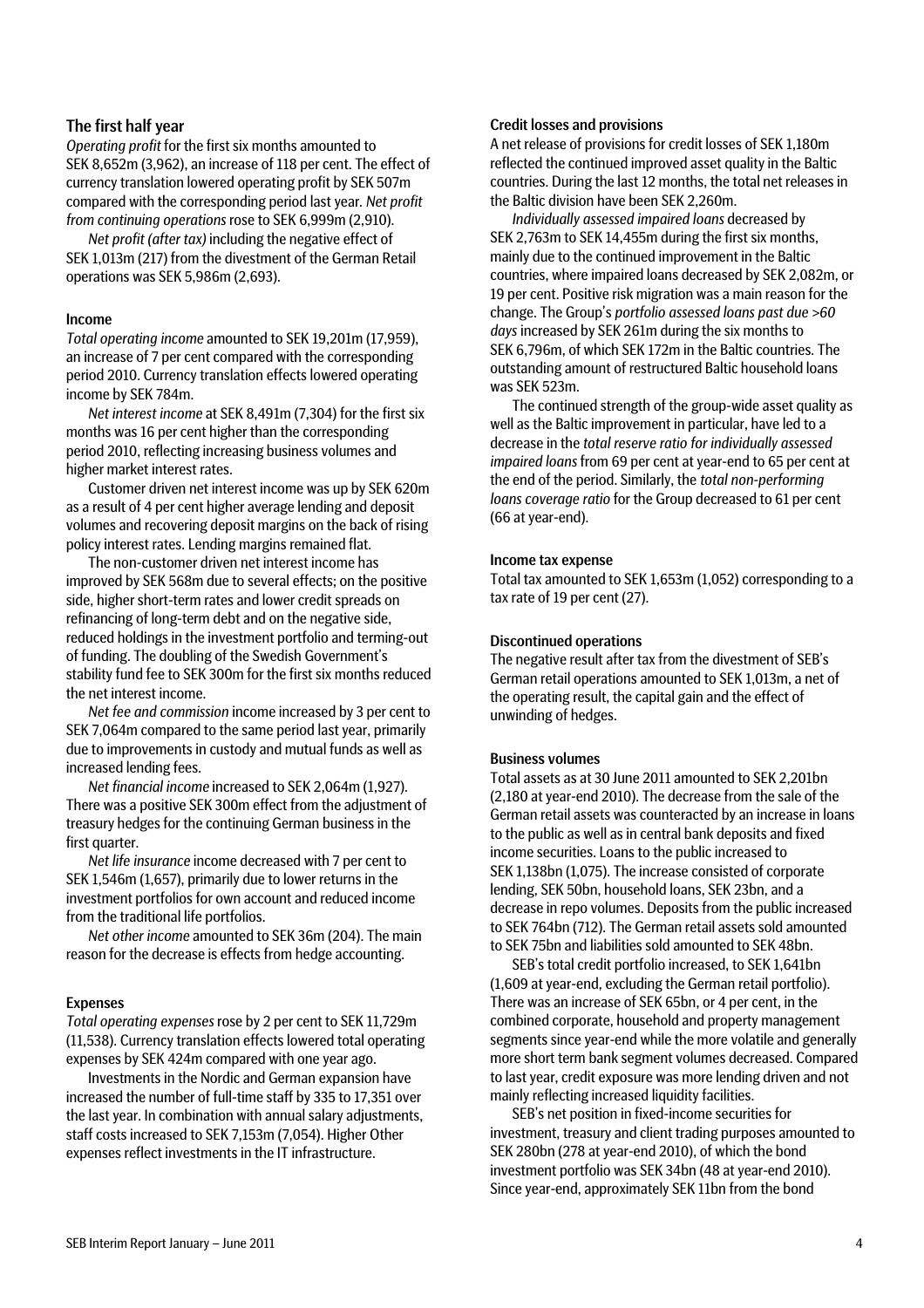#### The first half year

*Operating profit* for the first six months amounted to SEK 8,652m (3,962), an increase of 118 per cent. The effect of currency translation lowered operating profit by SEK 507m compared with the corresponding period last year*. Net profit from continuing operations* rose to SEK 6,999m (2,910).

*Net profit (after tax)* including the negative effect of SEK 1,013m (217) from the divestment of the German Retail operations was SEK 5,986m (2,693).

#### Income

*Total operating income* amounted to SEK 19,201m (17,959), an increase of 7 per cent compared with the corresponding period 2010. Currency translation effects lowered operating income by SEK 784m.

*Net interest income* at SEK 8,491m (7,304) for the first six months was 16 per cent higher than the corresponding period 2010, reflecting increasing business volumes and higher market interest rates.

Customer driven net interest income was up by SEK 620m as a result of 4 per cent higher average lending and deposit volumes and recovering deposit margins on the back of rising policy interest rates. Lending margins remained flat.

The non-customer driven net interest income has improved by SEK 568m due to several effects; on the positive side, higher short-term rates and lower credit spreads on refinancing of long-term debt and on the negative side, reduced holdings in the investment portfolio and terming-out of funding. The doubling of the Swedish Government's stability fund fee to SEK 300m for the first six months reduced the net interest income.

*Net fee and commission* income increased by 3 per cent to SEK 7,064m compared to the same period last year, primarily due to improvements in custody and mutual funds as well as increased lending fees.

*Net financial income* increased to SEK 2,064m (1,927). There was a positive SEK 300m effect from the adjustment of treasury hedges for the continuing German business in the first quarter.

*Net life insurance* income decreased with 7 per cent to SEK 1,546m (1,657), primarily due to lower returns in the investment portfolios for own account and reduced income from the traditional life portfolios.

*Net other income* amounted to SEK 36m (204). The main reason for the decrease is effects from hedge accounting.

#### Expenses

*Total operating expenses* rose by 2 per cent to SEK 11,729m (11,538). Currency translation effects lowered total operating expenses by SEK 424m compared with one year ago.

Investments in the Nordic and German expansion have increased the number of full-time staff by 335 to 17,351 over the last year. In combination with annual salary adjustments, staff costs increased to SEK 7,153m (7,054). Higher Other expenses reflect investments in the IT infrastructure.

#### Credit losses and provisions

A net release of provisions for credit losses of SEK 1,180m reflected the continued improved asset quality in the Baltic countries. During the last 12 months, the total net releases in the Baltic division have been SEK 2,260m.

*Individually assessed impaired loans* decreased by SEK 2,763m to SEK 14,455m during the first six months, mainly due to the continued improvement in the Baltic countries, where impaired loans decreased by SEK 2,082m, or 19 per cent. Positive risk migration was a main reason for the change. The Group's *portfolio assessed loans past due >60 days* increased by SEK 261m during the six months to SEK 6,796m, of which SEK 172m in the Baltic countries. The outstanding amount of restructured Baltic household loans was SEK 523m.

The continued strength of the group-wide asset quality as well as the Baltic improvement in particular, have led to a decrease in the *total reserve ratio for individually assessed impaired loans* from 69 per cent at year-end to 65 per cent at the end of the period. Similarly, the *total non-performing loans coverage ratio* for the Group decreased to 61 per cent (66 at year-end).

#### Income tax expense

Total tax amounted to SEK 1,653m (1,052) corresponding to a tax rate of 19 per cent (27).

#### Discontinued operations

The negative result after tax from the divestment of SEB's German retail operations amounted to SEK 1,013m, a net of the operating result, the capital gain and the effect of unwinding of hedges.

#### Business volumes

Total assets as at 30 June 2011 amounted to SEK 2,201bn (2,180 at year-end 2010). The decrease from the sale of the German retail assets was counteracted by an increase in loans to the public as well as in central bank deposits and fixed income securities. Loans to the public increased to SEK 1,138bn (1,075). The increase consisted of corporate lending, SEK 50bn, household loans, SEK 23bn, and a decrease in repo volumes. Deposits from the public increased to SEK 764bn (712). The German retail assets sold amounted to SEK 75bn and liabilities sold amounted to SEK 48bn.

SEB's total credit portfolio increased, to SEK 1,641bn (1,609 at year-end, excluding the German retail portfolio). There was an increase of SEK 65bn, or 4 per cent, in the combined corporate, household and property management segments since year-end while the more volatile and generally more short term bank segment volumes decreased. Compared to last year, credit exposure was more lending driven and not mainly reflecting increased liquidity facilities.

SEB's net position in fixed-income securities for investment, treasury and client trading purposes amounted to SEK 280bn (278 at year-end 2010), of which the bond investment portfolio was SEK 34bn (48 at year-end 2010). Since year-end, approximately SEK 11bn from the bond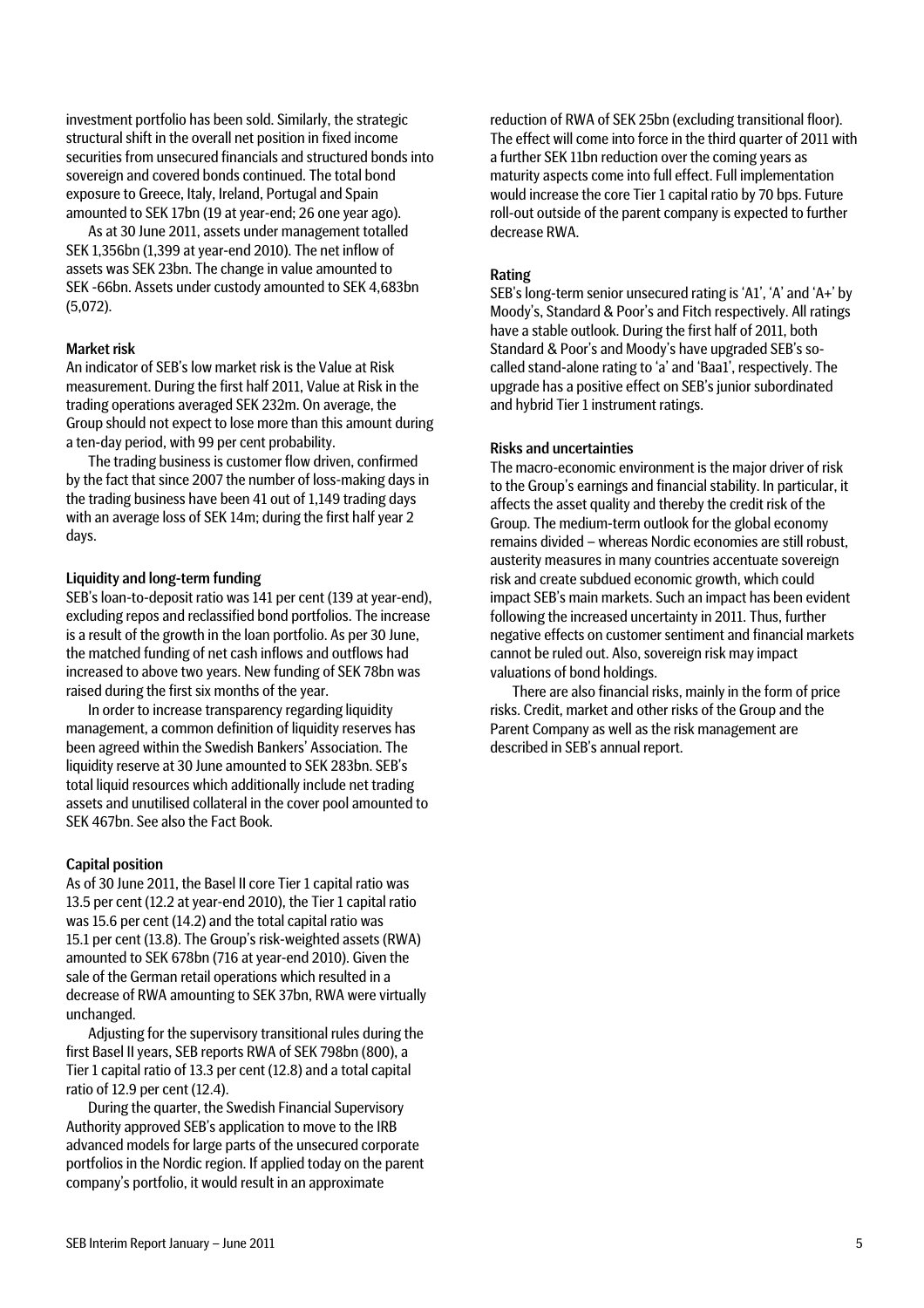investment portfolio has been sold. Similarly, the strategic structural shift in the overall net position in fixed income securities from unsecured financials and structured bonds into sovereign and covered bonds continued. The total bond exposure to Greece, Italy, Ireland, Portugal and Spain amounted to SEK 17bn (19 at year-end; 26 one year ago).

As at 30 June 2011, assets under management totalled SEK 1,356bn (1,399 at year-end 2010). The net inflow of assets was SEK 23bn. The change in value amounted to SEK -66bn. Assets under custody amounted to SEK 4,683bn (5,072).

#### Market risk

An indicator of SEB's low market risk is the Value at Risk measurement. During the first half 2011, Value at Risk in the trading operations averaged SEK 232m. On average, the Group should not expect to lose more than this amount during a ten-day period, with 99 per cent probability.

The trading business is customer flow driven, confirmed by the fact that since 2007 the number of loss-making days in the trading business have been 41 out of 1,149 trading days with an average loss of SEK 14m; during the first half year 2 days.

#### Liquidity and long-term funding

SEB's loan-to-deposit ratio was 141 per cent (139 at year-end), excluding repos and reclassified bond portfolios. The increase is a result of the growth in the loan portfolio. As per 30 June, the matched funding of net cash inflows and outflows had increased to above two years. New funding of SEK 78bn was raised during the first six months of the year.

In order to increase transparency regarding liquidity management, a common definition of liquidity reserves has been agreed within the Swedish Bankers' Association. The liquidity reserve at 30 June amounted to SEK 283bn. SEB's total liquid resources which additionally include net trading assets and unutilised collateral in the cover pool amounted to SEK 467bn. See also the Fact Book.

#### Capital position

As of 30 June 2011, the Basel II core Tier 1 capital ratio was 13.5 per cent (12.2 at year-end 2010), the Tier 1 capital ratio was 15.6 per cent (14.2) and the total capital ratio was 15.1 per cent (13.8). The Group's risk-weighted assets (RWA) amounted to SEK 678bn (716 at year-end 2010). Given the sale of the German retail operations which resulted in a decrease of RWA amounting to SEK 37bn, RWA were virtually unchanged.

Adjusting for the supervisory transitional rules during the first Basel II years, SEB reports RWA of SEK 798bn (800), a Tier 1 capital ratio of 13.3 per cent (12.8) and a total capital ratio of 12.9 per cent (12.4).

During the quarter, the Swedish Financial Supervisory Authority approved SEB's application to move to the IRB advanced models for large parts of the unsecured corporate portfolios in the Nordic region. If applied today on the parent company's portfolio, it would result in an approximate

reduction of RWA of SEK 25bn (excluding transitional floor). The effect will come into force in the third quarter of 2011 with a further SEK 11bn reduction over the coming years as maturity aspects come into full effect. Full implementation would increase the core Tier 1 capital ratio by 70 bps. Future roll-out outside of the parent company is expected to further decrease RWA.

#### Rating

SEB's long-term senior unsecured rating is 'A1', 'A' and 'A+' by Moody's, Standard & Poor's and Fitch respectively. All ratings have a stable outlook. During the first half of 2011, both Standard & Poor's and Moody's have upgraded SEB's socalled stand-alone rating to 'a' and 'Baa1', respectively. The upgrade has a positive effect on SEB's junior subordinated and hybrid Tier 1 instrument ratings.

#### Risks and uncertainties

The macro-economic environment is the major driver of risk to the Group's earnings and financial stability. In particular, it affects the asset quality and thereby the credit risk of the Group. The medium-term outlook for the global economy remains divided – whereas Nordic economies are still robust, austerity measures in many countries accentuate sovereign risk and create subdued economic growth, which could impact SEB's main markets. Such an impact has been evident following the increased uncertainty in 2011. Thus, further negative effects on customer sentiment and financial markets cannot be ruled out. Also, sovereign risk may impact valuations of bond holdings.

There are also financial risks, mainly in the form of price risks. Credit, market and other risks of the Group and the Parent Company as well as the risk management are described in SEB's annual report.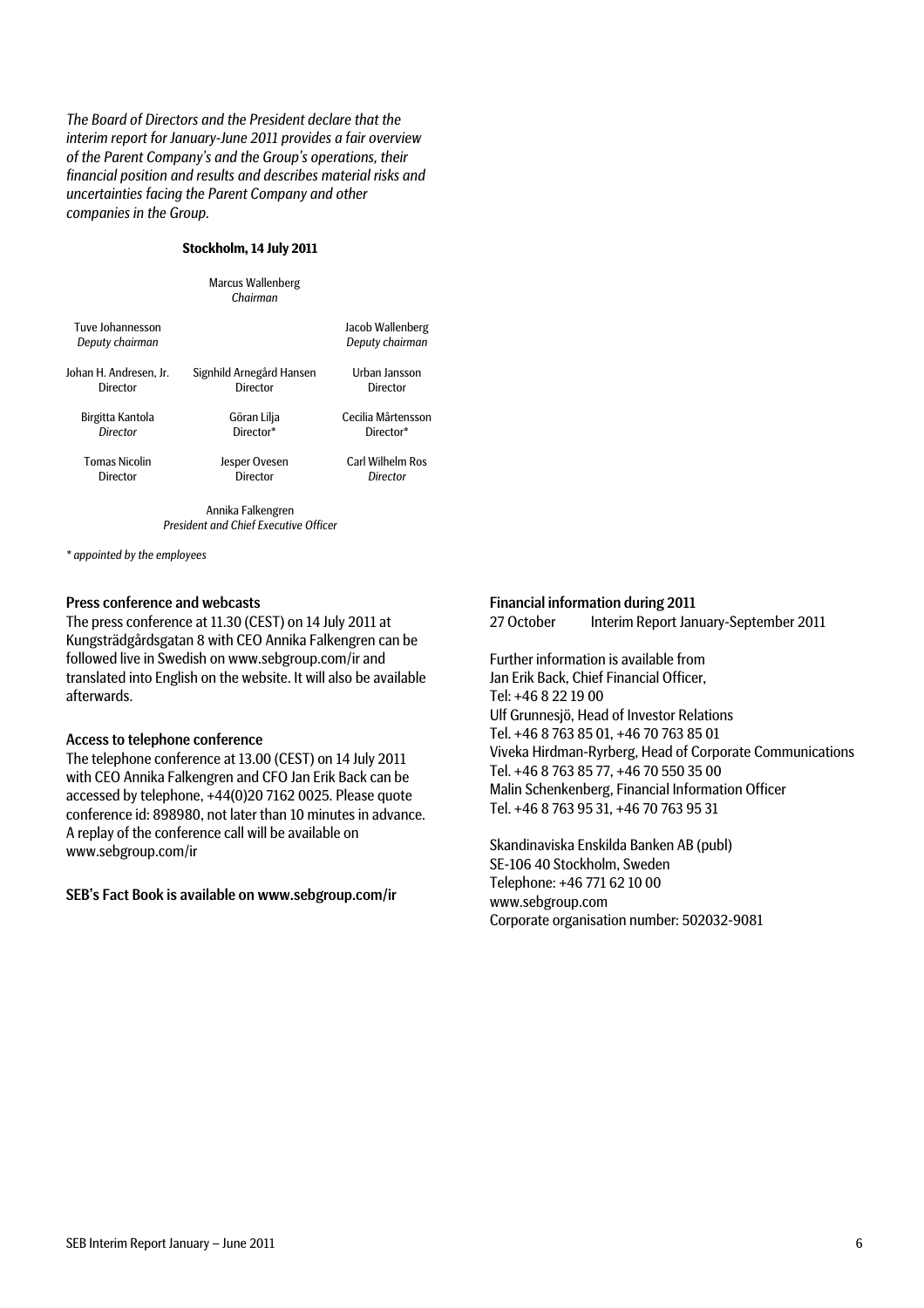*The Board of Directors and the President declare that the interim report for January-June 2011 provides a fair overview of the Parent Company's and the Group's operations, their financial position and results and describes material risks and uncertainties facing the Parent Company and other companies in the Group.* 

#### **Stockholm, 14 July 2011**

|                                     | Marcus Wallenberg<br>Chairman |                                     |
|-------------------------------------|-------------------------------|-------------------------------------|
| Tuve Johannesson<br>Deputy chairman |                               | Jacob Wallenberg<br>Deputy chairman |
| Johan H. Andresen. Jr.              | Signhild Arnegård Hansen      | Urban Jansson                       |
| Director                            | Director                      | Director                            |
| Birgitta Kantola                    | Göran Lilja                   | Cecilia Mårtensson                  |
| Director                            | Director*                     | Director*                           |
| <b>Tomas Nicolin</b>                | Jesper Ovesen                 | Carl Wilhelm Ros                    |
| Director                            | Director                      | Director                            |
|                                     |                               |                                     |

Annika Falkengren *President and Chief Executive Officer*

*\* appointed by the employees*

#### Press conference and webcasts

The press conference at 11.30 (CEST) on 14 July 2011 at Kungsträdgårdsgatan 8 with CEO Annika Falkengren can be followed live in Swedish on www.sebgroup.com/ir and translated into English on the website. It will also be available afterwards.

#### Access to telephone conference

The telephone conference at 13.00 (CEST) on 14 July 2011 with CEO Annika Falkengren and CFO Jan Erik Back can be accessed by telephone, +44(0)20 7162 0025. Please quote conference id: 898980, not later than 10 minutes in advance. A replay of the conference call will be available on www.sebgroup.com/ir

#### SEB's Fact Book is available on www.sebgroup.com/ir

#### Financial information during 2011

27 October Interim Report January-September 2011

Further information is available from Jan Erik Back, Chief Financial Officer, Tel: +46 8 22 19 00 Ulf Grunnesjö, Head of Investor Relations Tel. +46 8 763 85 01, +46 70 763 85 01 Viveka Hirdman-Ryrberg, Head of Corporate Communications Tel. +46 8 763 85 77, +46 70 550 35 00 Malin Schenkenberg, Financial Information Officer Tel. +46 8 763 95 31, +46 70 763 95 31

Skandinaviska Enskilda Banken AB (publ) SE-106 40 Stockholm, Sweden Telephone: +46 771 62 10 00 www.sebgroup.com Corporate organisation number: 502032-9081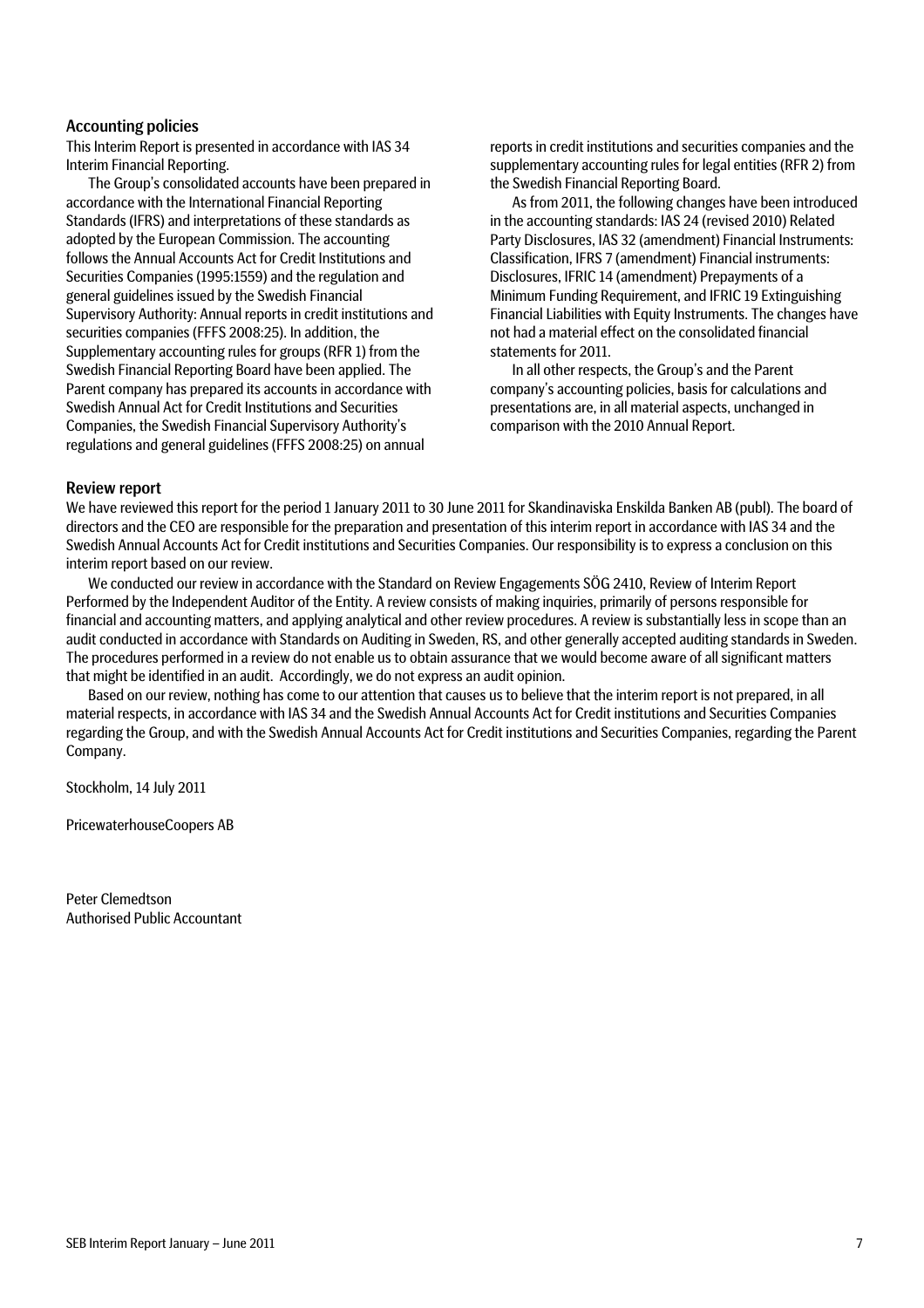#### Accounting policies

This Interim Report is presented in accordance with IAS 34 Interim Financial Reporting.

The Group's consolidated accounts have been prepared in accordance with the International Financial Reporting Standards (IFRS) and interpretations of these standards as adopted by the European Commission. The accounting follows the Annual Accounts Act for Credit Institutions and Securities Companies (1995:1559) and the regulation and general guidelines issued by the Swedish Financial Supervisory Authority: Annual reports in credit institutions and securities companies (FFFS 2008:25). In addition, the Supplementary accounting rules for groups (RFR 1) from the Swedish Financial Reporting Board have been applied. The Parent company has prepared its accounts in accordance with Swedish Annual Act for Credit Institutions and Securities Companies, the Swedish Financial Supervisory Authority's regulations and general guidelines (FFFS 2008:25) on annual

reports in credit institutions and securities companies and the supplementary accounting rules for legal entities (RFR 2) from the Swedish Financial Reporting Board.

As from 2011, the following changes have been introduced in the accounting standards: IAS 24 (revised 2010) Related Party Disclosures, IAS 32 (amendment) Financial Instruments: Classification, IFRS 7 (amendment) Financial instruments: Disclosures, IFRIC 14 (amendment) Prepayments of a Minimum Funding Requirement, and IFRIC 19 Extinguishing Financial Liabilities with Equity Instruments. The changes have not had a material effect on the consolidated financial statements for 2011.

In all other respects, the Group's and the Parent company's accounting policies, basis for calculations and presentations are, in all material aspects, unchanged in comparison with the 2010 Annual Report.

#### Review report

We have reviewed this report for the period 1 January 2011 to 30 June 2011 for Skandinaviska Enskilda Banken AB (publ). The board of directors and the CEO are responsible for the preparation and presentation of this interim report in accordance with IAS 34 and the Swedish Annual Accounts Act for Credit institutions and Securities Companies. Our responsibility is to express a conclusion on this interim report based on our review.

We conducted our review in accordance with the Standard on Review Engagements SÖG 2410, Review of Interim Report Performed by the Independent Auditor of the Entity. A review consists of making inquiries, primarily of persons responsible for financial and accounting matters, and applying analytical and other review procedures. A review is substantially less in scope than an audit conducted in accordance with Standards on Auditing in Sweden, RS, and other generally accepted auditing standards in Sweden. The procedures performed in a review do not enable us to obtain assurance that we would become aware of all significant matters that might be identified in an audit. Accordingly, we do not express an audit opinion.

Based on our review, nothing has come to our attention that causes us to believe that the interim report is not prepared, in all material respects, in accordance with IAS 34 and the Swedish Annual Accounts Act for Credit institutions and Securities Companies regarding the Group, and with the Swedish Annual Accounts Act for Credit institutions and Securities Companies, regarding the Parent Company.

Stockholm, 14 July 2011

PricewaterhouseCoopers AB

Peter Clemedtson Authorised Public Accountant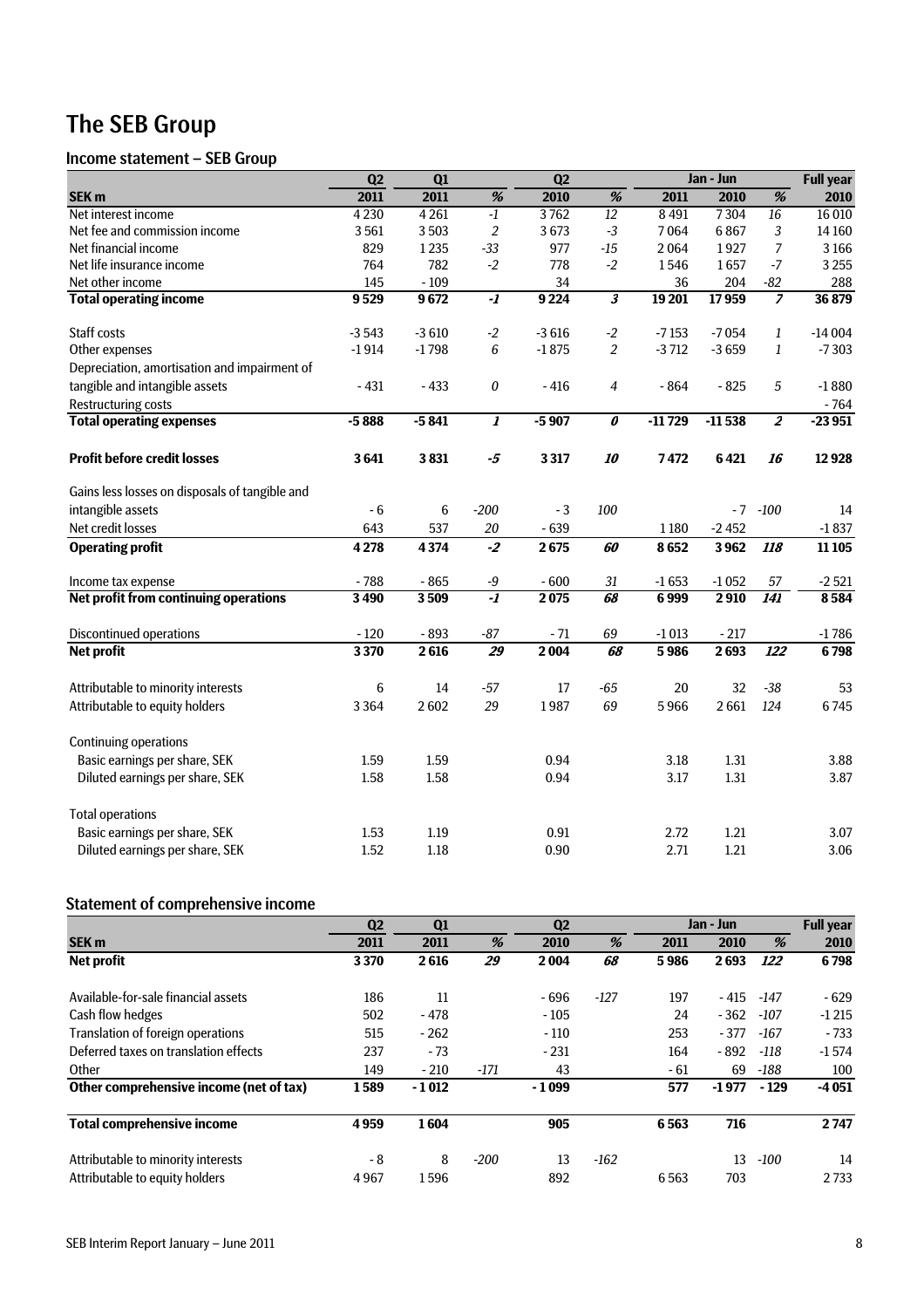## The SEB Group

#### Income statement – SEB Group

|                                                | Q2      | Q1      |                      | $\overline{Q2}$ |                                  |          | Jan - Jun |                         | <b>Full</b> year |
|------------------------------------------------|---------|---------|----------------------|-----------------|----------------------------------|----------|-----------|-------------------------|------------------|
| SEK <sub>m</sub>                               | 2011    | 2011    | %                    | 2010            | $\overline{\%}$                  | 2011     | 2010      | $\overline{\%}$         | 2010             |
| Net interest income                            | 4 2 3 0 | 4 2 6 1 | $-1$                 | 3762            | 12                               | 8 4 9 1  | 7304      | 16                      | 16 010           |
| Net fee and commission income                  | 3561    | 3503    | $\overline{2}$       | 3673            | $-3$                             | 7064     | 6867      | 3                       | 14 160           |
| Net financial income                           | 829     | 1235    | $-33$                | 977             | $-15$                            | 2064     | 1927      | $\overline{7}$          | 3166             |
| Net life insurance income                      | 764     | 782     | $-2$                 | 778             | $-2$                             | 1546     | 1657      | $-7$                    | 3 2 5 5          |
| Net other income                               | 145     | $-109$  |                      | 34              |                                  | 36       | 204       | $-82$                   | 288              |
| <b>Total operating income</b>                  | 9529    | 9672    | $-1$                 | 9224            | $\overline{\mathbf{3}}$          | 19 201   | 17959     |                         | 36 879           |
| Staff costs                                    | $-3543$ | $-3610$ | $-2$                 | $-3616$         | $-2$                             | $-7153$  | $-7054$   | 1                       | $-14004$         |
| Other expenses                                 | $-1914$ | $-1798$ | 6                    | $-1875$         | $\overline{2}$                   | $-3712$  | $-3659$   | $\mathbf{1}$            | $-7303$          |
| Depreciation, amortisation and impairment of   |         |         |                      |                 |                                  |          |           |                         |                  |
| tangible and intangible assets                 | $-431$  | $-433$  | $\pmb{0}$            | $-416$          | 4                                | $-864$   | $-825$    | 5                       | $-1880$          |
| <b>Restructuring costs</b>                     |         |         |                      |                 |                                  |          |           |                         | $-764$           |
| <b>Total operating expenses</b>                | $-5888$ | $-5841$ | 1                    | $-5907$         | $\overline{\boldsymbol{\theta}}$ | $-11729$ | $-11538$  | $\overline{\mathbf{z}}$ | $-23951$         |
| <b>Profit before credit losses</b>             | 3641    | 3831    | $-5$                 | 3 3 1 7         | 10                               | 7472     | 6421      | 16                      | 12928            |
| Gains less losses on disposals of tangible and |         |         |                      |                 |                                  |          |           |                         |                  |
| intangible assets                              | $-6$    | 6       | $-200$               | $-3$            | 100                              |          |           | $-7 - 100$              | 14               |
| Net credit losses                              | 643     | 537     | $20\,$               | $-639$          |                                  | 1180     | $-2452$   |                         | $-1837$          |
| <b>Operating profit</b>                        | 4278    | 4374    | $-2$                 | 2675            | 60                               | 8652     | 3962      | 118                     | 11 10 5          |
| Income tax expense                             | $-788$  | $-865$  | $\textnormal{-}9$    | $-600$          | $31\,$                           | $-1653$  | $-1052$   | 57                      | $-2521$          |
| Net profit from continuing operations          | 3490    | 3509    | $\overline{\cdot l}$ | 2075            | 68                               | 6999     | 2910      | <b>141</b>              | 8584             |
| <b>Discontinued operations</b>                 | $-120$  | $-893$  | $-87$                | $-71$           | 69                               | $-1013$  | $-217$    |                         | $-1786$          |
| <b>Net profit</b>                              | 3370    | 2616    | 29                   | 2004            | 68                               | 5986     | 2693      | 122                     | 6798             |
| Attributable to minority interests             | 6       | 14      | $-57$                | 17              | $-65$                            | 20       | 32        | $-38$                   | 53               |
| Attributable to equity holders                 | 3 3 6 4 | 2602    | 29                   | 1987            | 69                               | 5966     | 2661      | 124                     | 6745             |
| <b>Continuing operations</b>                   |         |         |                      |                 |                                  |          |           |                         |                  |
| Basic earnings per share, SEK                  | 1.59    | 1.59    |                      | 0.94            |                                  | 3.18     | 1.31      |                         | 3.88             |
| Diluted earnings per share, SEK                | 1.58    | 1.58    |                      | 0.94            |                                  | 3.17     | 1.31      |                         | 3.87             |
| <b>Total operations</b>                        |         |         |                      |                 |                                  |          |           |                         |                  |
| Basic earnings per share, SEK                  | 1.53    | 1.19    |                      | 0.91            |                                  | 2.72     | 1.21      |                         | 3.07             |
| Diluted earnings per share, SEK                | 1.52    | 1.18    |                      | 0.90            |                                  | 2.71     | 1.21      |                         | 3.06             |

### Statement of comprehensive income

|                                         | Q <sub>2</sub> | Q1      |        | Q <sub>2</sub> |        |       | Jan - Jun |        | <b>Full year</b> |
|-----------------------------------------|----------------|---------|--------|----------------|--------|-------|-----------|--------|------------------|
| <b>SEK m</b>                            | 2011           | 2011    | %      | 2010           | %      | 2011  | 2010      | %      | 2010             |
| <b>Net profit</b>                       | 3370           | 2616    | 29     | 2004           | 68     | 5986  | 2693      | 122    | 6798             |
| Available-for-sale financial assets     | 186            | 11      |        | - 696          | $-127$ | 197   | $-415$    | -147   | $-629$           |
| Cash flow hedges                        | 502            | $-478$  |        | $-105$         |        | 24    | $-362$    | $-107$ | $-1215$          |
| Translation of foreign operations       | 515            | $-262$  |        | $-110$         |        | 253   | $-377$    | -167   | $-733$           |
| Deferred taxes on translation effects   | 237            | $-73$   |        | $-231$         |        | 164   | - 892     | -118   | $-1574$          |
| Other                                   | 149            | $-210$  | $-171$ | 43             |        | $-61$ | 69        | -188   | 100              |
| Other comprehensive income (net of tax) | 1589           | $-1012$ |        | $-1099$        |        | 577   | $-1977$   | $-129$ | $-4051$          |
| <b>Total comprehensive income</b>       | 4959           | 1604    |        | 905            |        | 6563  | 716       |        | 2747             |
| Attributable to minority interests      | - 8            | 8       | $-200$ | 13             | $-162$ |       | 13        | $-100$ | 14               |
| Attributable to equity holders          | 4967           | 1596    |        | 892            |        | 6563  | 703       |        | 2 7 3 3          |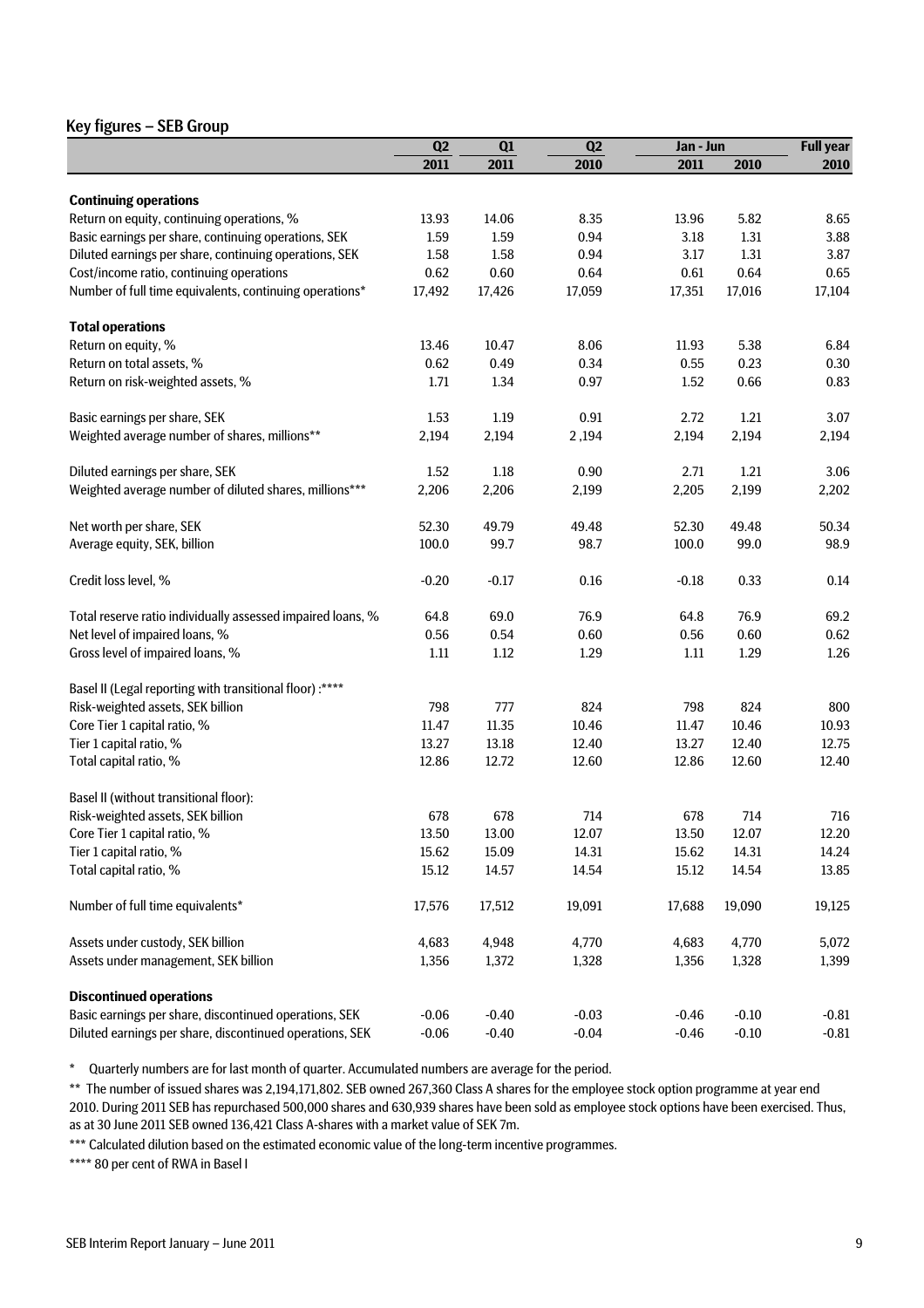#### Key figures – SEB Group

|                                                             | Q2      | Q1      | Q2      | Jan - Jun |         | <b>Full year</b> |
|-------------------------------------------------------------|---------|---------|---------|-----------|---------|------------------|
|                                                             | 2011    | 2011    | 2010    | 2011      | 2010    | 2010             |
|                                                             |         |         |         |           |         |                  |
| <b>Continuing operations</b>                                |         |         |         |           |         |                  |
| Return on equity, continuing operations, %                  | 13.93   | 14.06   | 8.35    | 13.96     | 5.82    | 8.65             |
| Basic earnings per share, continuing operations, SEK        | 1.59    | 1.59    | 0.94    | 3.18      | 1.31    | 3.88             |
| Diluted earnings per share, continuing operations, SEK      | 1.58    | 1.58    | 0.94    | 3.17      | 1.31    | 3.87             |
| Cost/income ratio, continuing operations                    | 0.62    | 0.60    | 0.64    | 0.61      | 0.64    | 0.65             |
| Number of full time equivalents, continuing operations*     | 17,492  | 17,426  | 17,059  | 17,351    | 17,016  | 17,104           |
| <b>Total operations</b>                                     |         |         |         |           |         |                  |
| Return on equity, %                                         | 13.46   | 10.47   | 8.06    | 11.93     | 5.38    | 6.84             |
| Return on total assets, %                                   | 0.62    | 0.49    | 0.34    | 0.55      | 0.23    | 0.30             |
| Return on risk-weighted assets, %                           | 1.71    | 1.34    | 0.97    | 1.52      | 0.66    | 0.83             |
| Basic earnings per share, SEK                               | 1.53    | 1.19    | 0.91    | 2.72      | 1.21    | 3.07             |
| Weighted average number of shares, millions**               | 2,194   | 2,194   | 2,194   | 2,194     | 2,194   | 2,194            |
| Diluted earnings per share, SEK                             | 1.52    | 1.18    | 0.90    | 2.71      | 1.21    | 3.06             |
| Weighted average number of diluted shares, millions***      | 2,206   | 2,206   | 2,199   | 2,205     | 2,199   | 2,202            |
|                                                             |         |         |         |           |         |                  |
| Net worth per share, SEK                                    | 52.30   | 49.79   | 49.48   | 52.30     | 49.48   | 50.34            |
| Average equity, SEK, billion                                | 100.0   | 99.7    | 98.7    | 100.0     | 99.0    | 98.9             |
| Credit loss level, %                                        | $-0.20$ | $-0.17$ | 0.16    | $-0.18$   | 0.33    | 0.14             |
| Total reserve ratio individually assessed impaired loans, % | 64.8    | 69.0    | 76.9    | 64.8      | 76.9    | 69.2             |
| Net level of impaired loans, %                              | 0.56    | 0.54    | 0.60    | 0.56      | 0.60    | 0.62             |
| Gross level of impaired loans, %                            | 1.11    | 1.12    | 1.29    | 1.11      | 1.29    | 1.26             |
| Basel II (Legal reporting with transitional floor):****     |         |         |         |           |         |                  |
| Risk-weighted assets, SEK billion                           | 798     | 777     | 824     | 798       | 824     | 800              |
| Core Tier 1 capital ratio, %                                | 11.47   | 11.35   | 10.46   | 11.47     | 10.46   | 10.93            |
| Tier 1 capital ratio, %                                     | 13.27   | 13.18   | 12.40   | 13.27     | 12.40   | 12.75            |
| Total capital ratio, %                                      | 12.86   | 12.72   | 12.60   | 12.86     | 12.60   | 12.40            |
| Basel II (without transitional floor):                      |         |         |         |           |         |                  |
| Risk-weighted assets, SEK billion                           | 678     | 678     | 714     | 678       | 714     | 716              |
| Core Tier 1 capital ratio, %                                | 13.50   | 13.00   | 12.07   | 13.50     | 12.07   | 12.20            |
| Tier 1 capital ratio, %                                     | 15.62   | 15.09   | 14.31   | 15.62     | 14.31   | 14.24            |
| Total capital ratio, %                                      | 15.12   | 14.57   | 14.54   | 15.12     | 14.54   | 13.85            |
|                                                             |         |         |         |           |         |                  |
| Number of full time equivalents*                            | 17,576  | 17,512  | 19,091  | 17,688    | 19,090  | 19,125           |
| Assets under custody, SEK billion                           | 4,683   | 4,948   | 4,770   | 4,683     | 4,770   | 5,072            |
| Assets under management, SEK billion                        | 1,356   | 1,372   | 1,328   | 1,356     | 1,328   | 1,399            |
| <b>Discontinued operations</b>                              |         |         |         |           |         |                  |
| Basic earnings per share, discontinued operations, SEK      | $-0.06$ | $-0.40$ | $-0.03$ | $-0.46$   | $-0.10$ | $-0.81$          |
| Diluted earnings per share, discontinued operations, SEK    | $-0.06$ | $-0.40$ | $-0.04$ | $-0.46$   | $-0.10$ | $-0.81$          |

\* Quarterly numbers are for last month of quarter. Accumulated numbers are average for the period.

\*\* The number of issued shares was 2,194,171,802. SEB owned 267,360 Class A shares for the employee stock option programme at year end 2010. During 2011 SEB has repurchased 500,000 shares and 630,939 shares have been sold as employee stock options have been exercised. Thus, as at 30 June 2011 SEB owned 136,421 Class A-shares with a market value of SEK 7m.

\*\*\* Calculated dilution based on the estimated economic value of the long-term incentive programmes.

\*\*\*\* 80 per cent of RWA in Basel I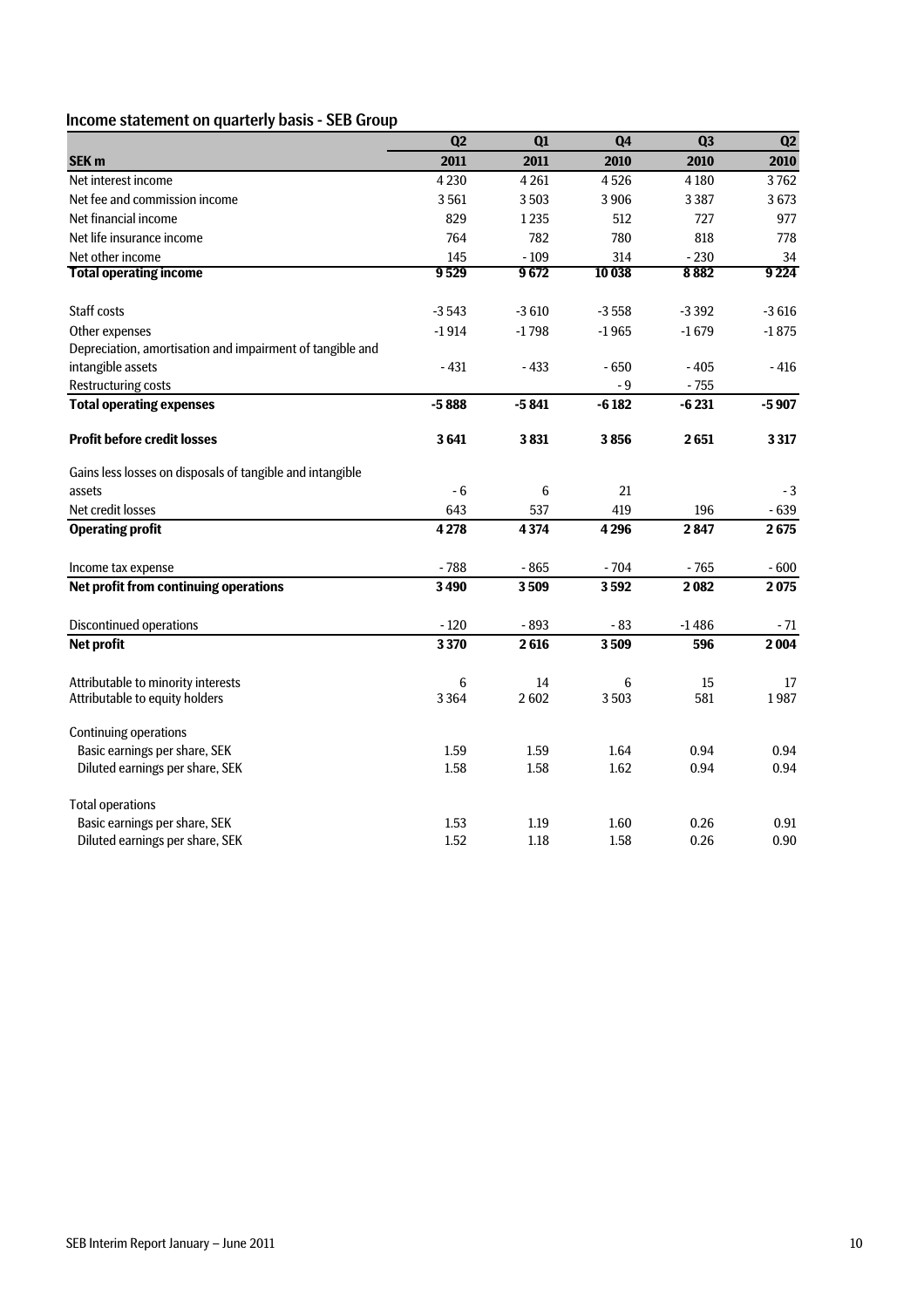### Income statement on quarterly basis - SEB Group

|                                                           | Q2      | Q1      | Q <sub>4</sub> | Q <sub>3</sub> | Q2      |
|-----------------------------------------------------------|---------|---------|----------------|----------------|---------|
| SEK <sub>m</sub>                                          | 2011    | 2011    | 2010           | 2010           | 2010    |
| Net interest income                                       | 4 2 3 0 | 4261    | 4526           | 4 1 8 0        | 3762    |
| Net fee and commission income                             | 3561    | 3503    | 3906           | 3 3 8 7        | 3673    |
| Net financial income                                      | 829     | 1235    | 512            | 727            | 977     |
| Net life insurance income                                 | 764     | 782     | 780            | 818            | 778     |
| Net other income                                          | 145     | $-109$  | 314            | $-230$         | 34      |
| <b>Total operating income</b>                             | 9529    | 9672    | 10 038         | 8882           | 9 2 2 4 |
| <b>Staff costs</b>                                        | $-3543$ | $-3610$ | $-3558$        | $-3392$        | $-3616$ |
| Other expenses                                            | $-1914$ | $-1798$ | $-1965$        | $-1679$        | $-1875$ |
| Depreciation, amortisation and impairment of tangible and |         |         |                |                |         |
| intangible assets                                         | $-431$  | $-433$  | $-650$         | $-405$         | $-416$  |
| <b>Restructuring costs</b>                                |         |         | - 9            | $-755$         |         |
| <b>Total operating expenses</b>                           | $-5888$ | $-5841$ | $-6182$        | $-6231$        | $-5907$ |
| <b>Profit before credit losses</b>                        | 3641    | 3831    | 3856           | 2651           | 3317    |
| Gains less losses on disposals of tangible and intangible |         |         |                |                |         |
| assets                                                    | - 6     | 6       | 21             |                | $-3$    |
| Net credit losses                                         | 643     | 537     | 419            | 196            | $-639$  |
| <b>Operating profit</b>                                   | 4278    | 4374    | 4 2 9 6        | 2847           | 2675    |
| Income tax expense                                        | $-788$  | $-865$  | $-704$         | $-765$         | $-600$  |
| Net profit from continuing operations                     | 3490    | 3509    | 3592           | 2082           | 2075    |
| Discontinued operations                                   | $-120$  | $-893$  | $-83$          | $-1486$        | - 71    |
| <b>Net profit</b>                                         | 3370    | 2616    | 3509           | 596            | 2004    |
| Attributable to minority interests                        | 6       | 14      | 6              | 15             | 17      |
| Attributable to equity holders                            | 3 3 6 4 | 2602    | 3503           | 581            | 1987    |
| <b>Continuing operations</b>                              |         |         |                |                |         |
| Basic earnings per share, SEK                             | 1.59    | 1.59    | 1.64           | 0.94           | 0.94    |
| Diluted earnings per share, SEK                           | 1.58    | 1.58    | 1.62           | 0.94           | 0.94    |
| <b>Total operations</b>                                   |         |         |                |                |         |
| Basic earnings per share, SEK                             | 1.53    | 1.19    | 1.60           | 0.26           | 0.91    |
| Diluted earnings per share, SEK                           | 1.52    | 1.18    | 1.58           | 0.26           | 0.90    |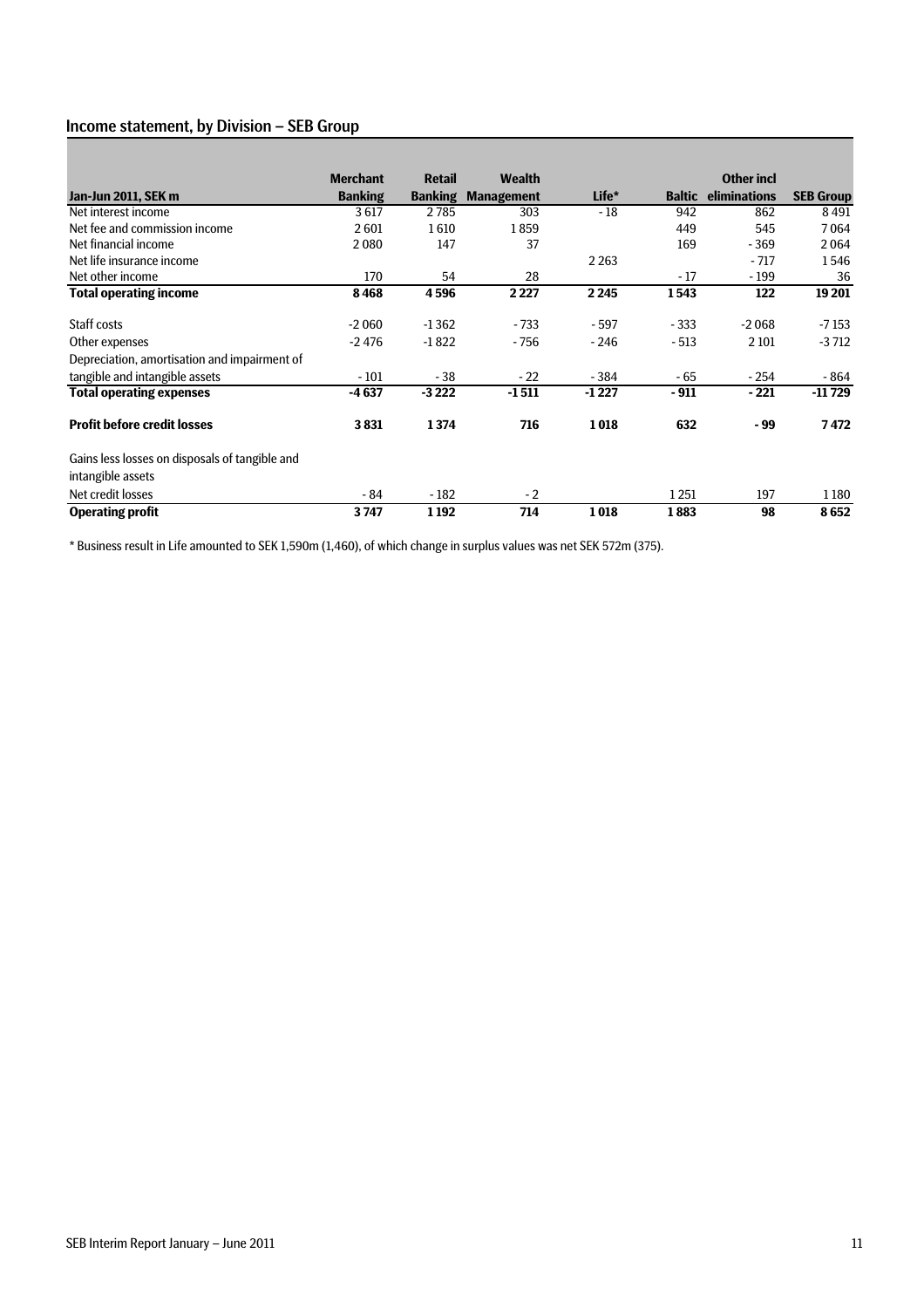#### Income statement, by Division – SEB Group

|                                                | <b>Merchant</b> | <b>Retail</b>  | <b>Wealth</b>     |         |               | <b>Other incl</b> |                  |
|------------------------------------------------|-----------------|----------------|-------------------|---------|---------------|-------------------|------------------|
| Jan-Jun 2011, SEK m                            | <b>Banking</b>  | <b>Banking</b> | <b>Management</b> | Life*   | <b>Baltic</b> | eliminations      | <b>SEB Group</b> |
| Net interest income                            | 3617            | 2785           | 303               | $-18$   | 942           | 862               | 8491             |
| Net fee and commission income                  | 2601            | 1610           | 1859              |         | 449           | 545               | 7064             |
| Net financial income                           | 2080            | 147            | 37                |         | 169           | $-369$            | 2064             |
| Net life insurance income                      |                 |                |                   | 2 2 6 3 |               | $-717$            | 1546             |
| Net other income                               | 170             | 54             | 28                |         | $-17$         | $-199$            | 36               |
| <b>Total operating income</b>                  | 8468            | 4596           | 2 2 2 7           | 2 2 4 5 | 1543          | 122               | 19 201           |
| Staff costs                                    | $-2060$         | $-1362$        | $-733$            | $-597$  | $-333$        | $-2068$           | -7 153           |
| Other expenses                                 | $-2476$         | $-1822$        | $-756$            | $-246$  | $-513$        | 2 1 0 1           | $-3712$          |
| Depreciation, amortisation and impairment of   |                 |                |                   |         |               |                   |                  |
| tangible and intangible assets                 | $-101$          | $-38$          | $-22$             | $-384$  | - 65          | $-254$            | - 864            |
| <b>Total operating expenses</b>                | $-4637$         | $-3222$        | $-1511$           | $-1227$ | $-911$        | $-221$            | $-11729$         |
| <b>Profit before credit losses</b>             | 3831            | 1374           | 716               | 1018    | 632           | - 99              | 7472             |
| Gains less losses on disposals of tangible and |                 |                |                   |         |               |                   |                  |
| intangible assets                              |                 |                |                   |         |               |                   |                  |
| Net credit losses                              | - 84            | $-182$         | $-2$              |         | 1251          | 197               | 1180             |
| <b>Operating profit</b>                        | 3747            | 1192           | 714               | 1018    | 1883          | 98                | 8652             |

\* Business result in Life amounted to SEK 1,590m (1,460), of which change in surplus values was net SEK 572m (375).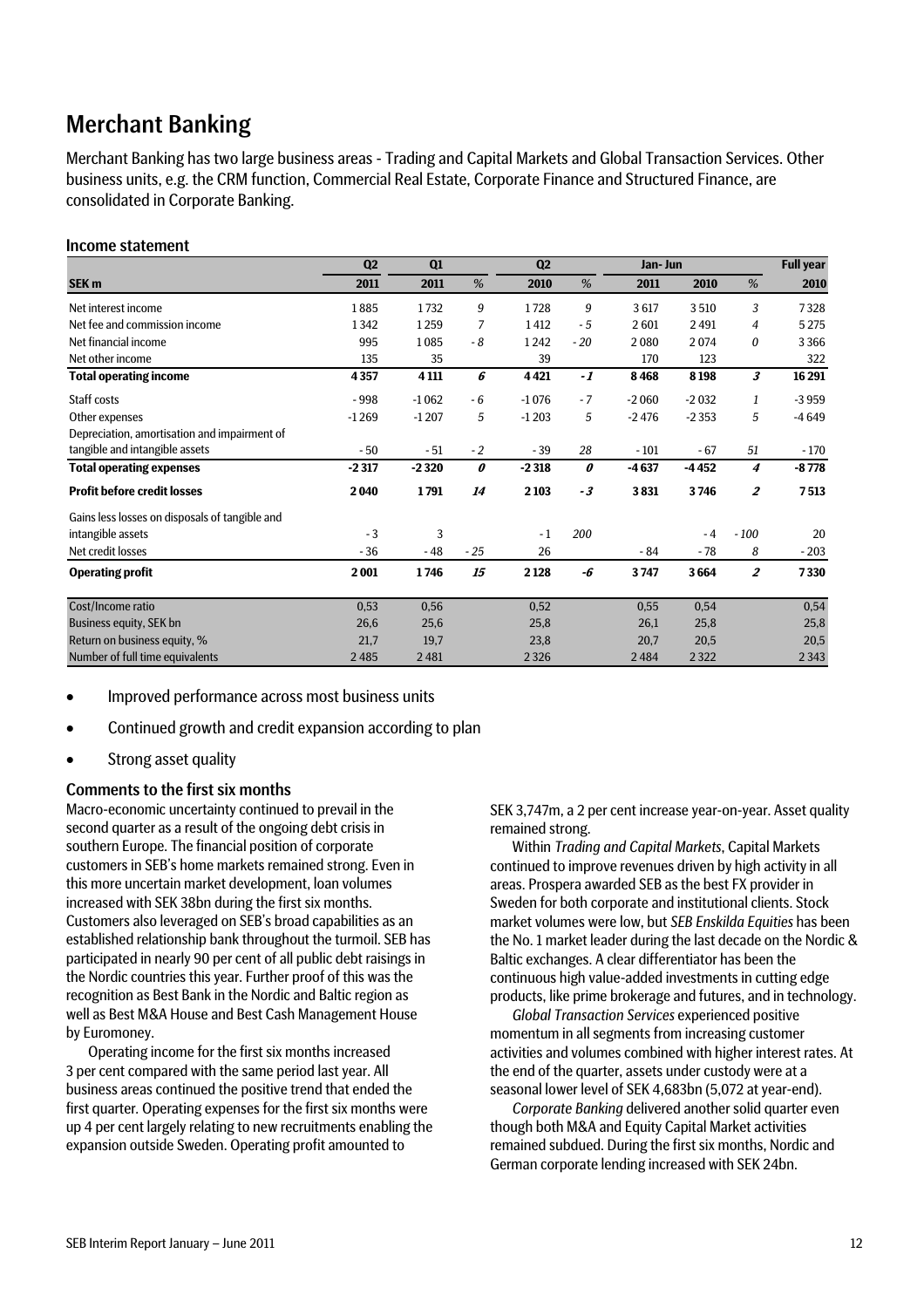### Merchant Banking

Merchant Banking has two large business areas - Trading and Capital Markets and Global Transaction Services. Other business units, e.g. the CRM function, Commercial Real Estate, Corporate Finance and Structured Finance, are consolidated in Corporate Banking.

#### Income statement

|                                                | Q <sub>2</sub> | Q1      |       | Q <sub>2</sub> |       | Jan- Jun |         |                  | <b>Full year</b> |
|------------------------------------------------|----------------|---------|-------|----------------|-------|----------|---------|------------------|------------------|
| SEK <sub>m</sub>                               | 2011           | 2011    | %     | 2010           | %     | 2011     | 2010    | %                | 2010             |
| Net interest income                            | 1885           | 1732    | 9     | 1728           | 9     | 3617     | 3510    | 3                | 7328             |
| Net fee and commission income                  | 1342           | 1259    | 7     | 1412           | $-5$  | 2601     | 2491    | 4                | 5 2 7 5          |
| Net financial income                           | 995            | 1085    | $-8$  | 1242           | $-20$ | 2080     | 2074    | 0                | 3366             |
| Net other income                               | 135            | 35      |       | 39             |       | 170      | 123     |                  | 322              |
| <b>Total operating income</b>                  | 4357           | 4 1 11  | 6     | 4421           | $-1$  | 8468     | 8198    | 3                | 16 291           |
| Staff costs                                    | $-998$         | $-1062$ | $-6$  | $-1076$        | $-7$  | $-2060$  | $-2032$ | 1                | $-3959$          |
| Other expenses                                 | $-1269$        | $-1207$ | 5     | $-1203$        | 5     | $-2476$  | $-2353$ | 5                | $-4649$          |
| Depreciation, amortisation and impairment of   |                |         |       |                |       |          |         |                  |                  |
| tangible and intangible assets                 | $-50$          | $-51$   | $-2$  | $-39$          | 28    | $-101$   | $-67$   | 51               | $-170$           |
| <b>Total operating expenses</b>                | $-2317$        | $-2320$ | 0     | $-2318$        | 0     | $-4637$  | $-4452$ | 4                | $-8778$          |
| <b>Profit before credit losses</b>             | 2040           | 1791    | 14    | 2103           | $-3$  | 3831     | 3746    | $\overline{2}$   | 7513             |
| Gains less losses on disposals of tangible and |                |         |       |                |       |          |         |                  |                  |
| intangible assets                              | $-3$           | 3       |       | $-1$           | 200   |          | $-4$    | $-100$           | 20               |
| Net credit losses                              | $-36$          | - 48    | $-25$ | 26             |       | $-84$    | $-78$   | 8                | $-203$           |
| <b>Operating profit</b>                        | 2001           | 1746    | 15    | 2 1 2 8        | -6    | 3747     | 3664    | $\boldsymbol{2}$ | 7330             |
| Cost/Income ratio                              | 0,53           | 0,56    |       | 0,52           |       | 0,55     | 0,54    |                  | 0,54             |
| Business equity, SEK bn                        | 26,6           | 25,6    |       | 25,8           |       | 26,1     | 25,8    |                  | 25,8             |
| Return on business equity, %                   | 21,7           | 19,7    |       | 23,8           |       | 20,7     | 20,5    |                  | 20,5             |
| Number of full time equivalents                | 2485           | 2481    |       | 2326           |       | 2484     | 2 3 2 2 |                  | 2343             |

- Improved performance across most business units
- Continued growth and credit expansion according to plan
- Strong asset quality

#### Comments to the first six months

Macro-economic uncertainty continued to prevail in the second quarter as a result of the ongoing debt crisis in southern Europe. The financial position of corporate customers in SEB's home markets remained strong. Even in this more uncertain market development, loan volumes increased with SEK 38bn during the first six months. Customers also leveraged on SEB's broad capabilities as an established relationship bank throughout the turmoil. SEB has participated in nearly 90 per cent of all public debt raisings in the Nordic countries this year. Further proof of this was the recognition as Best Bank in the Nordic and Baltic region as well as Best M&A House and Best Cash Management House by Euromoney.

Operating income for the first six months increased 3 per cent compared with the same period last year. All business areas continued the positive trend that ended the first quarter*.* Operating expenses for the first six months were up 4 per cent largely relating to new recruitments enabling the expansion outside Sweden. Operating profit amounted to

SEK 3,747m, a 2 per cent increase year-on-year. Asset quality remained strong.

Within *Trading and Capital Markets*, Capital Markets continued to improve revenues driven by high activity in all areas. Prospera awarded SEB as the best FX provider in Sweden for both corporate and institutional clients. Stock market volumes were low, but *SEB Enskilda Equities* has been the No. 1 market leader during the last decade on the Nordic & Baltic exchanges. A clear differentiator has been the continuous high value-added investments in cutting edge products, like prime brokerage and futures, and in technology.

*Global Transaction Services* experienced positive momentum in all segments from increasing customer activities and volumes combined with higher interest rates. At the end of the quarter, assets under custody were at a seasonal lower level of SEK 4,683bn (5,072 at year-end).

*Corporate Banking* delivered another solid quarter even though both M&A and Equity Capital Market activities remained subdued. During the first six months, Nordic and German corporate lending increased with SEK 24bn.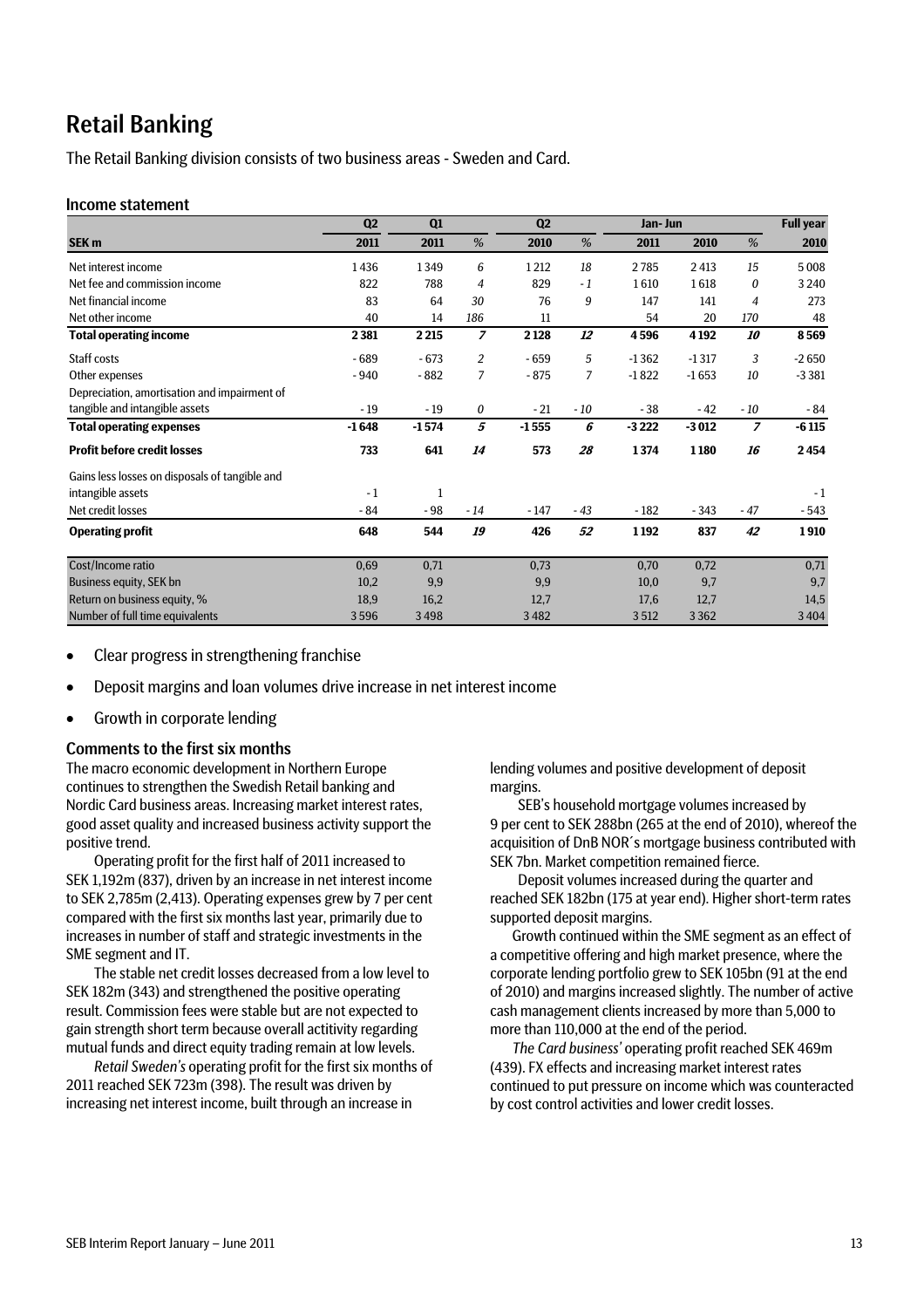### Retail Banking

The Retail Banking division consists of two business areas - Sweden and Card.

#### Income statement

|                                                | Q2      | Q1           |                | Q <sub>2</sub> |       | Jan- Jun |         |                | <b>Full year</b> |
|------------------------------------------------|---------|--------------|----------------|----------------|-------|----------|---------|----------------|------------------|
| SEK <sub>m</sub>                               | 2011    | 2011         | $\%$           | 2010           | %     | 2011     | 2010    | %              | 2010             |
| Net interest income                            | 1436    | 1349         | 6              | 1212           | 18    | 2785     | 2 4 13  | 15             | 5008             |
| Net fee and commission income                  | 822     | 788          | 4              | 829            | $-1$  | 1610     | 1618    | 0              | 3 2 4 0          |
| Net financial income                           | 83      | 64           | 30             | 76             | 9     | 147      | 141     | 4              | 273              |
| Net other income                               | 40      | 14           | 186            | 11             |       | 54       | 20      | 170            | 48               |
| <b>Total operating income</b>                  | 2381    | 2 2 1 5      | $\overline{z}$ | 2 1 2 8        | 12    | 4596     | 4 1 9 2 | 10             | 8569             |
| Staff costs                                    | - 689   | $-673$       | 2              | $-659$         | 5     | $-1362$  | $-1317$ | 3              | $-2650$          |
| Other expenses                                 | $-940$  | $-882$       | 7              | $-875$         | 7     | $-1822$  | $-1653$ | 10             | $-3381$          |
| Depreciation, amortisation and impairment of   |         |              |                |                |       |          |         |                |                  |
| tangible and intangible assets                 | $-19$   | $-19$        | 0              | $-21$          | $-10$ | $-38$    | $-42$   | $-10$          | - 84             |
| <b>Total operating expenses</b>                | $-1648$ | $-1574$      | 5              | $-1555$        | 6     | $-3222$  | $-3012$ | $\overline{z}$ | $-6115$          |
| <b>Profit before credit losses</b>             | 733     | 641          | 14             | 573            | 28    | 1374     | 1180    | 16             | 2454             |
| Gains less losses on disposals of tangible and |         |              |                |                |       |          |         |                |                  |
| intangible assets                              | $-1$    | $\mathbf{1}$ |                |                |       |          |         |                | $-1$             |
| Net credit losses                              | $-84$   | $-98$        | $-14$          | $-147$         | $-43$ | $-182$   | $-343$  | $-47$          | - 543            |
| <b>Operating profit</b>                        | 648     | 544          | 19             | 426            | 52    | 1192     | 837     | 42             | 1910             |
| Cost/Income ratio                              | 0,69    | 0,71         |                | 0,73           |       | 0,70     | 0,72    |                | 0,71             |
| Business equity, SEK bn                        | 10,2    | 9,9          |                | 9,9            |       | 10,0     | 9,7     |                | 9,7              |
| Return on business equity, %                   | 18,9    | 16,2         |                | 12,7           |       | 17,6     | 12,7    |                | 14,5             |
| Number of full time equivalents                | 3596    | 3498         |                | 3482           |       | 3512     | 3362    |                | 3 4 0 4          |

- Clear progress in strengthening franchise
- Deposit margins and loan volumes drive increase in net interest income
- Growth in corporate lending

#### Comments to the first six months

The macro economic development in Northern Europe continues to strengthen the Swedish Retail banking and Nordic Card business areas. Increasing market interest rates, good asset quality and increased business activity support the positive trend.

Operating profit for the first half of 2011 increased to SEK 1,192m (837), driven by an increase in net interest income to SEK 2,785m (2,413). Operating expenses grew by 7 per cent compared with the first six months last year, primarily due to increases in number of staff and strategic investments in the SME segment and IT.

The stable net credit losses decreased from a low level to SEK 182m (343) and strengthened the positive operating result. Commission fees were stable but are not expected to gain strength short term because overall actitivity regarding mutual funds and direct equity trading remain at low levels.

*Retail Sweden's* operating profit for the first six months of 2011 reached SEK 723m (398). The result was driven by increasing net interest income, built through an increase in

lending volumes and positive development of deposit margins.

SEB's household mortgage volumes increased by 9 per cent to SEK 288bn (265 at the end of 2010), whereof the acquisition of DnB NOR´s mortgage business contributed with SEK 7bn. Market competition remained fierce.

Deposit volumes increased during the quarter and reached SEK 182bn (175 at year end). Higher short-term rates supported deposit margins.

Growth continued within the SME segment as an effect of a competitive offering and high market presence, where the corporate lending portfolio grew to SEK 105bn (91 at the end of 2010) and margins increased slightly. The number of active cash management clients increased by more than 5,000 to more than 110,000 at the end of the period.

*The Card business'* operating profit reached SEK 469m (439). FX effects and increasing market interest rates continued to put pressure on income which was counteracted by cost control activities and lower credit losses.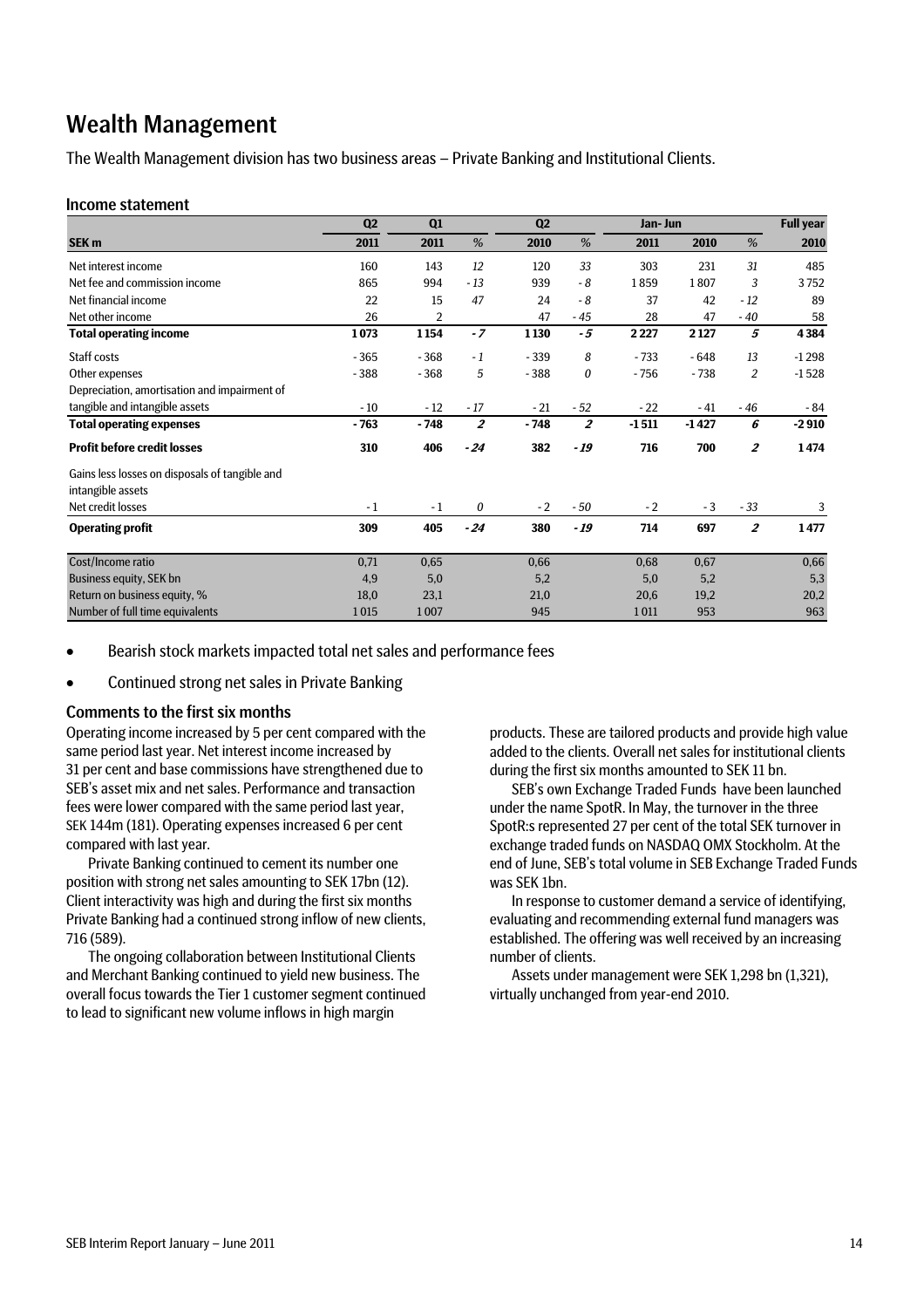### Wealth Management

The Wealth Management division has two business areas – Private Banking and Institutional Clients.

#### Income statement

|                                                | Q <sub>2</sub> | Q1     |                | Q <sub>2</sub> |                | Jan- Jun |         |                | <b>Full year</b> |
|------------------------------------------------|----------------|--------|----------------|----------------|----------------|----------|---------|----------------|------------------|
| SEK <sub>m</sub>                               | 2011           | 2011   | %              | 2010           | %              | 2011     | 2010    | %              | 2010             |
| Net interest income                            | 160            | 143    | 12             | 120            | 33             | 303      | 231     | 31             | 485              |
| Net fee and commission income                  | 865            | 994    | $-13$          | 939            | $-8$           | 1859     | 1807    | 3              | 3752             |
| Net financial income                           | 22             | 15     | 47             | 24             | $-8$           | 37       | 42      | $-12$          | 89               |
| Net other income                               | 26             | 2      |                | 47             | $-45$          | 28       | 47      | $-40$          | 58               |
| <b>Total operating income</b>                  | 1073           | 1154   | $-7$           | 1 1 30         | $-5$           | 2227     | 2 1 2 7 | 5              | 4384             |
| Staff costs                                    | $-365$         | $-368$ | $-1$           | $-339$         | 8              | $-733$   | $-648$  | 13             | $-1298$          |
| Other expenses                                 | $-388$         | $-368$ | 5              | $-388$         | 0              | $-756$   | $-738$  | $\overline{2}$ | $-1528$          |
| Depreciation, amortisation and impairment of   |                |        |                |                |                |          |         |                |                  |
| tangible and intangible assets                 | $-10$          | $-12$  | $-17$          | $-21$          | $-52$          | $-22$    | $-41$   | - 46           | - 84             |
| <b>Total operating expenses</b>                | $-763$         | $-748$ | $\overline{2}$ | $-748$         | $\overline{z}$ | $-1511$  | $-1427$ | 6              | $-2910$          |
| <b>Profit before credit losses</b>             | 310            | 406    | $-24$          | 382            | - 19           | 716      | 700     | $\overline{2}$ | 1474             |
| Gains less losses on disposals of tangible and |                |        |                |                |                |          |         |                |                  |
| intangible assets                              |                |        |                |                |                |          |         |                |                  |
| Net credit losses                              | $-1$           | $-1$   | 0              | $-2$           | $-50$          | $-2$     | $-3$    | $-33$          | 3                |
| <b>Operating profit</b>                        | 309            | 405    | $-24$          | 380            | - 19           | 714      | 697     | $\overline{2}$ | 1477             |
| Cost/Income ratio                              | 0,71           | 0,65   |                | 0,66           |                | 0,68     | 0,67    |                | 0,66             |
| Business equity, SEK bn                        | 4,9            | 5,0    |                | 5,2            |                | 5,0      | 5,2     |                | 5,3              |
| Return on business equity, %                   | 18,0           | 23,1   |                | 21,0           |                | 20,6     | 19,2    |                | 20,2             |
| Number of full time equivalents                | 1015           | 1007   |                | 945            |                | 1011     | 953     |                | 963              |

Bearish stock markets impacted total net sales and performance fees

Continued strong net sales in Private Banking

#### Comments to the first six months

Operating income increased by 5 per cent compared with the same period last year. Net interest income increased by 31 per cent and base commissions have strengthened due to SEB's asset mix and net sales. Performance and transaction fees were lower compared with the same period last year, SEK 144m (181). Operating expenses increased 6 per cent compared with last year.

Private Banking continued to cement its number one position with strong net sales amounting to SEK 17bn (12). Client interactivity was high and during the first six months Private Banking had a continued strong inflow of new clients, 716 (589).

The ongoing collaboration between Institutional Clients and Merchant Banking continued to yield new business. The overall focus towards the Tier 1 customer segment continued to lead to significant new volume inflows in high margin

products. These are tailored products and provide high value added to the clients. Overall net sales for institutional clients during the first six months amounted to SEK 11 bn.

SEB's own Exchange Traded Funds have been launched under the name SpotR. In May, the turnover in the three SpotR:s represented 27 per cent of the total SEK turnover in exchange traded funds on NASDAQ OMX Stockholm. At the end of June, SEB's total volume in SEB Exchange Traded Funds was SEK 1bn.

In response to customer demand a service of identifying, evaluating and recommending external fund managers was established. The offering was well received by an increasing number of clients.

Assets under management were SEK 1,298 bn (1,321), virtually unchanged from year-end 2010.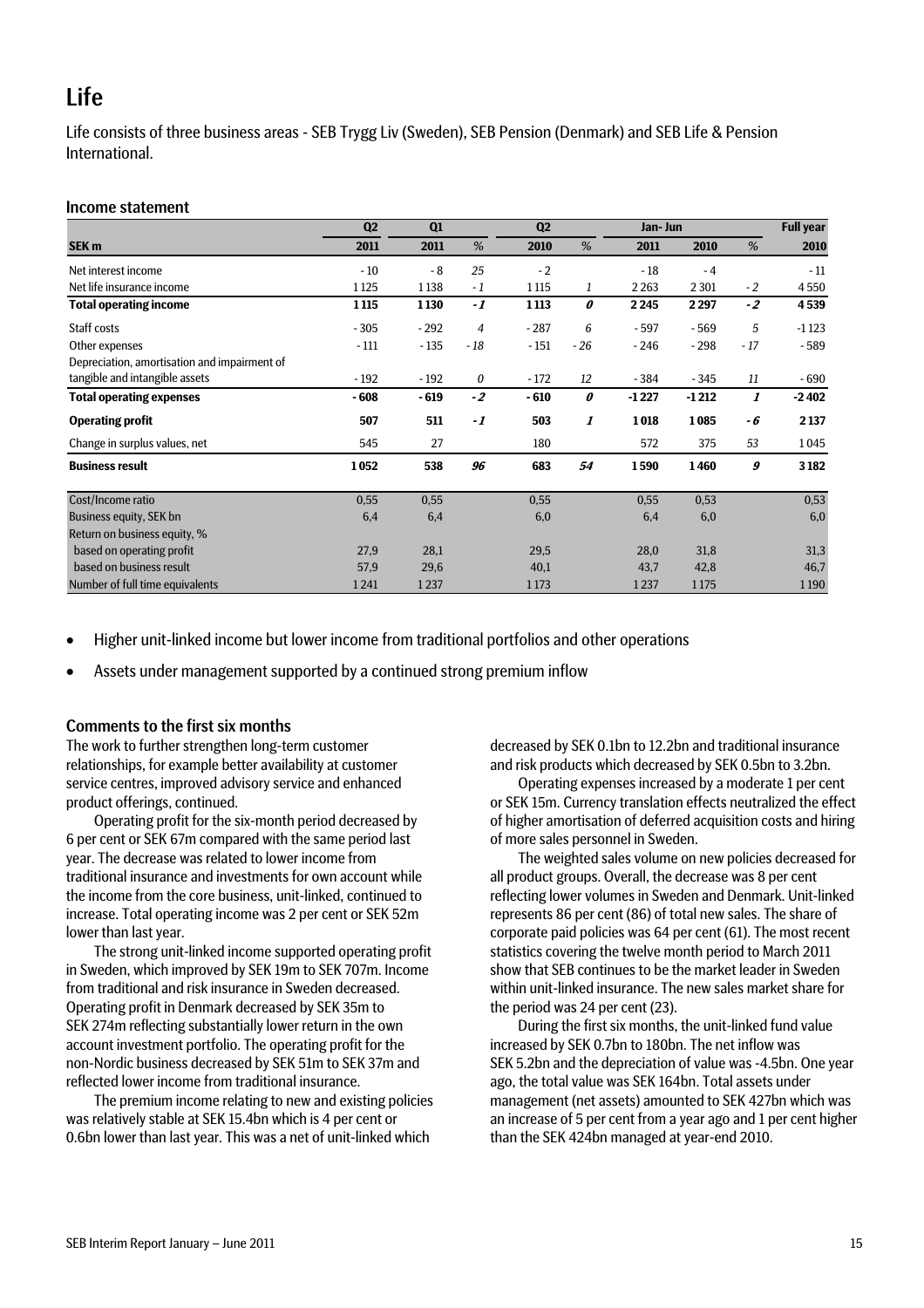### Life

Life consists of three business areas - SEB Trygg Liv (Sweden), SEB Pension (Denmark) and SEB Life & Pension **International** 

#### Income statement

|                                              | Q2      | Q1     |                | Q2      | Jan- Jun |         |         |       | <b>Full year</b> |
|----------------------------------------------|---------|--------|----------------|---------|----------|---------|---------|-------|------------------|
| SEK <sub>m</sub>                             | 2011    | 2011   | %              | 2010    | %        | 2011    | 2010    | %     | 2010             |
| Net interest income                          | $-10$   | $-8$   | 25             | $-2$    |          | $-18$   | $-4$    |       | $-11$            |
| Net life insurance income                    | 1 1 2 5 | 1 1 38 | $-1$           | 1 1 1 5 | 1        | 2 2 6 3 | 2 3 0 1 | $-2$  | 4550             |
| <b>Total operating income</b>                | 1115    | 1130   | $-1$           | 1 1 1 3 | 0        | 2245    | 2297    | $-2$  | 4539             |
| Staff costs                                  | $-305$  | $-292$ | $\overline{4}$ | $-287$  | 6        | $-597$  | $-569$  | 5     | $-1123$          |
| Other expenses                               | $-111$  | $-135$ | - 18           | $-151$  | $-26$    | $-246$  | $-298$  | $-17$ | $-589$           |
| Depreciation, amortisation and impairment of |         |        |                |         |          |         |         |       |                  |
| tangible and intangible assets               | $-192$  | $-192$ | 0              | $-172$  | 12       | - 384   | $-345$  | 11    | - 690            |
| <b>Total operating expenses</b>              | $-608$  | $-619$ | $-2$           | $-610$  | 0        | $-1227$ | $-1212$ | 1     | $-2402$          |
| <b>Operating profit</b>                      | 507     | 511    | $-1$           | 503     | 1        | 1018    | 1085    | - 6   | 2 1 3 7          |
| Change in surplus values, net                | 545     | 27     |                | 180     |          | 572     | 375     | 53    | 1045             |
| <b>Business result</b>                       | 1052    | 538    | 96             | 683     | 54       | 1590    | 1460    | 9     | 3 1 8 2          |
| Cost/Income ratio                            | 0,55    | 0,55   |                | 0,55    |          | 0,55    | 0,53    |       | 0,53             |
| Business equity, SEK bn                      | 6,4     | 6,4    |                | 6,0     |          | 6,4     | 6,0     |       | 6,0              |
| Return on business equity, %                 |         |        |                |         |          |         |         |       |                  |
| based on operating profit                    | 27,9    | 28,1   |                | 29,5    |          | 28,0    | 31,8    |       | 31,3             |
| based on business result                     | 57,9    | 29,6   |                | 40,1    |          | 43,7    | 42,8    |       | 46,7             |
| Number of full time equivalents              | 1241    | 1237   |                | 1 1 7 3 |          | 1237    | 1175    |       | 1190             |

Higher unit-linked income but lower income from traditional portfolios and other operations

Assets under management supported by a continued strong premium inflow

#### Comments to the first six months

The work to further strengthen long-term customer relationships, for example better availability at customer service centres, improved advisory service and enhanced product offerings, continued.

Operating profit for the six-month period decreased by 6 per cent or SEK 67m compared with the same period last year. The decrease was related to lower income from traditional insurance and investments for own account while the income from the core business, unit-linked, continued to increase. Total operating income was 2 per cent or SEK 52m lower than last year.

The strong unit-linked income supported operating profit in Sweden, which improved by SEK 19m to SEK 707m. Income from traditional and risk insurance in Sweden decreased. Operating profit in Denmark decreased by SEK 35m to SEK 274m reflecting substantially lower return in the own account investment portfolio. The operating profit for the non-Nordic business decreased by SEK 51m to SEK 37m and reflected lower income from traditional insurance.

The premium income relating to new and existing policies was relatively stable at SEK 15.4bn which is 4 per cent or 0.6bn lower than last year. This was a net of unit-linked which

decreased by SEK 0.1bn to 12.2bn and traditional insurance and risk products which decreased by SEK 0.5bn to 3.2bn.

Operating expenses increased by a moderate 1 per cent or SEK 15m. Currency translation effects neutralized the effect of higher amortisation of deferred acquisition costs and hiring of more sales personnel in Sweden.

The weighted sales volume on new policies decreased for all product groups. Overall, the decrease was 8 per cent reflecting lower volumes in Sweden and Denmark. Unit-linked represents 86 per cent (86) of total new sales. The share of corporate paid policies was 64 per cent (61). The most recent statistics covering the twelve month period to March 2011 show that SEB continues to be the market leader in Sweden within unit-linked insurance. The new sales market share for the period was 24 per cent (23).

During the first six months, the unit-linked fund value increased by SEK 0.7bn to 180bn. The net inflow was SEK 5.2bn and the depreciation of value was -4.5bn. One year ago, the total value was SEK 164bn. Total assets under management (net assets) amounted to SEK 427bn which was an increase of 5 per cent from a year ago and 1 per cent higher than the SEK 424bn managed at year-end 2010.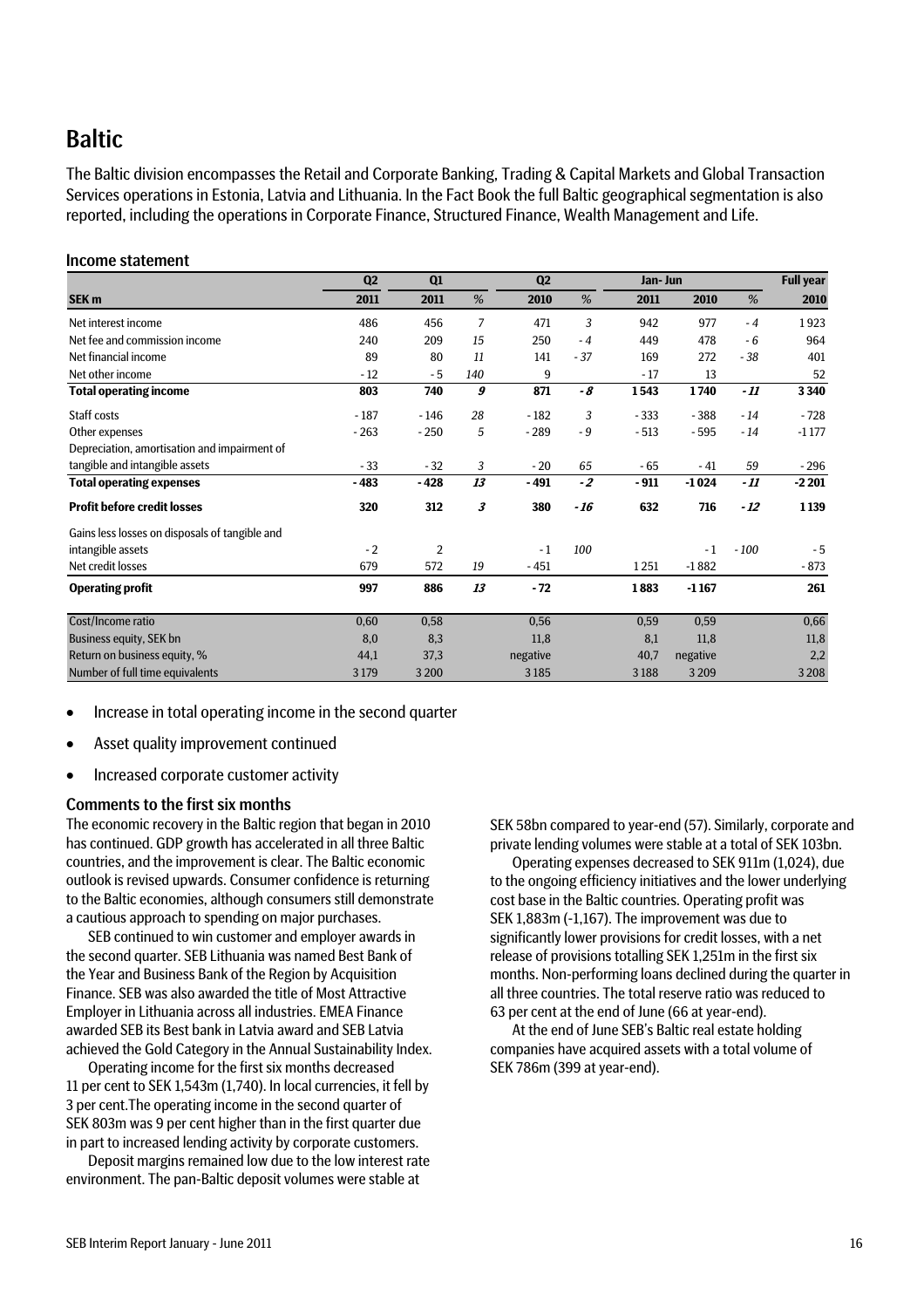### Baltic

The Baltic division encompasses the Retail and Corporate Banking, Trading & Capital Markets and Global Transaction Services operations in Estonia, Latvia and Lithuania. In the Fact Book the full Baltic geographical segmentation is also reported, including the operations in Corporate Finance, Structured Finance, Wealth Management and Life.

#### Income statement

|                                                | Q <sub>2</sub> | Q1             |     | Q <sub>2</sub> |       | Jan- Jun | <b>Full year</b> |        |         |
|------------------------------------------------|----------------|----------------|-----|----------------|-------|----------|------------------|--------|---------|
| SEK <sub>m</sub>                               | 2011           | 2011           | %   | 2010           | %     | 2011     | 2010             | %      | 2010    |
| Net interest income                            | 486            | 456            | 7   | 471            | 3     | 942      | 977              | $-4$   | 1923    |
| Net fee and commission income                  | 240            | 209            | 15  | 250            | $-4$  | 449      | 478              | $-6$   | 964     |
| Net financial income                           | 89             | 80             | 11  | 141            | $-37$ | 169      | 272              | $-38$  | 401     |
| Net other income                               | $-12$          | $-5$           | 140 | 9              |       | $-17$    | 13               |        | 52      |
| <b>Total operating income</b>                  | 803            | 740            | 9   | 871            | - 8   | 1543     | 1740             | $-11$  | 3340    |
| Staff costs                                    | $-187$         | $-146$         | 28  | $-182$         | 3     | $-333$   | $-388$           | $-14$  | $-728$  |
| Other expenses                                 | $-263$         | $-250$         | 5   | $-289$         | $-9$  | $-513$   | $-595$           | $-14$  | $-1177$ |
| Depreciation, amortisation and impairment of   |                |                |     |                |       |          |                  |        |         |
| tangible and intangible assets                 | $-33$          | $-32$          | 3   | $-20$          | 65    | $-65$    | $-41$            | 59     | $-296$  |
| <b>Total operating expenses</b>                | $-483$         | $-428$         | 13  | $-491$         | $-2$  | $-911$   | $-1024$          | - 11   | $-2201$ |
| <b>Profit before credit losses</b>             | 320            | 312            | 3   | 380            | $-16$ | 632      | 716              | $-12$  | 1139    |
| Gains less losses on disposals of tangible and |                |                |     |                |       |          |                  |        |         |
| intangible assets                              | $-2$           | $\overline{2}$ |     | $-1$           | 100   |          | $-1$             | $-100$ | $-5$    |
| Net credit losses                              | 679            | 572            | 19  | $-451$         |       | 1251     | $-1882$          |        | $-873$  |
| <b>Operating profit</b>                        | 997            | 886            | 13  | $-72$          |       | 1883     | $-1167$          |        | 261     |
| Cost/Income ratio                              | 0,60           | 0,58           |     | 0,56           |       | 0,59     | 0,59             |        | 0,66    |
| Business equity, SEK bn                        | 8,0            | 8,3            |     | 11,8           |       | 8,1      | 11,8             |        | 11,8    |
| Return on business equity, %                   | 44,1           | 37,3           |     | negative       |       | 40,7     | negative         |        | 2,2     |
| Number of full time equivalents                | 3 1 7 9        | 3 2 0 0        |     | 3185           |       | 3188     | 3 2 0 9          |        | 3 2 0 8 |

- Increase in total operating income in the second quarter
- Asset quality improvement continued
- Increased corporate customer activity

#### Comments to the first six months

The economic recovery in the Baltic region that began in 2010 has continued. GDP growth has accelerated in all three Baltic countries, and the improvement is clear. The Baltic economic outlook is revised upwards. Consumer confidence is returning to the Baltic economies, although consumers still demonstrate a cautious approach to spending on major purchases.

SEB continued to win customer and employer awards in the second quarter. SEB Lithuania was named Best Bank of the Year and Business Bank of the Region by Acquisition Finance. SEB was also awarded the title of Most Attractive Employer in Lithuania across all industries. EMEA Finance awarded SEB its Best bank in Latvia award and SEB Latvia achieved the Gold Category in the Annual Sustainability Index.

Operating income for the first six months decreased 11 per cent to SEK 1,543m (1,740). In local currencies, it fell by 3 per cent.The operating income in the second quarter of SEK 803m was 9 per cent higher than in the first quarter due in part to increased lending activity by corporate customers.

Deposit margins remained low due to the low interest rate environment. The pan-Baltic deposit volumes were stable at

SEK 58bn compared to year-end (57). Similarly, corporate and private lending volumes were stable at a total of SEK 103bn.

Operating expenses decreased to SEK 911m (1,024), due to the ongoing efficiency initiatives and the lower underlying cost base in the Baltic countries. Operating profit was SEK 1,883m (-1,167). The improvement was due to significantly lower provisions for credit losses, with a net release of provisions totalling SEK 1,251m in the first six months. Non-performing loans declined during the quarter in all three countries. The total reserve ratio was reduced to 63 per cent at the end of June (66 at year-end).

At the end of June SEB's Baltic real estate holding companies have acquired assets with a total volume of SEK 786m (399 at year-end).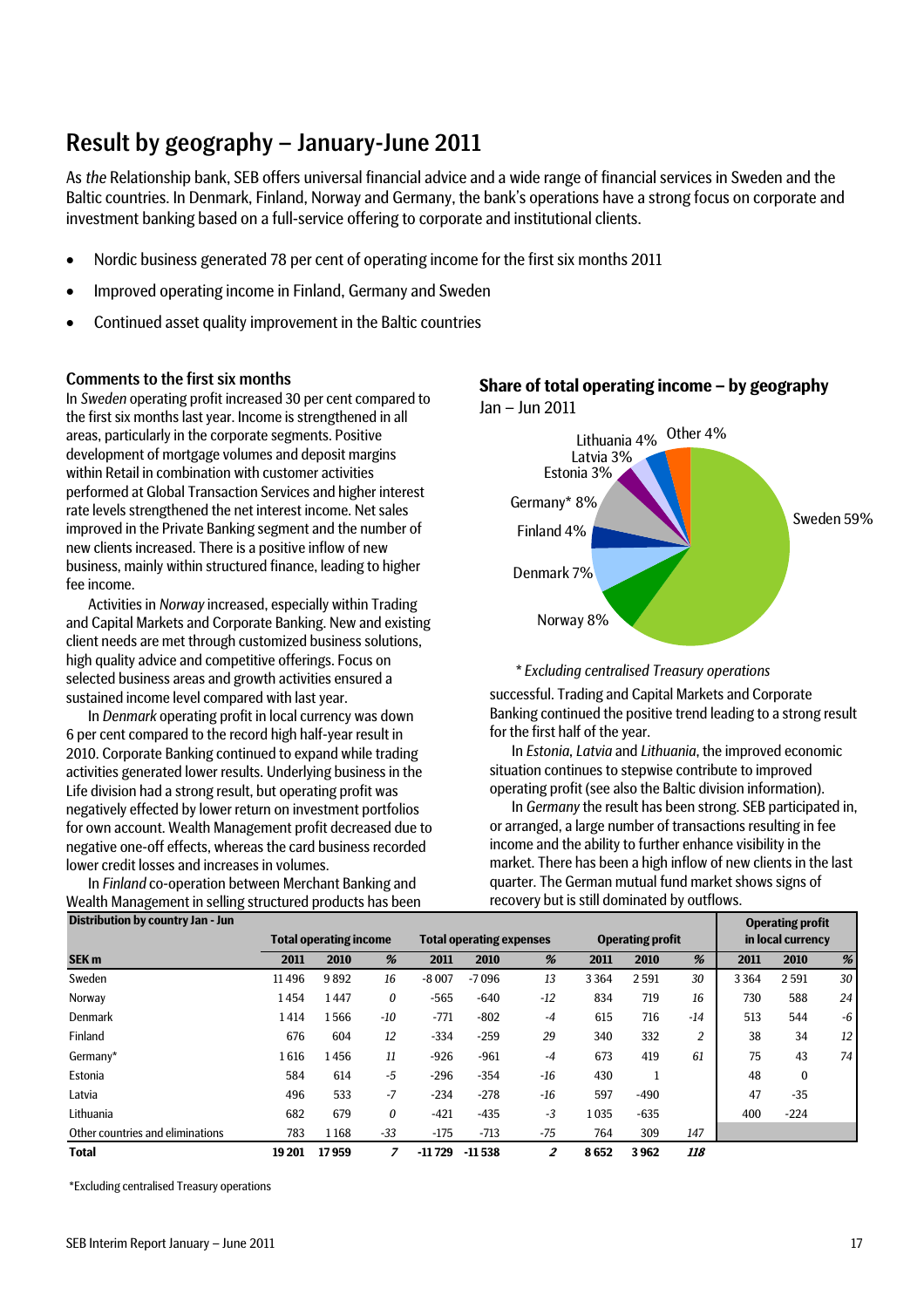### Result by geography – January-June 2011

As *the* Relationship bank, SEB offers universal financial advice and a wide range of financial services in Sweden and the Baltic countries. In Denmark, Finland, Norway and Germany, the bank's operations have a strong focus on corporate and investment banking based on a full-service offering to corporate and institutional clients.

- Nordic business generated 78 per cent of operating income for the first six months 2011
- Improved operating income in Finland, Germany and Sweden
- Continued asset quality improvement in the Baltic countries

#### Comments to the first six months

In *Sweden* operating profit increased 30 per cent compared to the first six months last year. Income is strengthened in all areas, particularly in the corporate segments. Positive development of mortgage volumes and deposit margins within Retail in combination with customer activities performed at Global Transaction Services and higher interest rate levels strengthened the net interest income. Net sales improved in the Private Banking segment and the number of new clients increased. There is a positive inflow of new business, mainly within structured finance, leading to higher fee income.

Activities in *Norway* increased, especially within Trading and Capital Markets and Corporate Banking. New and existing client needs are met through customized business solutions, high quality advice and competitive offerings. Focus on selected business areas and growth activities ensured a sustained income level compared with last year.

In *Denmark* operating profit in local currency was down 6 per cent compared to the record high half-year result in 2010. Corporate Banking continued to expand while trading activities generated lower results. Underlying business in the Life division had a strong result, but operating profit was negatively effected by lower return on investment portfolios for own account. Wealth Management profit decreased due to negative one-off effects, whereas the card business recorded lower credit losses and increases in volumes.

In *Finland* co-operation between Merchant Banking and Wealth Management in selling structured products has been



#### **Share of total operating income – by geography** Jan – Jun 2011

#### *\* Excluding centralised Treasury operations*

Norway 8%

successful. Trading and Capital Markets and Corporate Banking continued the positive trend leading to a strong result for the first half of the year.

In *Estonia*, *Latvia* and *Lithuania*, the improved economic situation continues to stepwise contribute to improved operating profit (see also the Baltic division information).

In *Germany* the result has been strong. SEB participated in, or arranged, a large number of transactions resulting in fee income and the ability to further enhance visibility in the market. There has been a high inflow of new clients in the last quarter. The German mutual fund market shows signs of recovery but is still dominated by outflows.

| Distribution by country Jan - Jun |                               |       |       |                                 |          |       |      |                         |                |                   | <b>Operating profit</b> |    |
|-----------------------------------|-------------------------------|-------|-------|---------------------------------|----------|-------|------|-------------------------|----------------|-------------------|-------------------------|----|
|                                   | <b>Total operating income</b> |       |       | <b>Total operating expenses</b> |          |       |      | <b>Operating profit</b> |                | in local currency |                         |    |
| SEK <sub>m</sub>                  | 2011                          | 2010  | %     | 2011                            | 2010     | %     | 2011 | 2010                    | %              | 2011              | 2010                    | %  |
| Sweden                            | 11496                         | 9892  | 16    | $-8007$                         | $-7096$  | 13    | 3364 | 2591                    | 30             | 3364              | 2591                    | 30 |
| Norway                            | 1454                          | 1447  | 0     | $-565$                          | $-640$   | $-12$ | 834  | 719                     | 16             | 730               | 588                     | 24 |
| Denmark                           | 1414                          | 1566  | $-10$ | $-771$                          | $-802$   | $-4$  | 615  | 716                     | $-14$          | 513               | 544                     | -6 |
| Finland                           | 676                           | 604   | 12    | $-334$                          | $-259$   | 29    | 340  | 332                     | $\overline{c}$ | 38                | 34                      | 12 |
| Germany*                          | 1616                          | 1456  | 11    | $-926$                          | $-961$   | $-4$  | 673  | 419                     | 61             | 75                | 43                      | 74 |
| Estonia                           | 584                           | 614   | $-5$  | $-296$                          | $-354$   | $-16$ | 430  |                         |                | 48                | $\bf{0}$                |    |
| Latvia                            | 496                           | 533   | -7    | $-234$                          | $-278$   | $-16$ | 597  | $-490$                  |                | 47                | $-35$                   |    |
| Lithuania                         | 682                           | 679   | 0     | $-421$                          | $-435$   | $-3$  | 1035 | $-635$                  |                | 400               | $-224$                  |    |
| Other countries and eliminations  | 783                           | 1168  | $-33$ | $-175$                          | $-713$   | $-75$ | 764  | 309                     | 147            |                   |                         |    |
| <b>Total</b>                      | 19 201                        | 17959 |       | -11729                          | $-11538$ | 2     | 8652 | 3962                    | 118            |                   |                         |    |

**Distribution by country Jan - Jun**

\*Excluding centralised Treasury operations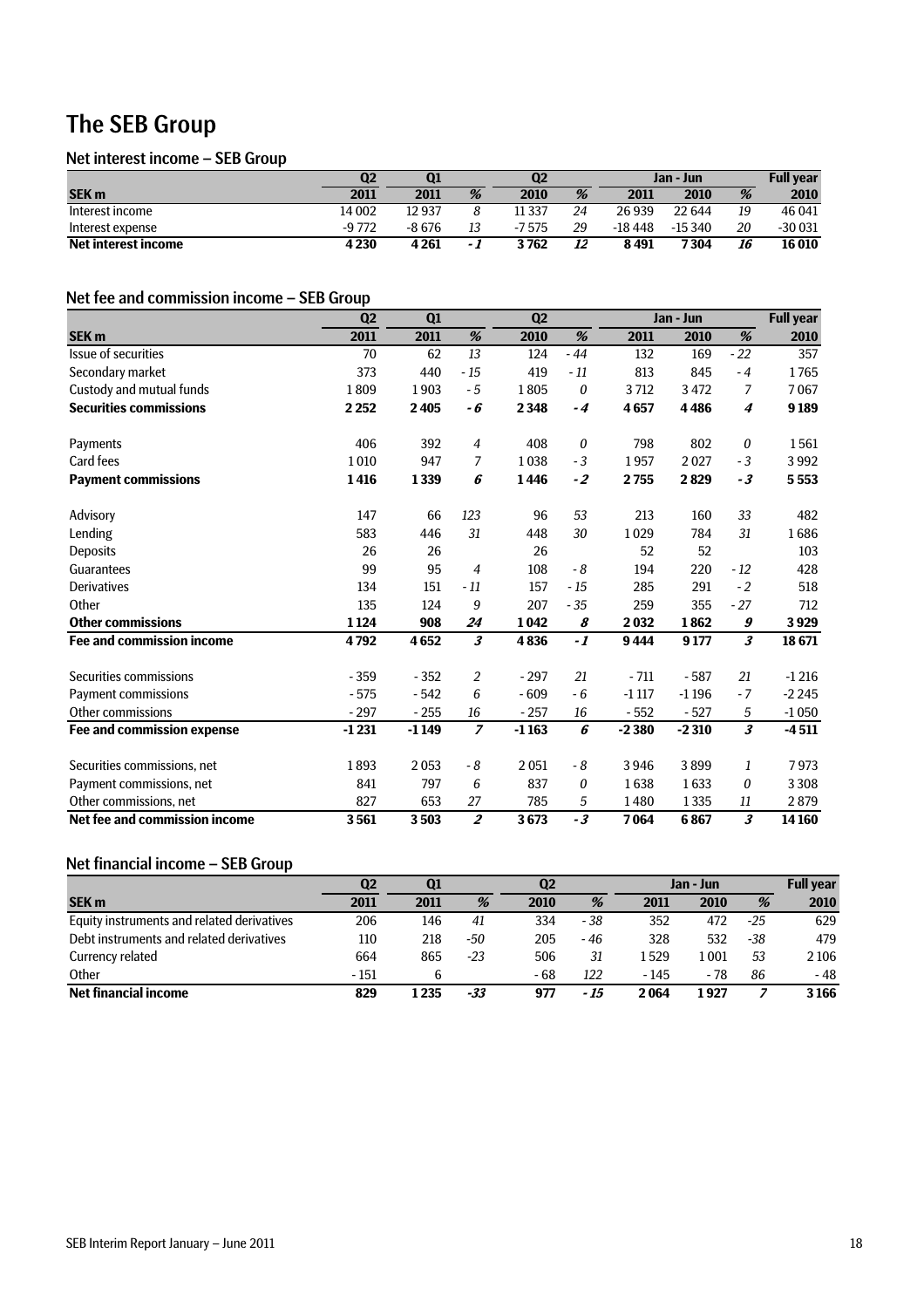### The SEB Group

#### Net interest income – SEB Group

|                     | Q <sub>2</sub> | Q1     |     | Q2     |    | Jan - Jun |          |    | <b>Full vear</b> |
|---------------------|----------------|--------|-----|--------|----|-----------|----------|----|------------------|
| <b>SEK m</b>        | 2011           | 2011   | %   | 2010   | %  | 2011      | 2010     | %  | 2010             |
| Interest income     | 14 002         | 12937  |     | 11 337 | 24 | 26939     | 22 644   | 19 | 46 041           |
| Interest expense    | $-9772$        | -8 676 | 13  | -7575  | 29 | -18 448   | $-15340$ | 20 | $-30031$         |
| Net interest income | 4 2 3 0        | 4 261  | - 1 | 3 762  | 12 | 8491      | 7304     | 16 | 16010            |

#### Net fee and commission income – SEB Group

|                                  | Q <sub>2</sub> | Q1      |                      | Q <sub>2</sub> |       |         | Jan - Jun |                            | <b>Full year</b> |  |
|----------------------------------|----------------|---------|----------------------|----------------|-------|---------|-----------|----------------------------|------------------|--|
| <b>SEK m</b>                     | 2011           | 2011    | %                    | 2010           | %     | 2011    | 2010      | %                          | 2010             |  |
| Issue of securities              | 70             | 62      | 13                   | 124            | $-44$ | 132     | 169       | $-22$                      | 357              |  |
| Secondary market                 | 373            | 440     | $-15$                | 419            | $-11$ | 813     | 845       | $-4$                       | 1765             |  |
| Custody and mutual funds         | 1809           | 1903    | $-5$                 | 1805           | 0     | 3712    | 3472      | 7                          | 7067             |  |
| <b>Securities commissions</b>    | 2 2 5 2        | 2405    | - 6                  | 2348           | $-4$  | 4657    | 4486      | 4                          | 9189             |  |
| Payments                         | 406            | 392     | $\overline{4}$       | 408            | 0     | 798     | 802       | 0                          | 1561             |  |
| <b>Card fees</b>                 | 1010           | 947     | 7                    | 1038           | $-3$  | 1957    | 2027      | $-3$                       | 3992             |  |
| <b>Payment commissions</b>       | 1416           | 1339    | 6                    | 1446           | $-2$  | 2755    | 2829      | $-3$                       | 5553             |  |
| Advisory                         | 147            | 66      | 123                  | 96             | 53    | 213     | 160       | 33                         | 482              |  |
| Lending                          | 583            | 446     | 31                   | 448            | 30    | 1029    | 784       | 31                         | 1686             |  |
| <b>Deposits</b>                  | 26             | 26      |                      | 26             |       | 52      | 52        |                            | 103              |  |
| Guarantees                       | 99             | 95      | $\overline{4}$       | 108            | - 8   | 194     | 220       | $-12$                      | 428              |  |
| Derivatives                      | 134            | 151     | $-11$                | 157            | $-15$ | 285     | 291       | $-2$                       | 518              |  |
| Other                            | 135            | 124     | 9                    | 207            | $-35$ | 259     | 355       | $-27$                      | 712              |  |
| <b>Other commissions</b>         | 1124           | 908     | 24                   | 1042           | 8     | 2032    | 1862      | 9                          | 3929             |  |
| <b>Fee and commission income</b> | 4792           | 4652    | $\boldsymbol{\beta}$ | 4836           | $-1$  | 9444    | 9177      | $\boldsymbol{\mathcal{S}}$ | 18671            |  |
| Securities commissions           | $-359$         | $-352$  | $\overline{2}$       | $-297$         | 21    | $-711$  | $-587$    | 21                         | $-1216$          |  |
| <b>Payment commissions</b>       | $-575$         | $-542$  | 6                    | $-609$         | - 6   | $-1117$ | $-1196$   | $-7$                       | $-2245$          |  |
| Other commissions                | $-297$         | $-255$  | 16                   | $-257$         | 16    | $-552$  | $-527$    | 5                          | $-1050$          |  |
| Fee and commission expense       | $-1231$        | $-1149$ | $\overline{z}$       | $-1163$        | 6     | $-2380$ | $-2310$   | $\boldsymbol{\mathcal{S}}$ | $-4511$          |  |
| Securities commissions, net      | 1893           | 2053    | - 8                  | 2051           | - 8   | 3946    | 3899      | 1                          | 7973             |  |
| Payment commissions, net         | 841            | 797     | 6                    | 837            | 0     | 1638    | 1633      | 0                          | 3 3 0 8          |  |
| Other commissions, net           | 827            | 653     | 27                   | 785            | 5     | 1480    | 1335      | 11                         | 2879             |  |
| Net fee and commission income    | 3561           | 3503    | $\overline{2}$       | 3673           | $-3$  | 7064    | 6867      | $\overline{\mathbf{3}}$    | 14 160           |  |

#### Net financial income – SEB Group

|                                            | Q2     | <b>Q1</b> |       | Q2   |      | Jan - Jun |       |       | <b>Full year</b> |
|--------------------------------------------|--------|-----------|-------|------|------|-----------|-------|-------|------------------|
| <b>SEK m</b>                               | 2011   | 2011      | %     | 2010 | %    | 2011      | 2010  | %     | 2010             |
| Equity instruments and related derivatives | 206    | 146       | 41    | 334  | - 38 | 352       | 472   | $-25$ | 629              |
| Debt instruments and related derivatives   | 110    | 218       | -50   | 205  | - 46 | 328       | 532   | -38   | 479              |
| Currency related                           | 664    | 865       | $-23$ | 506  | 31   | 1529      | 001   | 53    | 2106             |
| Other                                      | $-151$ |           |       | - 68 | 122  | $-145$    | - 78  | 86    | $-48$            |
| <b>Net financial income</b>                | 829    | l 235     | -33   | 977  | - 15 | 2 064     | 1 927 |       | 3166             |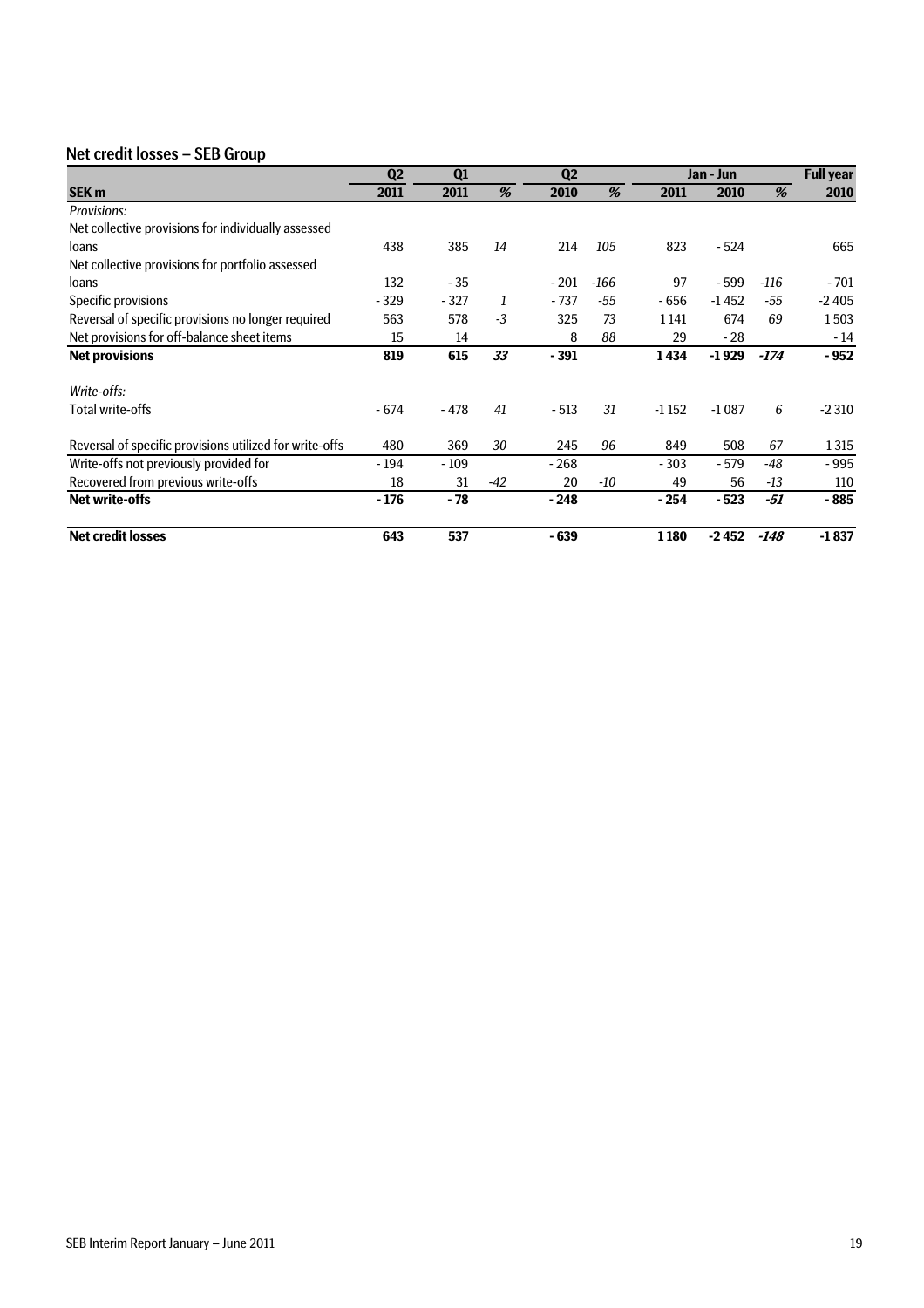#### Net credit losses – SEB Group

|                                                         | Q <sub>2</sub> | Q1     |      | Q <sub>2</sub> |        |         | Jan - Jun |        | <b>Full year</b> |
|---------------------------------------------------------|----------------|--------|------|----------------|--------|---------|-----------|--------|------------------|
| SEK <sub>m</sub>                                        | 2011           | 2011   | %    | 2010           | %      | 2011    | 2010      | %      | 2010             |
| Provisions:                                             |                |        |      |                |        |         |           |        |                  |
| Net collective provisions for individually assessed     |                |        |      |                |        |         |           |        |                  |
| loans                                                   | 438            | 385    | 14   | 214            | 105    | 823     | $-524$    |        | 665              |
| Net collective provisions for portfolio assessed        |                |        |      |                |        |         |           |        |                  |
| loans                                                   | 132            | - 35   |      | $-201$         | $-166$ | 97      | $-599$    | -116   | - 701            |
| Specific provisions                                     | $-329$         | $-327$ | 1    | $-737$         | -55    | - 656   | $-1452$   | -55    | $-2405$          |
| Reversal of specific provisions no longer required      | 563            | 578    | $-3$ | 325            | 73     | 1 1 4 1 | 674       | 69     | 1503             |
| Net provisions for off-balance sheet items              | 15             | 14     |      | 8              | 88     | 29      | $-28$     |        | $-14$            |
| <b>Net provisions</b>                                   | 819            | 615    | 33   | $-391$         |        | 1434    | $-1929$   | $-174$ | $-952$           |
| Write-offs:                                             |                |        |      |                |        |         |           |        |                  |
| Total write-offs                                        | $-674$         | $-478$ | 41   | $-513$         | 31     | $-1152$ | $-1087$   | 6      | $-2310$          |
| Reversal of specific provisions utilized for write-offs | 480            | 369    | 30   | 245            | 96     | 849     | 508       | 67     | 1315             |
| Write-offs not previously provided for                  | - 194          | $-109$ |      | $-268$         |        | $-303$  | - 579     | -48    | - 995            |
| Recovered from previous write-offs                      | 18             | 31     | -42  | 20             | -10    | 49      | 56        | $-13$  | 110              |
| <b>Net write-offs</b>                                   | $-176$         | - 78   |      | $-248$         |        | $-254$  | $-523$    | -51    | $-885$           |
| <b>Net credit losses</b>                                | 643            | 537    |      | $-639$         |        | 1180    | -2452     | -148   | $-1837$          |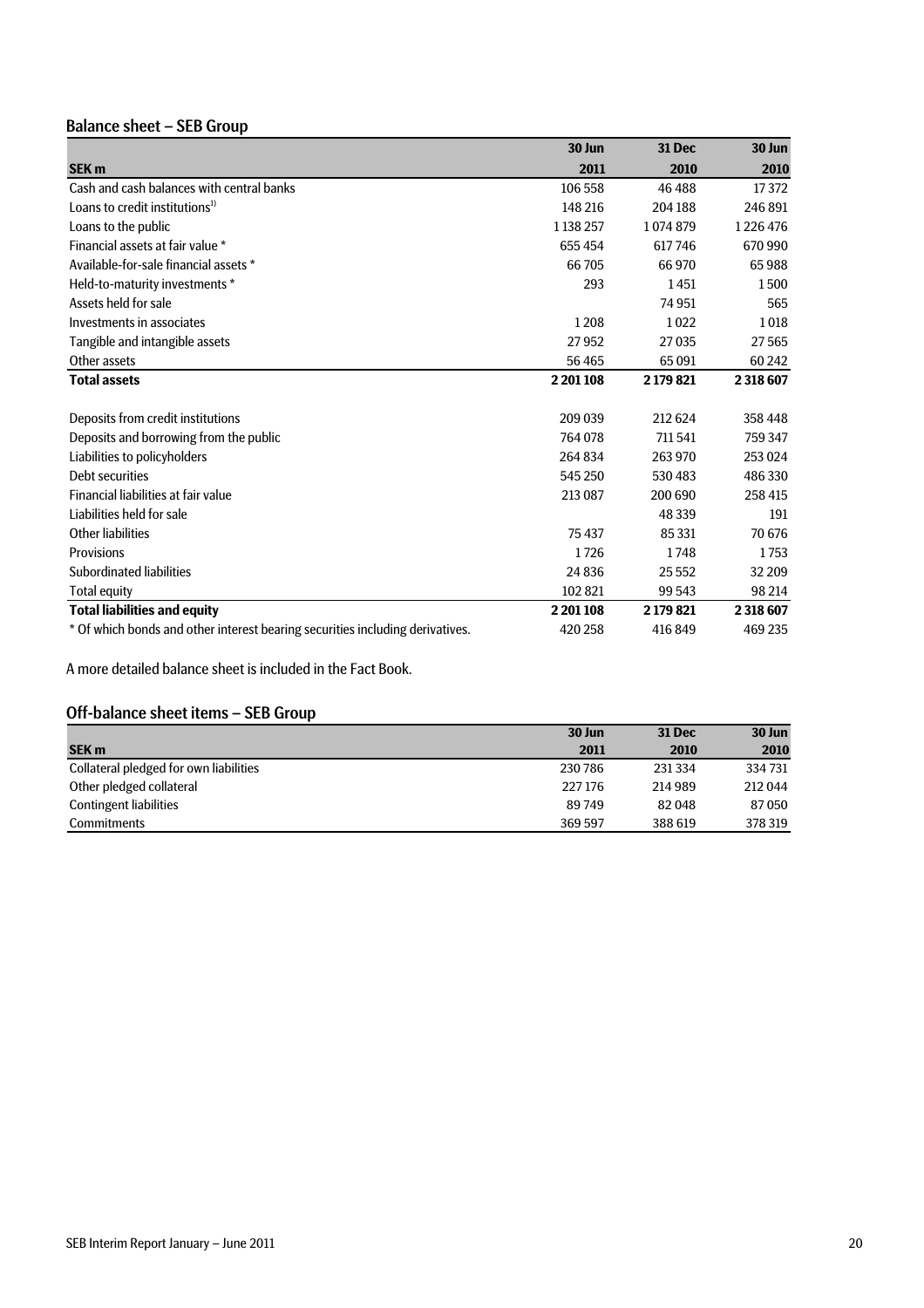### Balance sheet – SEB Group

|                                                                               | 30 Jun      | 31 Dec    | 30 Jun    |
|-------------------------------------------------------------------------------|-------------|-----------|-----------|
| <b>SEK m</b>                                                                  | 2011        | 2010      | 2010      |
| Cash and cash balances with central banks                                     | 106 558     | 46 488    | 17372     |
| Loans to credit institutions $^{1}$                                           | 148 216     | 204 188   | 246891    |
| Loans to the public                                                           | 1 1 38 2 57 | 1074879   | 1226476   |
| Financial assets at fair value *                                              | 655 454     | 617746    | 670 990   |
| Available-for-sale financial assets *                                         | 66705       | 66 970    | 65988     |
| Held-to-maturity investments *                                                | 293         | 1451      | 1500      |
| Assets held for sale                                                          |             | 74 951    | 565       |
| Investments in associates                                                     | 1208        | 1022      | 1018      |
| Tangible and intangible assets                                                | 27952       | 27035     | 27565     |
| Other assets                                                                  | 56465       | 65091     | 60 24 2   |
| <b>Total assets</b>                                                           | 2 201 108   | 2179821   | 2318607   |
| Deposits from credit institutions                                             | 209 039     | 212 624   | 358 448   |
| Deposits and borrowing from the public                                        | 764 078     | 711541    | 759 347   |
| Liabilities to policyholders                                                  | 264834      | 263 970   | 253 024   |
| Debt securities                                                               | 545 250     | 530 483   | 486330    |
| Financial liabilities at fair value                                           | 213 087     | 200 690   | 258 415   |
| Liabilities held for sale                                                     |             | 48 339    | 191       |
| Other liabilities                                                             | 75437       | 85 3 31   | 70676     |
| <b>Provisions</b>                                                             | 1726        | 1748      | 1753      |
| Subordinated liabilities                                                      | 24 8 36     | 25552     | 32 209    |
| <b>Total equity</b>                                                           | 102 821     | 99 543    | 98 214    |
| <b>Total liabilities and equity</b>                                           | 2 201 108   | 2 179 821 | 2 318 607 |
| * Of which bonds and other interest bearing securities including derivatives. | 420 258     | 416849    | 469 235   |

A more detailed balance sheet is included in the Fact Book.

#### Off-balance sheet items – SEB Group

|                                        | 30 Jun  | <b>31 Dec</b> | 30 Jun  |
|----------------------------------------|---------|---------------|---------|
| <b>SEK m</b>                           | 2011    | 2010          | 2010    |
| Collateral pledged for own liabilities | 230786  | 231 334       | 334 731 |
| Other pledged collateral               | 227 176 | 214 989       | 212044  |
| <b>Contingent liabilities</b>          | 89749   | 82048         | 87050   |
| Commitments                            | 369 597 | 388 619       | 378 319 |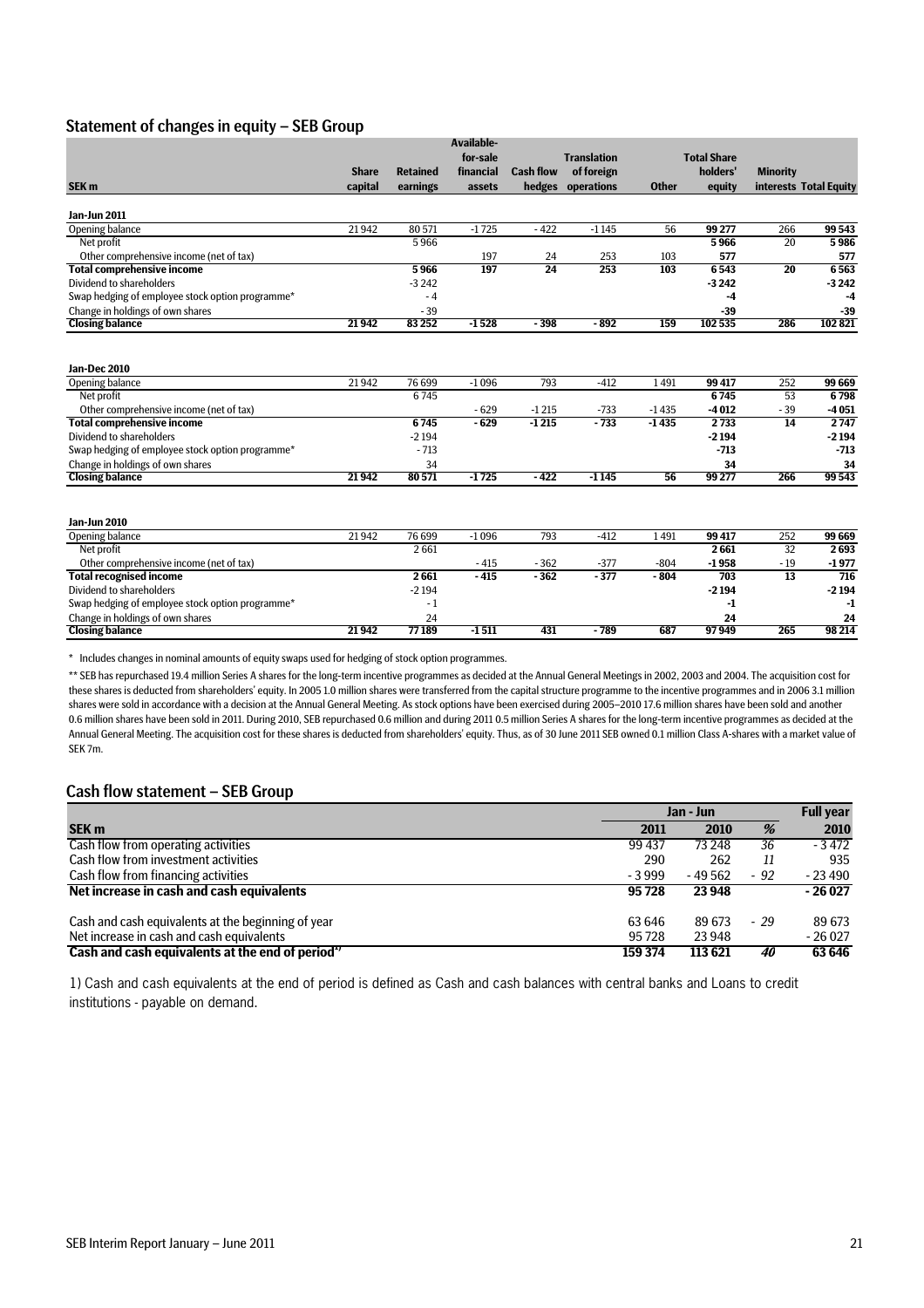#### Statement of changes in equity – SEB Group

|                                                                                                                                                                                                                                                                                    |                |                                                             | <b>Available-</b>                      |                                     |                                       |                                  |                                                                        |                                 |                                                                        |
|------------------------------------------------------------------------------------------------------------------------------------------------------------------------------------------------------------------------------------------------------------------------------------|----------------|-------------------------------------------------------------|----------------------------------------|-------------------------------------|---------------------------------------|----------------------------------|------------------------------------------------------------------------|---------------------------------|------------------------------------------------------------------------|
|                                                                                                                                                                                                                                                                                    |                |                                                             | for-sale                               |                                     | <b>Translation</b>                    |                                  | <b>Total Share</b>                                                     |                                 |                                                                        |
|                                                                                                                                                                                                                                                                                    | <b>Share</b>   | <b>Retained</b>                                             | financial                              | <b>Cash flow</b>                    | of foreign                            |                                  | holders'                                                               | <b>Minority</b>                 |                                                                        |
| SEK <sub>m</sub>                                                                                                                                                                                                                                                                   | capital        | earnings                                                    | assets                                 | hedges                              | operations                            | <b>Other</b>                     | equity                                                                 | interests Total Equity          |                                                                        |
| <b>Jan-Jun 2011</b>                                                                                                                                                                                                                                                                |                |                                                             |                                        |                                     |                                       |                                  |                                                                        |                                 |                                                                        |
| Opening balance                                                                                                                                                                                                                                                                    | 21942          | 80571                                                       | $-1725$                                | $-422$                              | $-1145$                               | 56                               | 99 277                                                                 | 266                             | 99 543                                                                 |
| Net profit                                                                                                                                                                                                                                                                         |                | 5966                                                        |                                        |                                     |                                       |                                  | 5966                                                                   | 20                              | 5986                                                                   |
| Other comprehensive income (net of tax)                                                                                                                                                                                                                                            |                |                                                             | 197                                    | 24                                  | 253                                   | 103                              | 577                                                                    |                                 | 577                                                                    |
| <b>Total comprehensive income</b>                                                                                                                                                                                                                                                  |                | 5966                                                        | 197                                    | $\overline{24}$                     | 253                                   | 103                              | 6543                                                                   | $\overline{20}$                 | 6563                                                                   |
| Dividend to shareholders                                                                                                                                                                                                                                                           |                | $-3242$                                                     |                                        |                                     |                                       |                                  | $-3242$                                                                |                                 | $-3242$                                                                |
| Swap hedging of employee stock option programme*                                                                                                                                                                                                                                   |                | $-4$                                                        |                                        |                                     |                                       |                                  | -4                                                                     |                                 | $-4$                                                                   |
| Change in holdings of own shares                                                                                                                                                                                                                                                   |                | $-39$                                                       |                                        |                                     |                                       |                                  | $-39$                                                                  |                                 | $-39$                                                                  |
| <b>Closing balance</b>                                                                                                                                                                                                                                                             | 21942          | 83252                                                       | $-1528$                                | $-398$                              | $-892$                                | 159                              | 102535                                                                 | 286                             | 102821                                                                 |
| <b>Jan-Dec 2010</b><br>Opening balance<br>Net profit<br>Other comprehensive income (net of tax)<br><b>Total comprehensive income</b><br>Dividend to shareholders<br>Swap hedging of employee stock option programme*<br>Change in holdings of own shares<br><b>Closing balance</b> | 21942<br>21942 | 76 699<br>6745<br>6745<br>$-2194$<br>$-713$<br>34<br>80 571 | $-1096$<br>$-629$<br>$-629$<br>$-1725$ | 793<br>$-1215$<br>$-1215$<br>$-422$ | $-412$<br>$-733$<br>$-733$<br>$-1145$ | 1491<br>$-1435$<br>$-1435$<br>56 | 99 417<br>6745<br>$-4012$<br>2733<br>$-2194$<br>$-713$<br>34<br>99 277 | 252<br>53<br>$-39$<br>14<br>266 | 99 669<br>6798<br>$-4051$<br>2747<br>$-2194$<br>$-713$<br>34<br>99 543 |
| <b>Jan-Jun 2010</b><br>Opening balance<br>Net profit                                                                                                                                                                                                                               | 21942          | 76 699<br>2661                                              | $-1096$                                | 793                                 | $-412$                                | 1491                             | 99 417<br>2661                                                         | 252<br>$\overline{32}$          | 99 669<br>2693                                                         |
| Other comprehensive income (net of tax)                                                                                                                                                                                                                                            |                | 2661                                                        | $-415$<br>$-415$                       | $-362$<br>$-362$                    | $-377$<br>$-377$                      | $-804$<br>$-804$                 | $-1958$<br>703                                                         | $-19$<br>$\overline{13}$        | $-1977$<br>716                                                         |
| <b>Total recognised income</b><br>Dividend to shareholders                                                                                                                                                                                                                         |                | $-2194$                                                     |                                        |                                     |                                       |                                  | $-2194$                                                                |                                 | $-2194$                                                                |
| Swap hedging of employee stock option programme*                                                                                                                                                                                                                                   |                | $-1$                                                        |                                        |                                     |                                       |                                  | -1                                                                     |                                 | -1                                                                     |
| Change in holdings of own shares                                                                                                                                                                                                                                                   |                | 24                                                          |                                        |                                     |                                       |                                  | 24                                                                     |                                 | 24                                                                     |
| <b>Closing balance</b>                                                                                                                                                                                                                                                             | 21942          | 77189                                                       | $-1511$                                | 431                                 | - 789                                 | 687                              | 97949                                                                  | 265                             | 98 214                                                                 |
|                                                                                                                                                                                                                                                                                    |                |                                                             |                                        |                                     |                                       |                                  |                                                                        |                                 |                                                                        |

\* Includes changes in nominal amounts of equity swaps used for hedging of stock option programmes.

\*\* SEB has repurchased 19.4 million Series A shares for the long-term incentive programmes as decided at the Annual General Meetings in 2002, 2003 and 2004. The acquisition cost for these shares is deducted from shareholders' equity. In 2005 1.0 million shares were transferred from the capital structure programme to the incentive programmes and in 2006 3.1 million shares were sold in accordance with a decision at the Annual General Meeting. As stock options have been exercised during 2005–2010 17.6 million shares have been sold and another 0.6 million shares have been sold in 2011. During 2010, SEB repurchased 0.6 million and during 2011 0.5 million Series A shares for the long-term incentive programmes as decided at the Annual General Meeting. The acquisition cost for these shares is deducted from shareholders' equity. Thus, as of 30 June 2011 SEB owned 0.1 million Class A-shares with a market value of SEK 7m.

#### Cash flow statement – SEB Group

|                                                    | Jan - Jun |          | <b>Full year</b> |          |
|----------------------------------------------------|-----------|----------|------------------|----------|
| <b>SEK m</b>                                       | 2011      | 2010     | %                | 2010     |
| Cash flow from operating activities                | 99 437    | 73 248   | 36               | $-3472$  |
| Cash flow from investment activities               | 290       | 262      | 11               | 935      |
| Cash flow from financing activities                | $-3999$   | - 49 562 | $-92$            | $-23490$ |
| Net increase in cash and cash equivalents          | 95 728    | 23 948   |                  | $-26027$ |
| Cash and cash equivalents at the beginning of year | 63 646    | 89 673   | $-29$            | 89 673   |
| Net increase in cash and cash equivalents          | 95728     | 23 948   |                  | $-26027$ |
| Cash and cash equivalents at the end of period"    | 159 374   | 113621   | 40               | 63 646   |

1) Cash and cash equivalents at the end of period is defined as Cash and cash balances with central banks and Loans to credit institutions - payable on demand.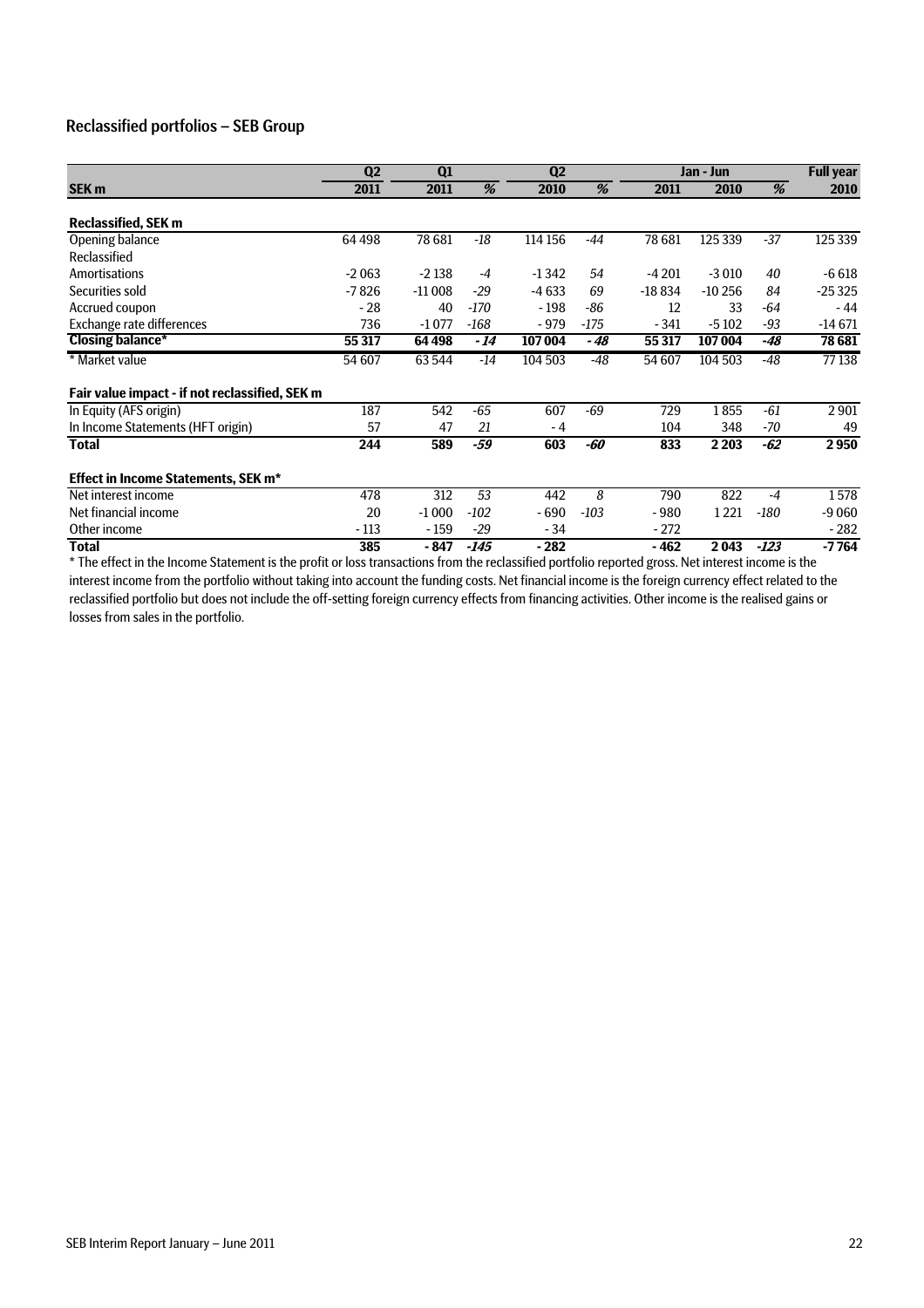#### Reclassified portfolios – SEB Group

|                                                | Q <sub>2</sub><br>Q1 |          | Q <sub>2</sub> |         |        | Jan - Jun |          | <b>Full year</b> |          |
|------------------------------------------------|----------------------|----------|----------------|---------|--------|-----------|----------|------------------|----------|
| <b>SEK m</b>                                   | 2011                 | 2011     | %              | 2010    | %      | 2011      | 2010     | %                | 2010     |
| <b>Reclassified, SEK m</b>                     |                      |          |                |         |        |           |          |                  |          |
| Opening balance                                | 64 4 98              | 78 681   | $-18$          | 114 156 | $-44$  | 78 681    | 125 339  | $-37$            | 125 339  |
| Reclassified                                   |                      |          |                |         |        |           |          |                  |          |
| <b>Amortisations</b>                           | $-2063$              | $-2138$  | $-4$           | $-1342$ | 54     | $-4201$   | $-3010$  | 40               | $-6618$  |
| Securities sold                                | $-7826$              | $-11008$ | $-29$          | $-4633$ | 69     | $-18834$  | $-10256$ | 84               | $-25325$ |
| Accrued coupon                                 | $-28$                | 40       | -170           | $-198$  | $-86$  | 12        | 33       | -64              | $-44$    |
| Exchange rate differences                      | 736                  | $-1077$  | $-168$         | $-979$  | $-175$ | $-341$    | $-5102$  | $-93$            | $-14671$ |
| <b>Closing balance*</b>                        | 55 317               | 64 498   | - 14           | 107004  | - 48   | 55 317    | 107 004  | -48              | 78 681   |
| * Market value                                 | 54 607               | 63 544   | $-14$          | 104 503 | $-48$  | 54 607    | 104 503  | $-48$            | 77138    |
| Fair value impact - if not reclassified, SEK m |                      |          |                |         |        |           |          |                  |          |
| In Equity (AFS origin)                         | 187                  | 542      | $-65$          | 607     | $-69$  | 729       | 1855     | -61              | 2901     |
| In Income Statements (HFT origin)              | 57                   | 47       | 21             | - 4     |        | 104       | 348      | -70              | 49       |
| <b>Total</b>                                   | 244                  | 589      | -59            | 603     | -60    | 833       | 2 2 0 3  | $-62$            | 2950     |
| <b>Effect in Income Statements, SEK m*</b>     |                      |          |                |         |        |           |          |                  |          |
| Net interest income                            | 478                  | 312      | 53             | 442     | 8      | 790       | 822      | $-4$             | 1578     |
| Net financial income                           | 20                   | $-1000$  | $-102$         | $-690$  | $-103$ | -980      | 1221     | $-180$           | $-9060$  |
| Other income                                   | $-113$               | $-159$   | $-29$          | $-34$   |        | $-272$    |          |                  | - 282    |
| <b>Total</b>                                   | 385                  | - 847    | $-145$         | $-282$  |        | $-462$    | 2043     | $-123$           | $-7764$  |

\* The effect in the Income Statement is the profit or loss transactions from the reclassified portfolio reported gross. Net interest income is the interest income from the portfolio without taking into account the funding costs. Net financial income is the foreign currency effect related to the reclassified portfolio but does not include the off-setting foreign currency effects from financing activities. Other income is the realised gains or losses from sales in the portfolio.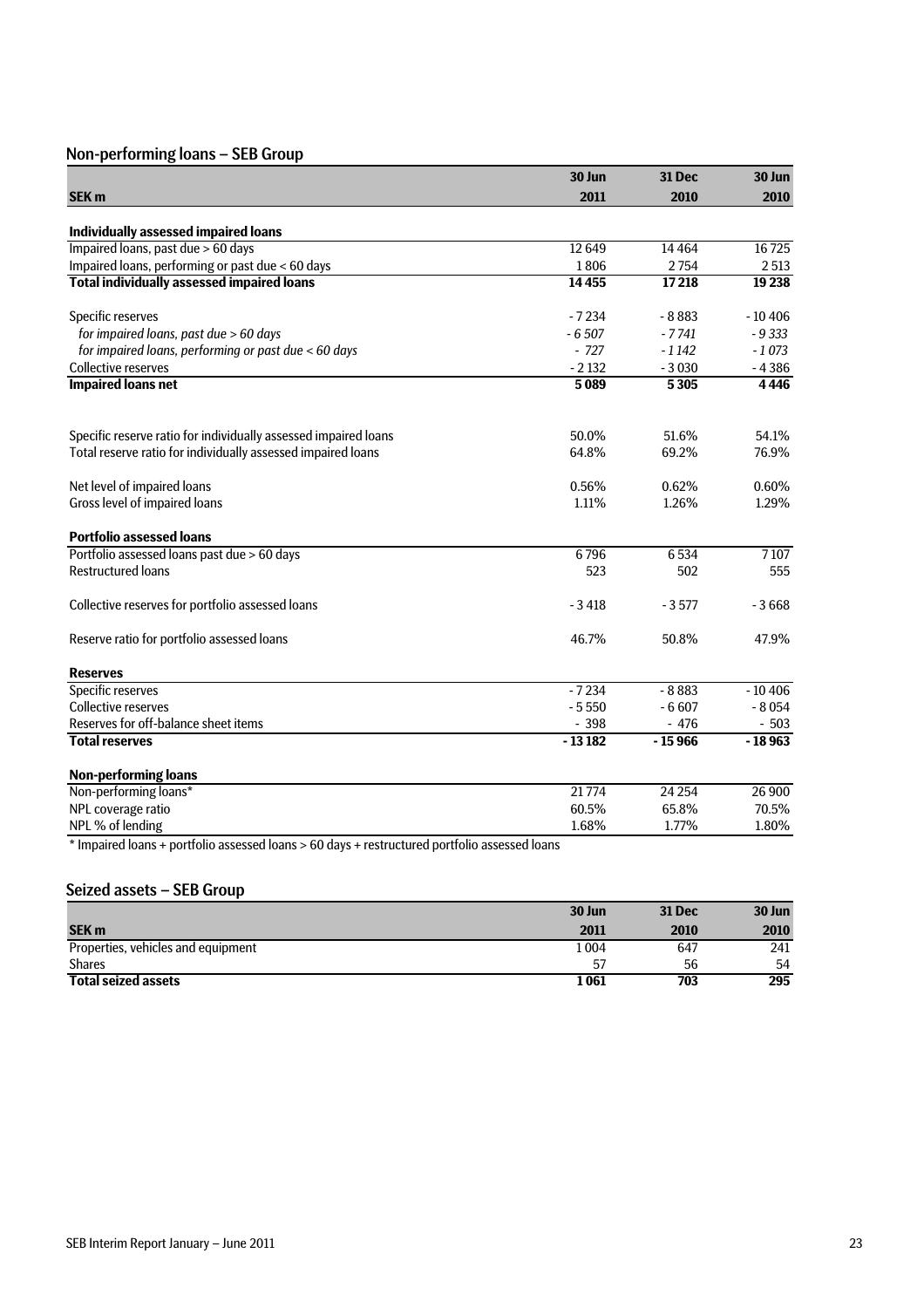### Non-performing loans – SEB Group

|                                                                 | 30 Jun   | <b>31 Dec</b> | 30 Jun   |
|-----------------------------------------------------------------|----------|---------------|----------|
| <b>SEK m</b>                                                    | 2011     | 2010          | 2010     |
|                                                                 |          |               |          |
| Individually assessed impaired loans                            |          |               |          |
| Impaired loans, past due > 60 days                              | 12 6 49  | 14 4 64       | 16725    |
| Impaired loans, performing or past due < 60 days                | 1806     | 2754          | 2513     |
| <b>Total individually assessed impaired loans</b>               | 14455    | 17218         | 19 238   |
| Specific reserves                                               | $-7234$  | $-8883$       | $-10406$ |
| for impaired loans, past due > 60 days                          | $-6507$  | $-7741$       | $-9333$  |
| for impaired loans, performing or past due < 60 days            | $-727$   | $-1142$       | $-1073$  |
| <b>Collective reserves</b>                                      | $-2132$  | $-3030$       | $-4386$  |
| <b>Impaired loans net</b>                                       | 5089     | 5305          | 4446     |
| Specific reserve ratio for individually assessed impaired loans | 50.0%    | 51.6%         | 54.1%    |
| Total reserve ratio for individually assessed impaired loans    | 64.8%    | 69.2%         | 76.9%    |
| Net level of impaired loans                                     | 0.56%    | 0.62%         | 0.60%    |
| Gross level of impaired loans                                   | 1.11%    | 1.26%         | 1.29%    |
| <b>Portfolio assessed loans</b>                                 |          |               |          |
| Portfolio assessed loans past due > 60 days                     | 6796     | 6534          | 7107     |
| <b>Restructured loans</b>                                       | 523      | 502           | 555      |
| Collective reserves for portfolio assessed loans                | $-3418$  | $-3577$       | $-3668$  |
| Reserve ratio for portfolio assessed loans                      | 46.7%    | 50.8%         | 47.9%    |
| <b>Reserves</b>                                                 |          |               |          |
| Specific reserves                                               | $-7234$  | $-8883$       | $-10406$ |
| <b>Collective reserves</b>                                      | $-5550$  | $-6607$       | $-8054$  |
| Reserves for off-balance sheet items                            | $-398$   | $-476$        | $-503$   |
| <b>Total reserves</b>                                           | $-13182$ | $-15966$      | $-18963$ |
| <b>Non-performing loans</b>                                     |          |               |          |
| Non-performing loans*                                           | 21774    | 24 2 54       | 26 900   |
| NPL coverage ratio                                              | 60.5%    | 65.8%         | 70.5%    |
| NPL % of lending                                                | 1.68%    | 1.77%         | 1.80%    |

\* Impaired loans + portfolio assessed loans > 60 days + restructured portfolio assessed loans

#### Seized assets – SEB Group

|                                    | 30 Jun | <b>31 Dec</b> | 30 Jun |
|------------------------------------|--------|---------------|--------|
| <b>SEK m</b>                       | 2011   | 2010          | 2010   |
| Properties, vehicles and equipment | l 004  | 647           | 241    |
| <b>Shares</b>                      | 57     | 56            | 54     |
| <b>Total seized assets</b>         | 1 061  | 703           | 295    |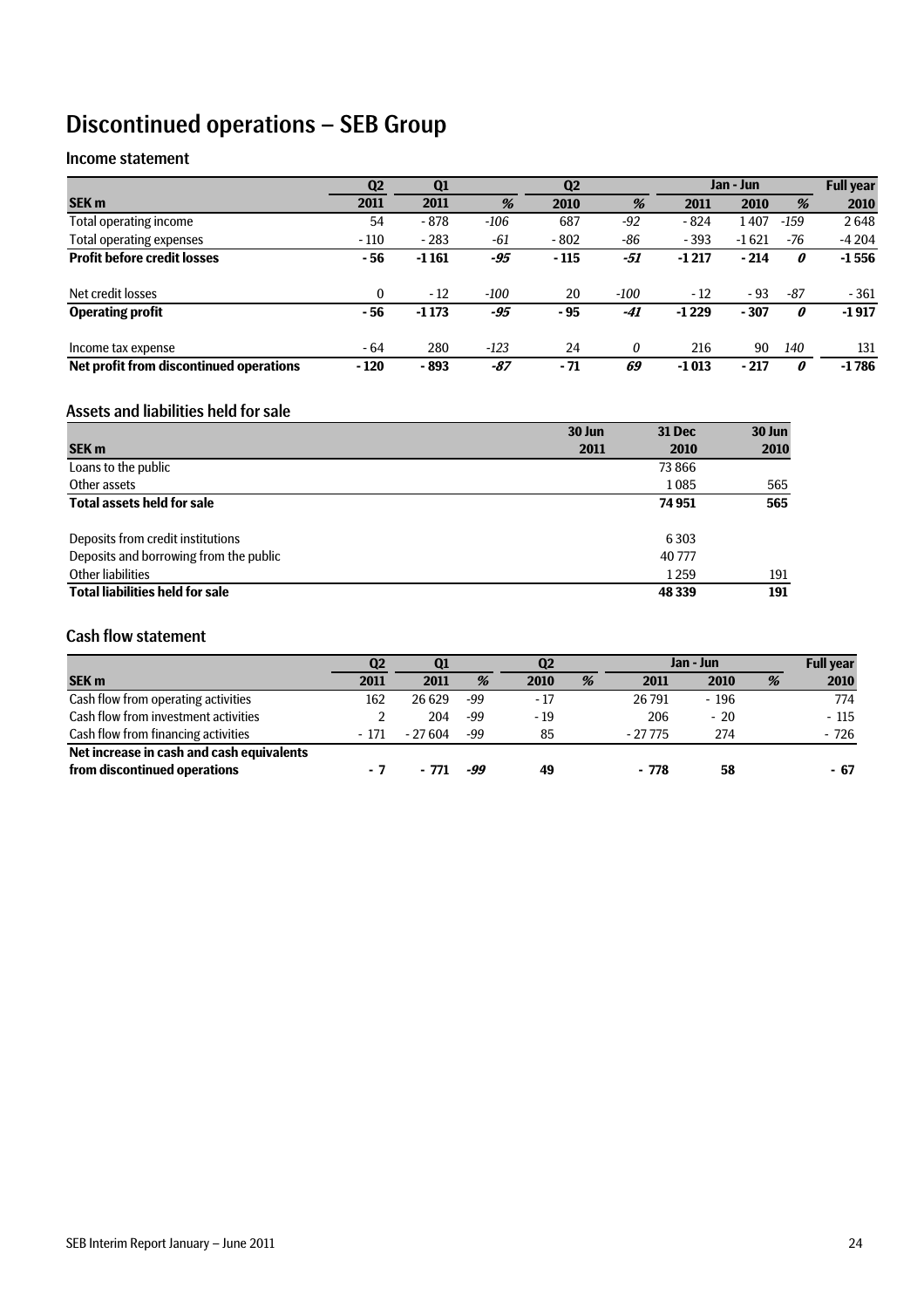## Discontinued operations – SEB Group

#### Income statement

|                                         | Q <sub>2</sub> | Q <sub>1</sub> |        | Q <sub>2</sub> |       | Jan - Jun |         |        | <b>Full year</b> |
|-----------------------------------------|----------------|----------------|--------|----------------|-------|-----------|---------|--------|------------------|
| <b>SEK m</b>                            | 2011           | 2011           | %      | 2010           | %     | 2011      | 2010    | %      | 2010             |
| Total operating income                  | 54             | - 878          | -106   | 687            | $-92$ | $-824$    | 1407    | $-159$ | 2648             |
| <b>Total operating expenses</b>         | $-110$         | $-283$         | -61    | $-802$         | $-86$ | $-393$    | $-1621$ | -76    | $-4204$          |
| <b>Profit before credit losses</b>      | - 56           | $-1161$        | -95    | $-115$         | -51   | $-1217$   | $-214$  | 0      | $-1556$          |
| Net credit losses                       | $\mathbf{0}$   | $-12$          | $-100$ | 20             | -100  | $-12$     | $-93$   | -87    | $-361$           |
| <b>Operating profit</b>                 | - 56           | $-1173$        | -95    | - 95           | -41   | $-1229$   | $-307$  | 0      | $-1917$          |
| Income tax expense                      | - 64           | 280            | $-123$ | 24             | 0     | 216       | 90      | 140    | 131              |
| Net profit from discontinued operations | $-120$         | - 893          | -87    | $-71$          | 69    | $-1013$   | $-217$  | 0      | $-1786$          |

#### Assets and liabilities held for sale

|                                        | 30 Jun | <b>31 Dec</b> | 30 Jun |
|----------------------------------------|--------|---------------|--------|
| <b>SEK m</b>                           | 2011   | 2010          | 2010   |
| Loans to the public                    |        | 73 8 66       |        |
| Other assets                           |        | 1085          | 565    |
| <b>Total assets held for sale</b>      |        | 74 951        | 565    |
|                                        |        |               |        |
| Deposits from credit institutions      |        | 6 3 0 3       |        |
| Deposits and borrowing from the public |        | 40777         |        |
| Other liabilities                      |        | 1259          | 191    |
| <b>Total liabilities held for sale</b> |        | 48 339        | 191    |

#### Cash flow statement

|                                           | Q2    | <b>Q1</b> |     | Q2    |   | Jan - Jun |        |   | <b>Full year</b> |
|-------------------------------------------|-------|-----------|-----|-------|---|-----------|--------|---|------------------|
| <b>SEK m</b>                              | 2011  | 2011      | %   | 2010  | % | 2011      | 2010   | % | 2010             |
| Cash flow from operating activities       | 162   | 26 629    | -99 | $-17$ |   | 26 791    | $-196$ |   | 774              |
| Cash flow from investment activities      |       | 204       | -99 | $-19$ |   | 206       | $-20$  |   | $-115$           |
| Cash flow from financing activities       | - 171 | - 27 604  | -99 | 85    |   | $-27775$  | 274    |   | - 726            |
| Net increase in cash and cash equivalents |       |           |     |       |   |           |        |   |                  |
| from discontinued operations              |       | - 771     | -99 | 49    |   | $-778$    | 58     |   | - 67             |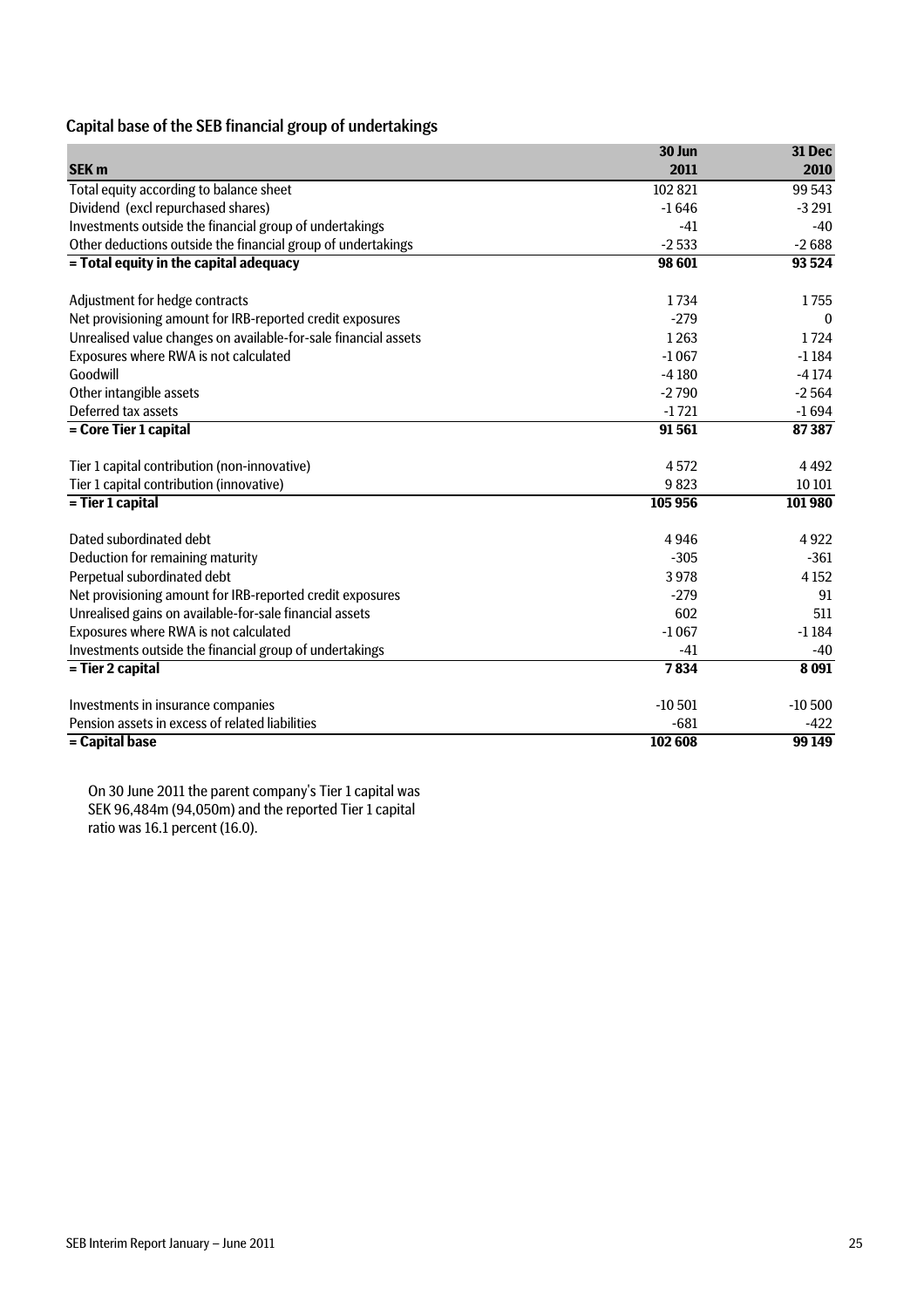#### Capital base of the SEB financial group of undertakings

|                                                                 | 30 Jun   | 31 Dec       |
|-----------------------------------------------------------------|----------|--------------|
| <b>SEK m</b>                                                    | 2011     | 2010         |
| Total equity according to balance sheet                         | 102 821  | 99 543       |
| Dividend (excl repurchased shares)                              | $-1646$  | $-3291$      |
| Investments outside the financial group of undertakings         | $-41$    | -40          |
| Other deductions outside the financial group of undertakings    | $-2533$  | $-2688$      |
| = Total equity in the capital adequacy                          | 98 601   | 93 5 24      |
|                                                                 |          |              |
| Adjustment for hedge contracts                                  | 1734     | 1755         |
| Net provisioning amount for IRB-reported credit exposures       | $-279$   | $\mathbf{0}$ |
| Unrealised value changes on available-for-sale financial assets | 1263     | 1724         |
| Exposures where RWA is not calculated                           | $-1067$  | $-1184$      |
| Goodwill                                                        | $-4180$  | $-4174$      |
| Other intangible assets                                         | $-2790$  | $-2564$      |
| Deferred tax assets                                             | $-1721$  | $-1694$      |
| = Core Tier 1 capital                                           | 91561    | 87387        |
| Tier 1 capital contribution (non-innovative)                    | 4572     | 4492         |
| Tier 1 capital contribution (innovative)                        | 9823     | 10 10 1      |
| = Tier 1 capital                                                | 105 956  | 101980       |
| Dated subordinated debt                                         | 4946     | 4922         |
| Deduction for remaining maturity                                | $-305$   | $-361$       |
| Perpetual subordinated debt                                     | 3978     | 4 1 5 2      |
| Net provisioning amount for IRB-reported credit exposures       | $-279$   | 91           |
| Unrealised gains on available-for-sale financial assets         | 602      | 511          |
| Exposures where RWA is not calculated                           | $-1067$  | $-1184$      |
| Investments outside the financial group of undertakings         | $-41$    | $-40$        |
| = Tier 2 capital                                                | 7834     | 8091         |
| Investments in insurance companies                              | $-10501$ | $-10500$     |
| Pension assets in excess of related liabilities                 | $-681$   | $-422$       |
| = Capital base                                                  | 102 608  | 99 149       |

On 30 June 2011 the parent company's Tier 1 capital was SEK 96,484m (94,050m) and the reported Tier 1 capital ratio was 16.1 percent (16.0).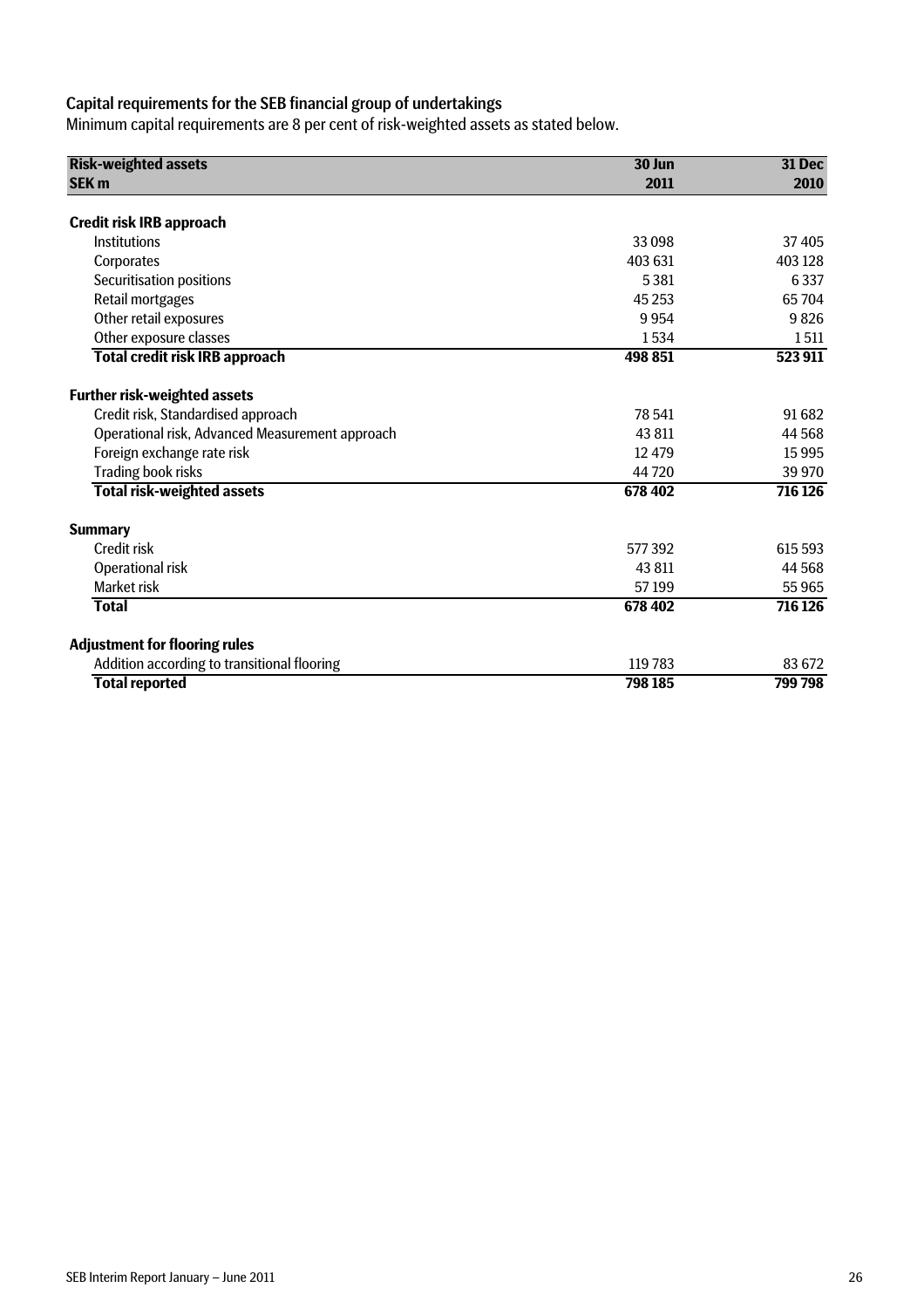### Capital requirements for the SEB financial group of undertakings

Minimum capital requirements are 8 per cent of risk-weighted assets as stated below.

| <b>Risk-weighted assets</b>                     | 30 Jun  | 31 Dec  |  |
|-------------------------------------------------|---------|---------|--|
| <b>SEK m</b>                                    | 2011    | 2010    |  |
| <b>Credit risk IRB approach</b>                 |         |         |  |
| Institutions                                    | 33098   | 37405   |  |
| Corporates                                      | 403 631 | 403 128 |  |
| Securitisation positions                        | 5 3 8 1 | 6337    |  |
|                                                 | 45 2 53 | 65704   |  |
| Retail mortgages<br>Other retail exposures      | 9954    | 9826    |  |
|                                                 |         |         |  |
| Other exposure classes                          | 1534    | 1511    |  |
| <b>Total credit risk IRB approach</b>           | 498 851 | 523 911 |  |
| <b>Further risk-weighted assets</b>             |         |         |  |
| Credit risk, Standardised approach              | 78 541  | 91 682  |  |
| Operational risk, Advanced Measurement approach | 43 811  | 44 568  |  |
| Foreign exchange rate risk                      | 12 479  | 15995   |  |
| Trading book risks                              | 44720   | 39 970  |  |
| <b>Total risk-weighted assets</b>               | 678 402 | 716 126 |  |
| <b>Summary</b>                                  |         |         |  |
| Credit risk                                     | 577392  | 615 593 |  |
| Operational risk                                | 43 811  | 44 5 68 |  |
| <b>Market risk</b>                              | 57199   | 55 965  |  |
| <b>Total</b>                                    | 678 402 | 716 126 |  |
| <b>Adjustment for flooring rules</b>            |         |         |  |
| Addition according to transitional flooring     | 119 783 | 83 672  |  |
| <b>Total reported</b>                           | 798 185 | 799798  |  |
|                                                 |         |         |  |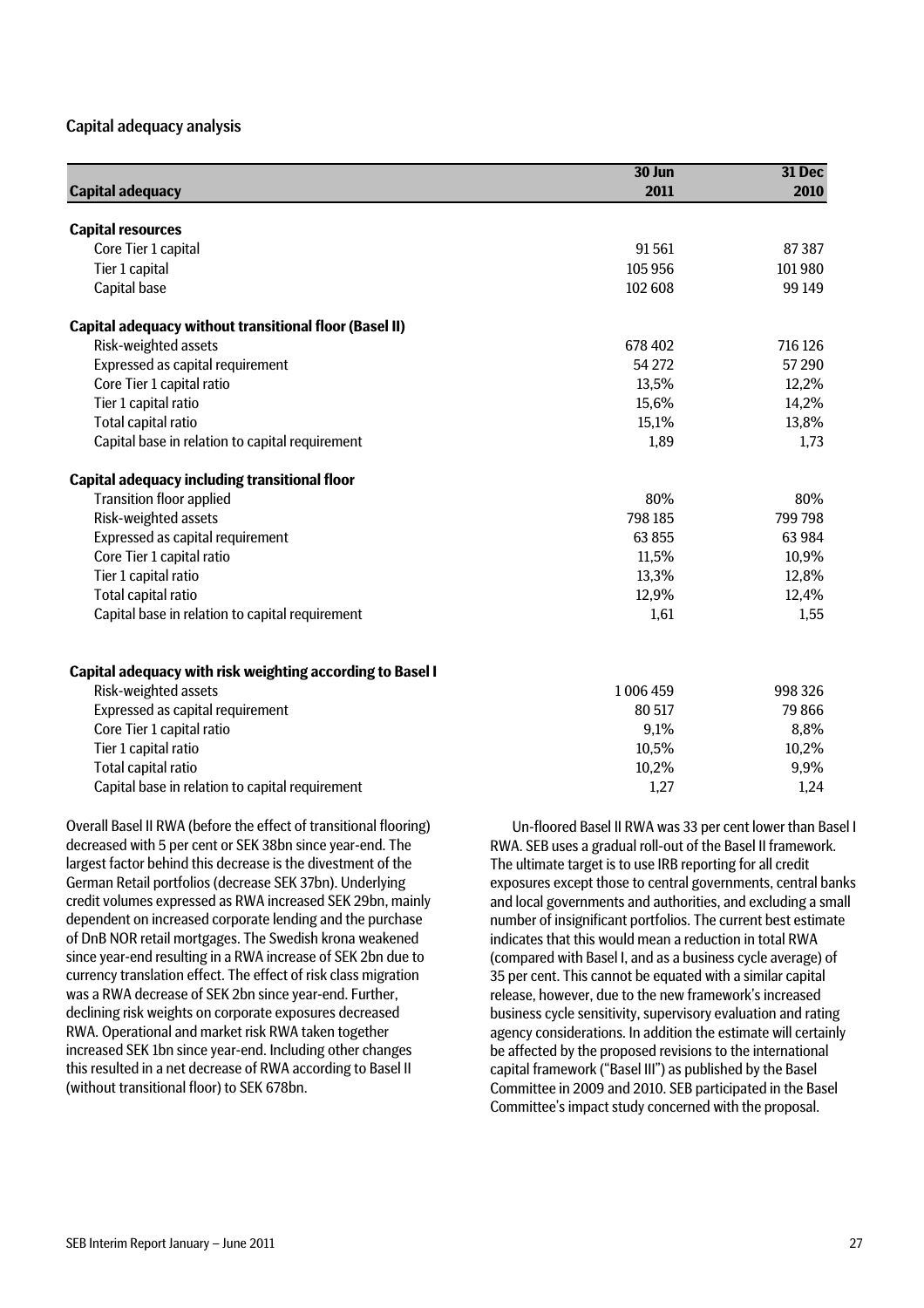#### Capital adequacy analysis

| <b>Capital adequacy</b>                                          | 30 Jun<br>2011 | 31 Dec<br>2010 |
|------------------------------------------------------------------|----------------|----------------|
| <b>Capital resources</b>                                         |                |                |
| Core Tier 1 capital                                              | 91561          | 87 387         |
| Tier 1 capital                                                   | 105 956        | 101980         |
| Capital base                                                     | 102 608        | 99 149         |
| <b>Capital adequacy without transitional floor (Basel II)</b>    |                |                |
| Risk-weighted assets                                             | 678 402        | 716 126        |
| Expressed as capital requirement                                 | 54 272         | 57 290         |
| Core Tier 1 capital ratio                                        | 13,5%          | 12,2%          |
| Tier 1 capital ratio                                             | 15,6%          | 14,2%          |
| Total capital ratio                                              | 15,1%          | 13,8%          |
| Capital base in relation to capital requirement                  | 1,89           | 1,73           |
| <b>Capital adequacy including transitional floor</b>             |                |                |
| <b>Transition floor applied</b>                                  | 80%            | 80%            |
| Risk-weighted assets                                             | 798 185        | 799 798        |
| Expressed as capital requirement                                 | 63 855         | 63 9 84        |
| Core Tier 1 capital ratio                                        | 11,5%          | 10,9%          |
| Tier 1 capital ratio                                             | 13,3%          | 12,8%          |
| Total capital ratio                                              | 12,9%          | 12,4%          |
| Capital base in relation to capital requirement                  | 1,61           | 1,55           |
| <b>Capital adequacy with risk weighting according to Basel I</b> |                |                |
| Risk-weighted assets                                             | 1006459        | 998 326        |
| Expressed as capital requirement                                 | 80 517         | 79866          |
| Core Tier 1 capital ratio                                        | 9,1%           | 8,8%           |
| Tier 1 capital ratio                                             | 10,5%          | 10,2%          |
| Total capital ratio                                              | 10,2%          | 9,9%           |
| Capital base in relation to capital requirement                  | 1,27           | 1,24           |

Overall Basel II RWA (before the effect of transitional flooring) decreased with 5 per cent or SEK 38bn since year-end. The largest factor behind this decrease is the divestment of the German Retail portfolios (decrease SEK 37bn). Underlying credit volumes expressed as RWA increased SEK 29bn, mainly dependent on increased corporate lending and the purchase of DnB NOR retail mortgages. The Swedish krona weakened since year-end resulting in a RWA increase of SEK 2bn due to currency translation effect. The effect of risk class migration was a RWA decrease of SEK 2bn since year-end. Further, declining risk weights on corporate exposures decreased RWA. Operational and market risk RWA taken together increased SEK 1bn since year-end. Including other changes this resulted in a net decrease of RWA according to Basel II (without transitional floor) to SEK 678bn.

Un-floored Basel II RWA was 33 per cent lower than Basel I RWA. SEB uses a gradual roll-out of the Basel II framework. The ultimate target is to use IRB reporting for all credit exposures except those to central governments, central banks and local governments and authorities, and excluding a small number of insignificant portfolios. The current best estimate indicates that this would mean a reduction in total RWA (compared with Basel I, and as a business cycle average) of 35 per cent. This cannot be equated with a similar capital release, however, due to the new framework's increased business cycle sensitivity, supervisory evaluation and rating agency considerations. In addition the estimate will certainly be affected by the proposed revisions to the international capital framework ("Basel III") as published by the Basel Committee in 2009 and 2010. SEB participated in the Basel Committee's impact study concerned with the proposal.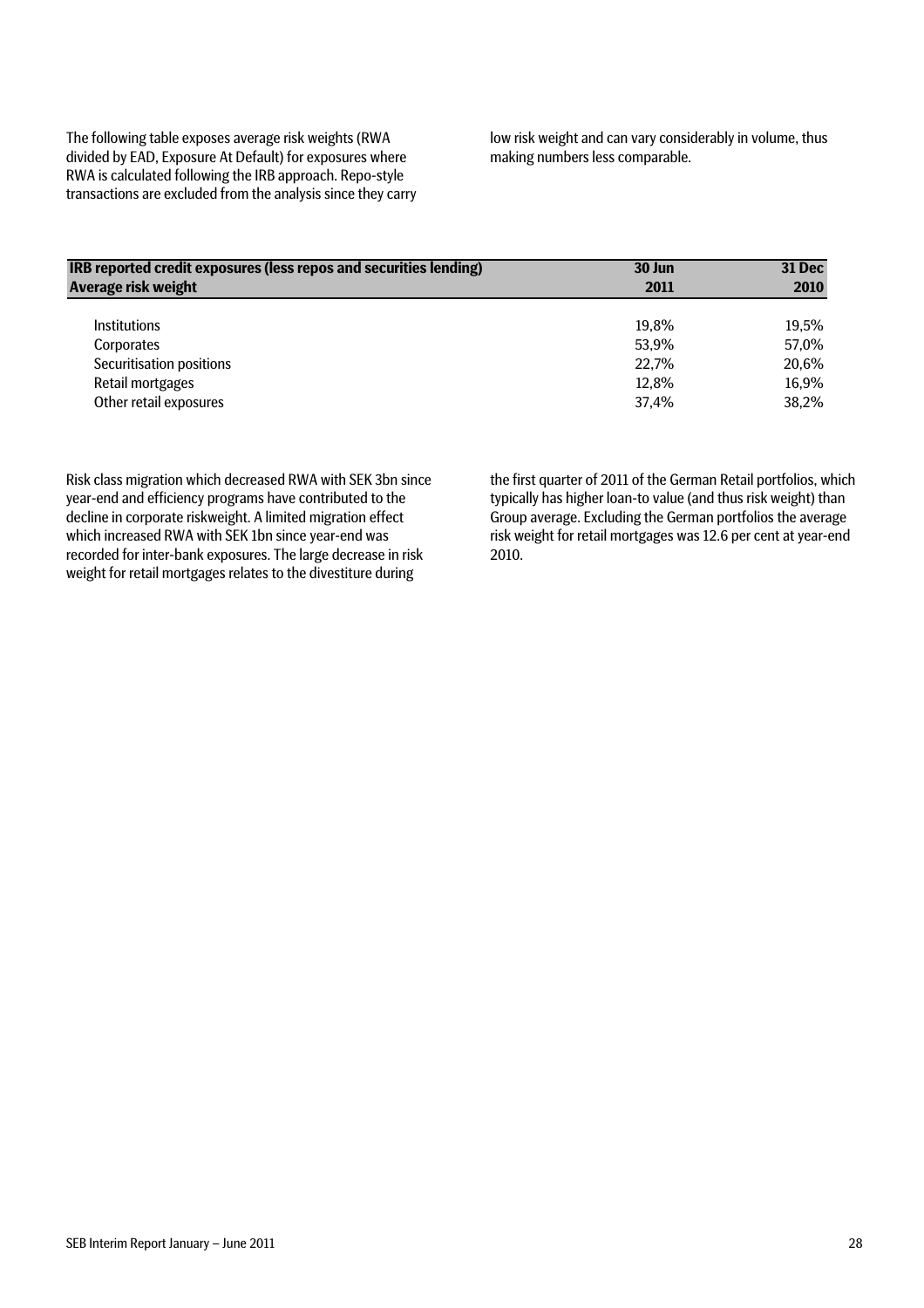The following table exposes average risk weights (RWA divided by EAD, Exposure At Default) for exposures where RWA is calculated following the IRB approach. Repo-style transactions are excluded from the analysis since they carry low risk weight and can vary considerably in volume, thus making numbers less comparable.

| IRB reported credit exposures (less repos and securities lending) | 30 Jun | 31 Dec |
|-------------------------------------------------------------------|--------|--------|
| Average risk weight                                               | 2011   | 2010   |
| <b>Institutions</b>                                               | 19.8%  | 19.5%  |
| Corporates                                                        | 53.9%  | 57.0%  |
| Securitisation positions                                          | 22,7%  | 20,6%  |
| Retail mortgages                                                  | 12,8%  | 16,9%  |
| Other retail exposures                                            | 37.4%  | 38,2%  |

Risk class migration which decreased RWA with SEK 3bn since year-end and efficiency programs have contributed to the decline in corporate riskweight. A limited migration effect which increased RWA with SEK 1bn since year-end was recorded for inter-bank exposures. The large decrease in risk weight for retail mortgages relates to the divestiture during

the first quarter of 2011 of the German Retail portfolios, which typically has higher loan-to value (and thus risk weight) than Group average. Excluding the German portfolios the average risk weight for retail mortgages was 12.6 per cent at year-end 2010.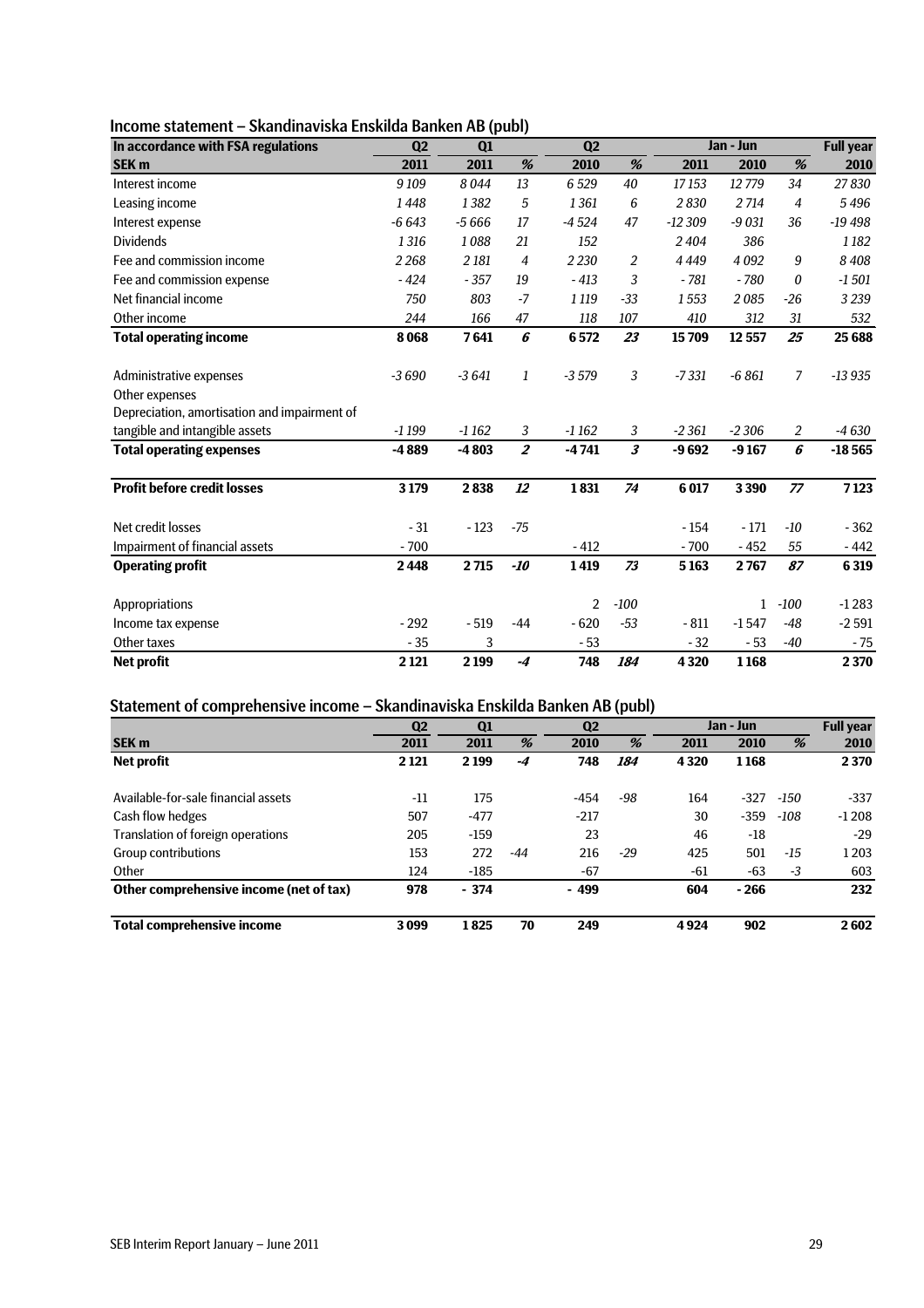| Income statement – Skandinaviska Enskilda Banken AB (publ) |  |
|------------------------------------------------------------|--|
|------------------------------------------------------------|--|

| In accordance with FSA regulations           | Q <sub>2</sub> | Q1      |                | Q <sub>2</sub> |                      |          | Jan - Jun    |                | <b>Full year</b> |
|----------------------------------------------|----------------|---------|----------------|----------------|----------------------|----------|--------------|----------------|------------------|
| <b>SEK m</b>                                 | 2011           | 2011    | %              | 2010           | %                    | 2011     | 2010         | %              | 2010             |
| Interest income                              | 9109           | 8044    | 13             | 6529           | 40                   | 17153    | 12779        | 34             | 27830            |
| Leasing income                               | 1448           | 1382    | 5              | 1361           | 6                    | 2830     | 2714         | $\overline{4}$ | 5496             |
| Interest expense                             | $-6643$        | $-5666$ | 17             | $-4524$        | 47                   | $-12309$ | $-9031$      | 36             | $-19498$         |
| <b>Dividends</b>                             | 1316           | 1088    | 21             | 152            |                      | 2404     | 386          |                | 1182             |
| Fee and commission income                    | 2268           | 2 18 1  | $\overline{4}$ | 2 2 3 0        | 2                    | 4449     | 4092         | 9              | 8408             |
| Fee and commission expense                   | $-424$         | $-357$  | 19             | $-413$         | 3                    | $-781$   | $-780$       | 0              | $-1501$          |
| Net financial income                         | 750            | 803     | $-7$           | 1 1 1 9        | $-33$                | 1553     | 2085         | $-26$          | 3 2 3 9          |
| Other income                                 | 244            | 166     | 47             | 118            | 107                  | 410      | 312          | 31             | 532              |
| <b>Total operating income</b>                | 8068           | 7641    | 6              | 6572           | 23                   | 15709    | 12557        | 25             | 25 6 88          |
| Administrative expenses                      | $-3690$        | $-3641$ | 1              | $-3579$        | 3                    | $-7331$  | $-6861$      | 7              | $-13935$         |
| Other expenses                               |                |         |                |                |                      |          |              |                |                  |
| Depreciation, amortisation and impairment of |                |         |                |                |                      |          |              |                |                  |
| tangible and intangible assets               | $-1199$        | $-1162$ | 3              | $-1162$        | 3                    | $-2361$  | $-2306$      | 2              | -4 630           |
| <b>Total operating expenses</b>              | $-4889$        | $-4803$ | $\overline{2}$ | $-4741$        | $\boldsymbol{\beta}$ | $-9692$  | $-9167$      | 6              | $-18565$         |
| <b>Profit before credit losses</b>           | 3179           | 2838    | 12             | 1831           | 74                   | 6 0 17   | 3390         | 77             | 7123             |
| Net credit losses                            | $-31$          | $-123$  | $-75$          |                |                      | $-154$   | $-171$       | $-10$          | $-362$           |
| Impairment of financial assets               | $-700$         |         |                | $-412$         |                      | $-700$   | $-452$       | 55             | $-442$           |
| <b>Operating profit</b>                      | 2448           | 2715    | -10            | 1419           | 73                   | 5163     | 2767         | 87             | 6319             |
| Appropriations                               |                |         |                | 2              | $-100$               |          | $\mathbf{1}$ | $-100$         | $-1283$          |
| Income tax expense                           | $-292$         | $-519$  | $-44$          | $-620$         | $-53$                | $-811$   | $-1547$      | -48            | $-2591$          |
| Other taxes                                  | $-35$          | 3       |                | $-53$          |                      | $-32$    | $-53$        | $-40$          | $-75$            |
| <b>Net profit</b>                            | 2 1 2 1        | 2 1 9 9 | $-4$           | 748            | 184                  | 4320     | 1168         |                | 2370             |

#### Statement of comprehensive income – Skandinaviska Enskilda Banken AB (publ)

|                                         | Q <sub>2</sub><br>Q <sub>1</sub> |         |       | <br>$\overline{\phantom{a}}$<br>Q <sub>2</sub> |       | Jan - Jun |        |       | <b>Full year</b> |
|-----------------------------------------|----------------------------------|---------|-------|------------------------------------------------|-------|-----------|--------|-------|------------------|
| <b>SEK m</b>                            | 2011                             | 2011    | %     | 2010                                           | %     | 2011      | 2010   | %     | 2010             |
| <b>Net profit</b>                       | 2 1 2 1                          | 2 1 9 9 | -4    | 748                                            | 184   | 4320      | 1168   |       | 2370             |
| Available-for-sale financial assets     | $-11$                            | 175     |       | $-454$                                         | -98   | 164       | $-327$ | -150  | $-337$           |
| Cash flow hedges                        | 507                              | $-477$  |       | $-217$                                         |       | 30        | $-359$ | -108  | $-1208$          |
| Translation of foreign operations       | 205                              | $-159$  |       | 23                                             |       | 46        | $-18$  |       | $-29$            |
| <b>Group contributions</b>              | 153                              | 272     | $-44$ | 216                                            | $-29$ | 425       | 501    | $-15$ | 1 2 0 3          |
| Other                                   | 124                              | $-185$  |       | $-67$                                          |       | -61       | $-63$  | $-3$  | 603              |
| Other comprehensive income (net of tax) | 978                              | $-374$  |       | $-499$                                         |       | 604       | $-266$ |       | 232              |
| Total comprehensive income              | 3099                             | 1825    | 70    | 249                                            |       | 4924      | 902    |       | 2602             |